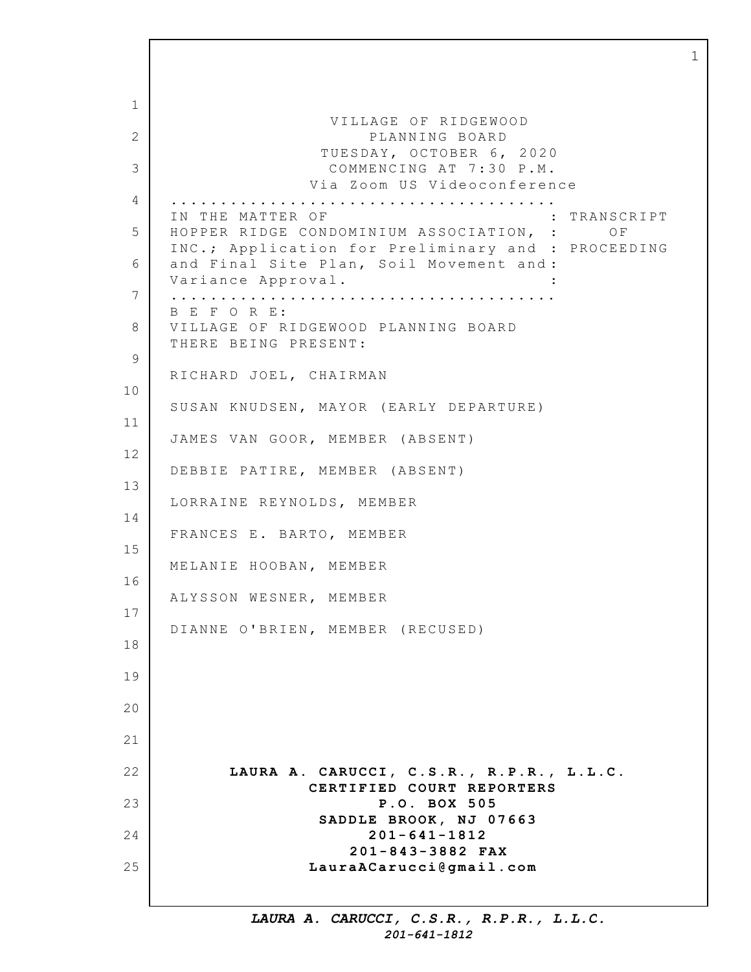1 2 3 4 5 6 7 8 9 10 11 12 13 14 15 16 17 18 19 20 21 22 23 24 25 VILLAGE OF RIDGEWOOD PLANNING BOARD TUESDAY, OCTOBER 6, 2020 COMMENCING AT 7:30 P.M. Via Zoom US Videoconference ....................................... IN THE MATTER OF  $\qquad \qquad :$  TRANSCRIPT HOPPER RIDGE CONDOMINIUM ASSOCIATION, : OF INC.; Application for Preliminary and : PROCEEDING and Final Site Plan, Soil Movement and : Variance Approval. : ....................................... B E F O R E: VILLAGE OF RIDGEWOOD PLANNING BOARD THERE BEING PRESENT: RICHARD JOEL, CHAIRMAN SUSAN KNUDSEN, MAYOR (EARLY DEPARTURE) JAMES VAN GOOR, MEMBER (ABSENT) DEBBIE PATIRE, MEMBER (ABSENT) LORRAINE REYNOLDS, MEMBER FRANCES E. BARTO, MEMBER MELANIE HOOBAN, MEMBER ALYSSON WESNER, MEMBER DIANNE O'BRIEN, MEMBER (RECUSED) **LAURA A. CARUCCI, C.S.R., R.P.R., L.L.C. CERTIFIED COURT REPORTERS P.O. BOX 505 SADDLE BROOK, N J 07663 201-641-1812 201-843-3882 FAX LauraACarucci@gmail.com**

1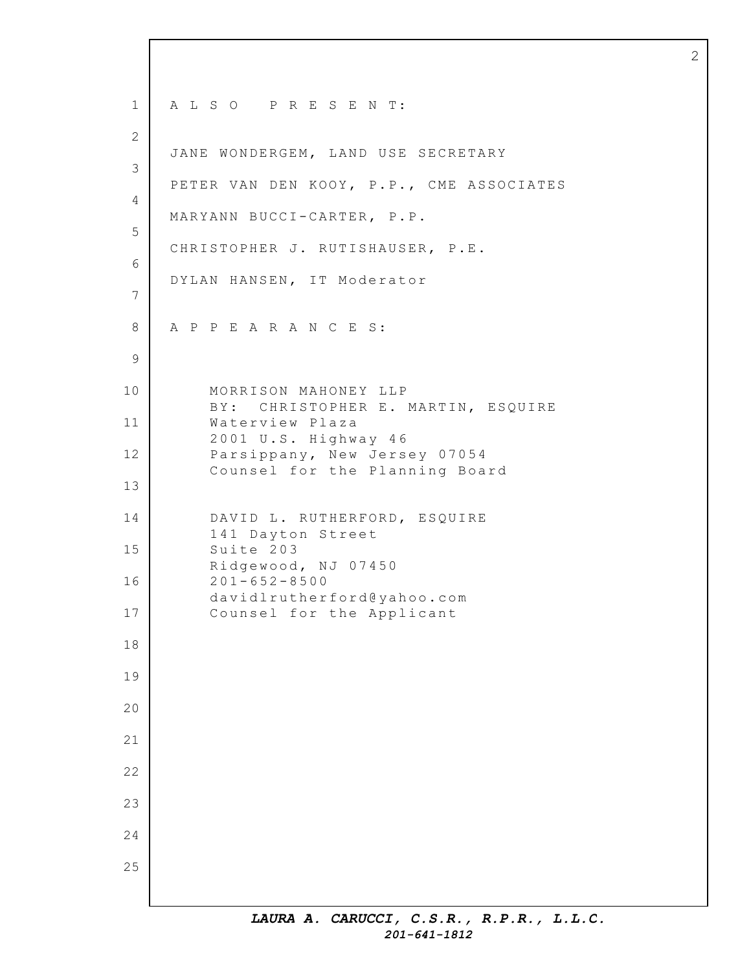1 2 3 4 5 6 7 8 9 10 11 12 13 14 15 16 17 18 19 20 21 22 23 24 25 A L S O P R E S E N T: JANE WONDERGEM, LAND USE SECRETARY PETER VAN DEN KOOY, P.P., CME ASSOCIATES MARYANN BUCCI-CARTER, P.P. CHRISTOPHER J. RUTISHAUSER, P.E. DYLAN HANSEN, IT Moderator A P P E A R A N C E S: MORRISON MAHONEY LLP B Y: CHRISTOPHER E. MARTIN, ESQUIRE Waterview Plaza 2001 U.S. Highway 4 6 Parsippany, New Jersey 07054 Counsel for the Planning Board DAVID L. RUTHERFORD, ESQUIRE 141 Dayton Street Suite 203 Ridgewood, NJ 07450 201-652-8500 davidlrutherford@yahoo.com Counsel for the Applicant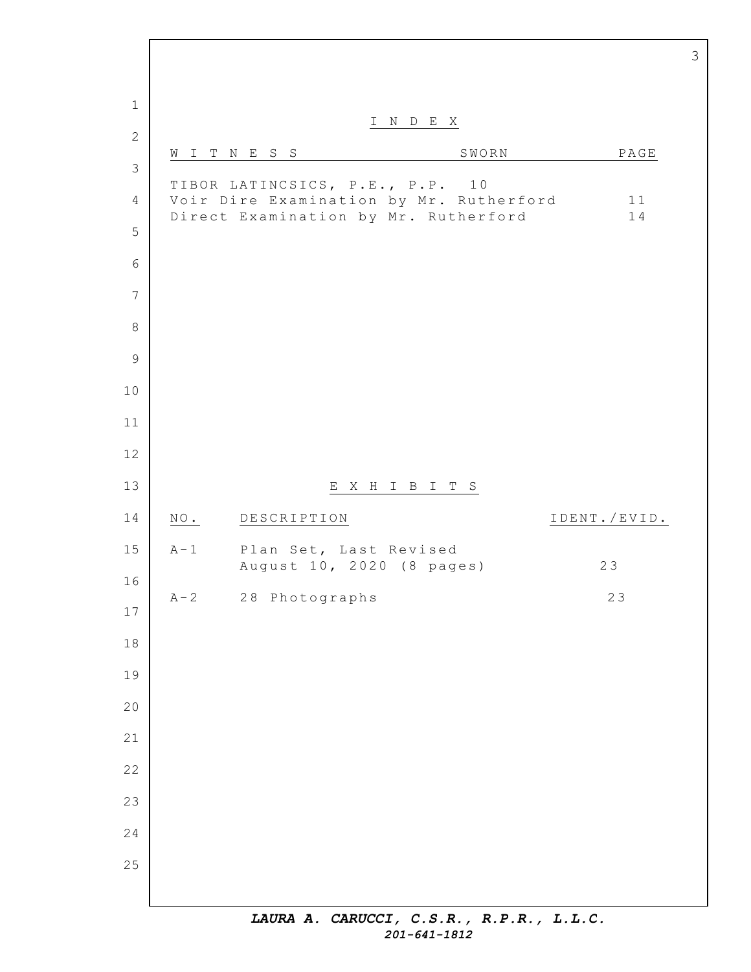I N D E X W I T N E S S SWORN SWORN PAGE TIBOR LATINCSICS, P.E., P.P. 10 Voir Dire Examination by Mr. Rutherford 11 Direct Examination by Mr. Rutherford 14 E X H I B I T S NO. DESCRIPTION IDENT./EVID. A-1 Plan Set, Last Revised August 10, 2020 (8 pages) 23 A-2 28 Photographs 23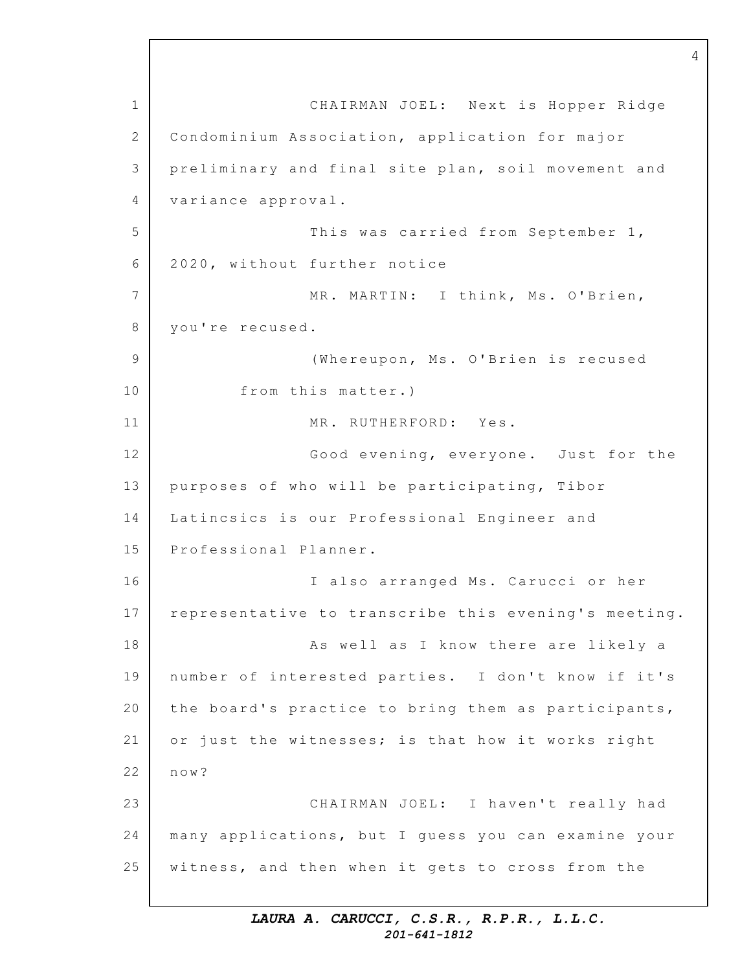1 2 3 4 5 6 7 8 9 10 11 12 13 14 15 16 17 18 19 20 21 22 23 24 25 CHAIRMAN JOEL: Next is Hopper Ridge Condominium Association, application for major preliminary and final site plan, soil movement and variance approval. This was carried from September 1, 2020, without further notice MR. MARTIN: I think, Ms. O'Brien, you're recused. (Whereupon, Ms. O'Brien is recused from this matter.) MR. RUTHERFORD: Yes. Good evening, everyone. Just for the purposes of who will be participating, Tibor Latincsics is our Professional Engineer and Professional Planner. I also arranged Ms. Carucci or her representative to transcribe this evening's meeting. As well as I know there are likely a number of interested parties. I don't know if it's the board's practice to bring them as participants, or just the witnesses; is that how it works right now? CHAIRMAN JOEL: I haven't really had many applications, but I guess you can examine your witness, and then when it gets to cross from the

4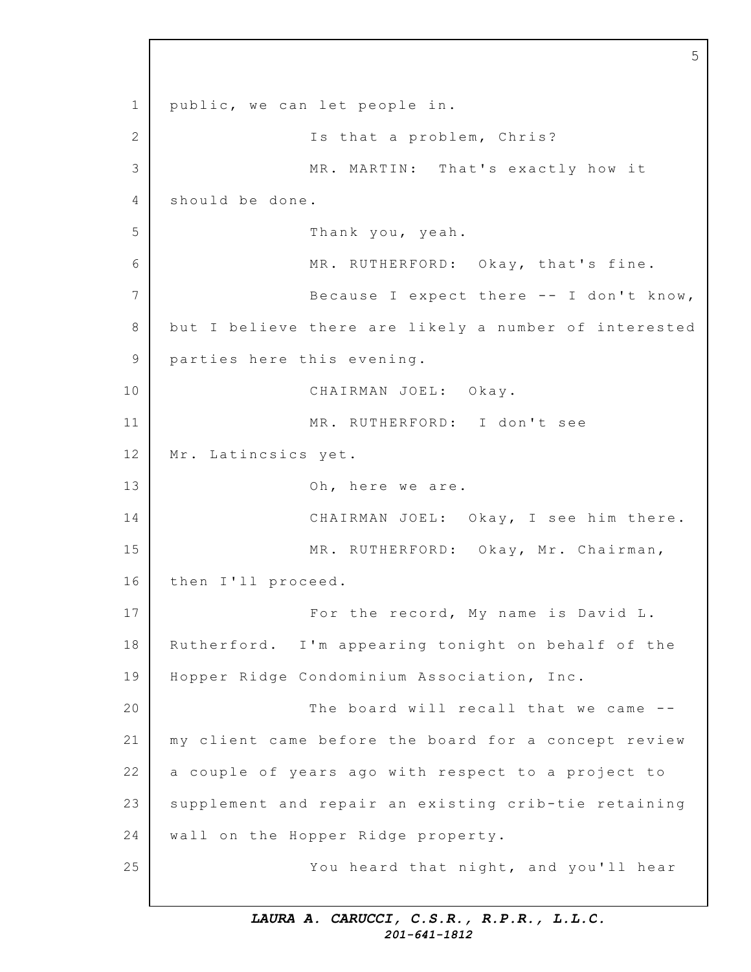1 2 3 4 5 6 7 8 9 10 11 12 13 14 15 16 17 18 19 20 21 22 23 24 25 public, we can let people in. Is that a problem, Chris? MR. MARTIN: That's exactly how it should be done. Thank you, yeah. MR. RUTHERFORD: Okay, that's fine. Because I expect there  $--$  I don't know, but I believe there are likely a number of interested parties here this evening. CHAIRMAN JOEL: Okay. MR. RUTHERFORD: I don't see Mr. Latincsics yet. Oh, here we are. CHAIRMAN JOEL: Okay, I see him there. MR. RUTHERFORD: Okay, Mr. Chairman, then I'll proceed. For the record, My name is David L. Rutherford. I'm appearing tonight on behalf of the Hopper Ridge Condominium Association, Inc. The board will recall that we came  $-$ my client came before the board for a concept review a couple of years ago with respect to a project to supplement and repair an existing crib-tie retaining wall on the Hopper Ridge property. You heard that night, and you'll hear

5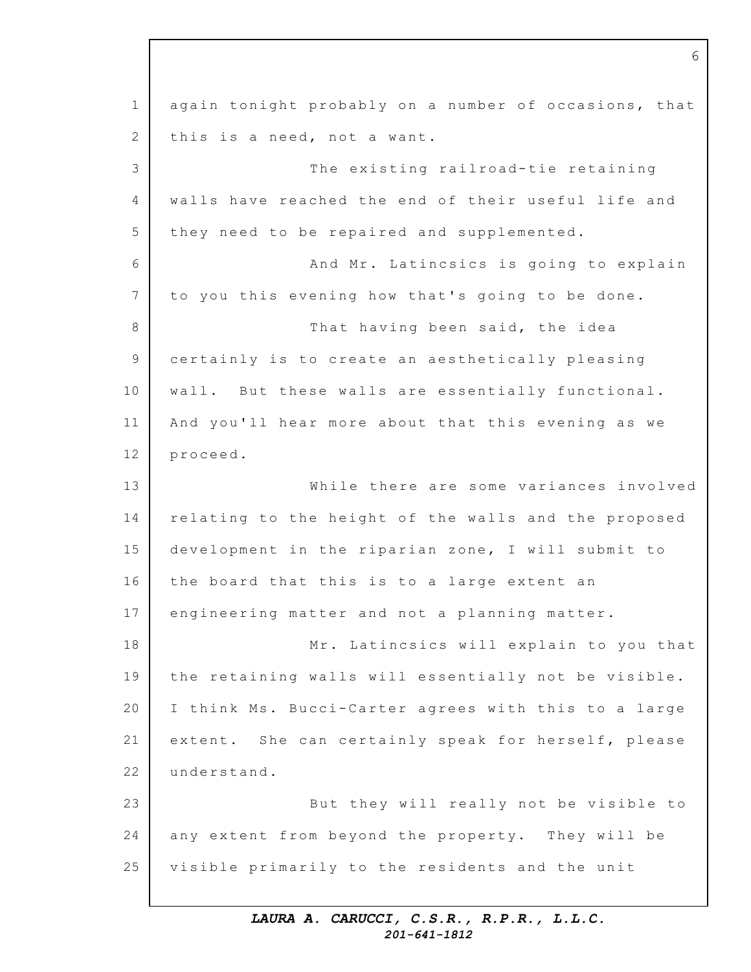1 2 3 4 5 6 7 8 9 10 11 12 13 14 15 16 17 18 19 20 21 22 23 24 25 again tonight probably on a number of occasions, that this is a need, not a want. The existing railroad-tie retaining walls have reached the end of their useful life and they need to be repaired and supplemented. And Mr. Latincsics is going to explain to you this evening how that's going to be done. That having been said, the idea certainly is to create an aesthetically pleasing wall. But these walls are essentially functional. And you'll hear more about that this evening as we proceed. While there are some variances involved relating to the height of the walls and the proposed development in the riparian zone, I will submit to the board that this is to a large extent an engineering matter and not a planning matter. Mr. Latincsics will explain to you that the retaining walls will essentially not be visible. I think Ms. Bucci-Carter agrees with this to a large extent. She can certainly speak for herself, please understand. But they will really not be visible to any extent from beyond the property. They will be visible primarily to the residents and the unit

6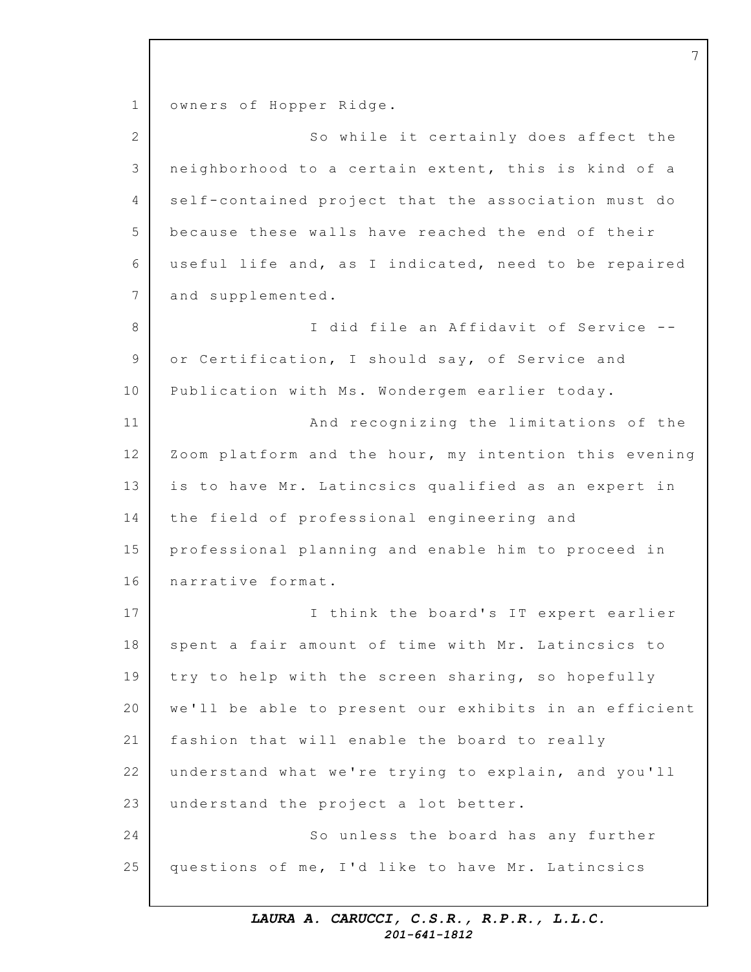1 2 3 4 5 6 7 8 9 10 11 12 13 14 15 16 17 18 19 20 21 22 23 24 25 owners of Hopper Ridge. So while it certainly does affect the neighborhood to a certain extent, this is kind of a self-contained project that the association must do because these walls have reached the end of their useful life and, as I indicated, need to be repaired and supplemented. I did file an Affidavit of Service -or Certification, I should say, of Service and Publication with Ms. Wondergem earlier today. And recognizing the limitations of the Zoom platform and the hour, my intention this evening is to have Mr. Latincsics qualified as an expert in the field of professional engineering and professional planning and enable him to proceed in narrative format. I think the board's IT expert earlier spent a fair amount of time with Mr. Latincsics to try to help with the screen sharing, so hopefully we'll be able to present our exhibits in an efficient fashion that will enable the board to really understand what we're trying to explain, and you'll understand the project a lot better. So unless the board has any further questions of me, I'd like to have Mr. Latincsics

7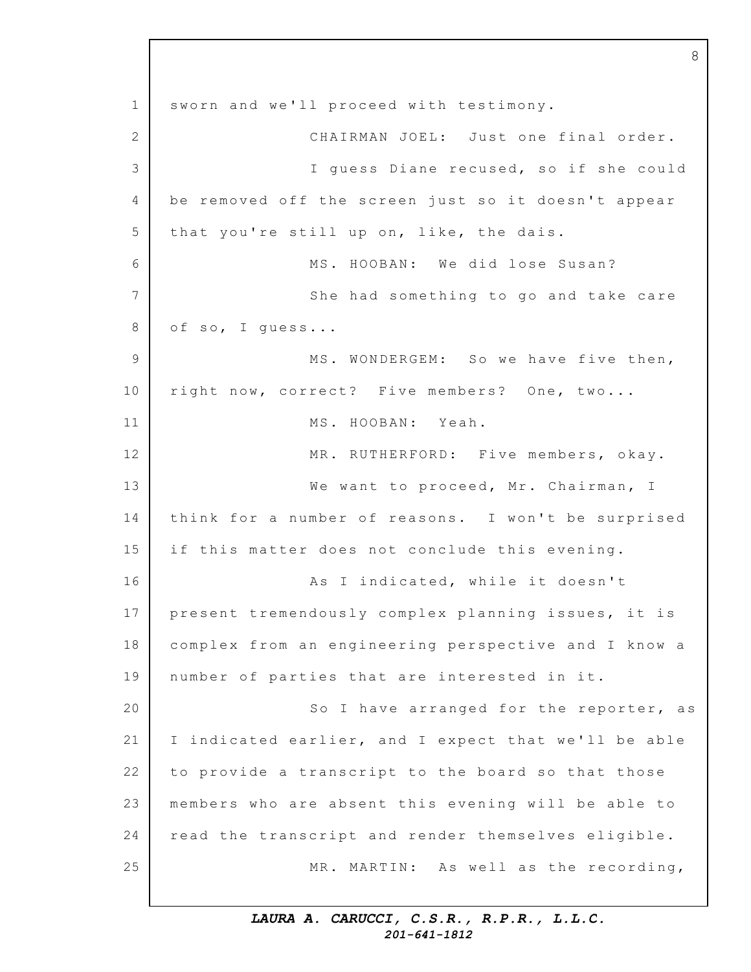1 2 3 4 5 6 7 8 9 10 11 12 13 14 15 16 17 18 19 20 21 22 23 24 25 sworn and we'll proceed with testimony. CHAIRMAN JOEL: Just one final order. I guess Diane recused, so if she could be removed off the screen just so it doesn't appear that you're still up on, like, the dais. MS. HOOBAN: We did lose Susan? She had something to go and take care of so, I quess... MS. WONDERGEM: So we have five then, right now, correct? Five members? One, two... MS. HOOBAN: Yeah. MR. RUTHERFORD: Five members, okay. We want to proceed, Mr. Chairman, I think for a number of reasons. I won't be surprised if this matter does not conclude this evening. As I indicated, while it doesn't present tremendously complex planning issues, it is complex from an engineering perspective and I know a number of parties that are interested in it. So I have arranged for the reporter, as I indicated earlier, and I expect that we'll be able to provide a transcript to the board so that those members who are absent this evening will be able to read the transcript and render themselves eligible. MR. MARTIN: As well as the recording,

8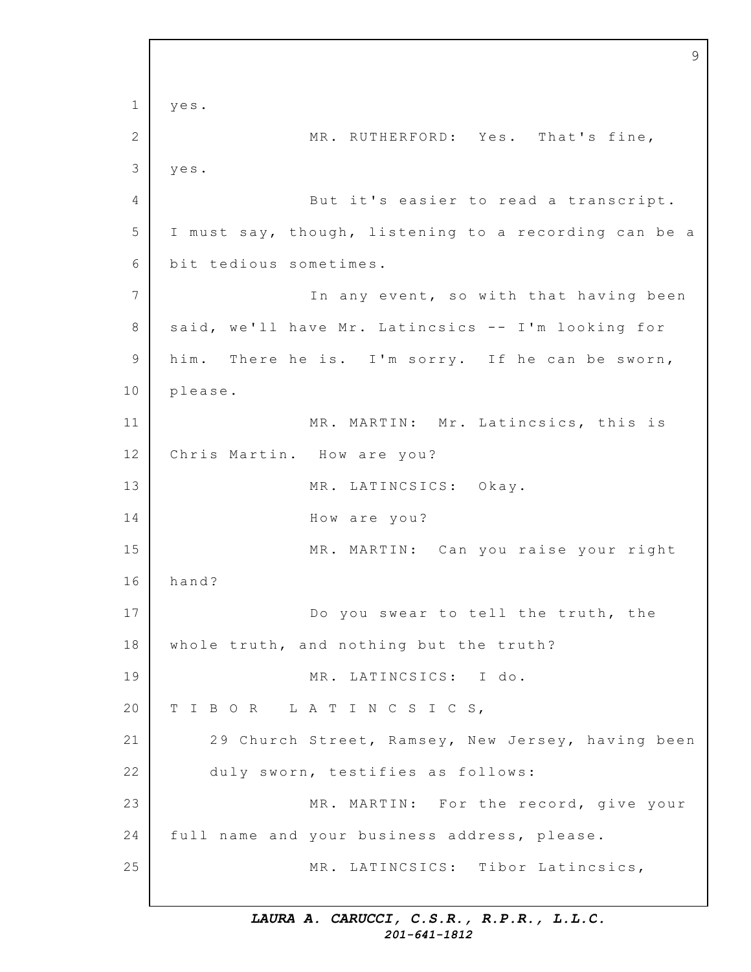1 2 3 4 5 6 7 8 9 10 11 12 13 14 15 16 17 18 19 20 21 22 23 24 25 9 yes. MR. RUTHERFORD: Yes. That's fine, yes. But it's easier to read a transcript. I must say, though, listening to a recording can be a bit tedious sometimes. In any event, so with that having been said, we'll have Mr. Latincsics -- I'm looking for him. There he is. I'm sorry. If he can be sworn, please. MR. MARTIN: Mr. Latincsics, this is Chris Martin. How are you? MR. LATINCSICS: Okay. How are you? MR. MARTIN: Can you raise your right hand? Do you swear to tell the truth, the whole truth, and nothing but the truth? MR. LATINCSICS: I do. T I B O R L A T I N C S I C S, 29 Church Street, Ramsey, New Jersey, having been duly sworn, testifies as follows: MR. MARTIN: For the record, give your full name and your business address, please. MR. LATINCSICS: Tibor Latincsics,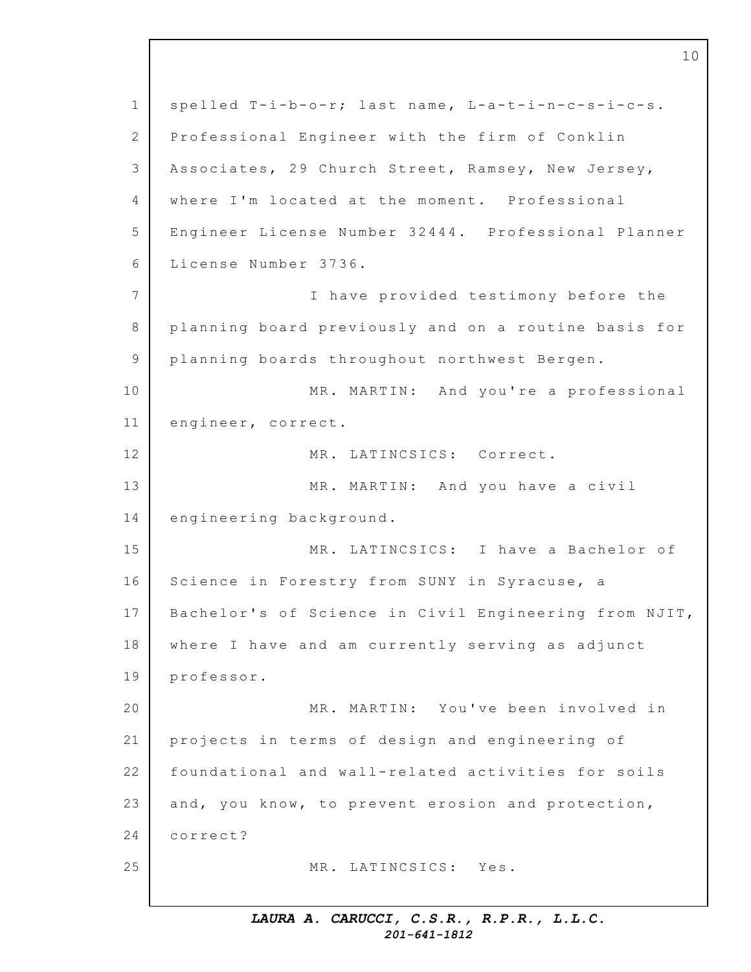1 2 3 4 5 6 7 8 9 10 11 12 13 14 15 16 17 18 19 20 21 22 23 24 25 spelled T-i-b-o-r; last name, L-a-t-i-n-c-s-i-c-s. Professional Engineer with the firm of Conklin Associates, 29 Church Street, Ramsey, New Jersey, where I'm located at the moment. Professional Engineer License Number 32444. Professional Planner License Number 3736. I have provided testimony before the planning board previously and on a routine basis for planning boards throughout northwest Bergen. MR. MARTIN: And you're a professional engineer, correct. MR. LATINCSICS: Correct. MR. MARTIN: And you have a civil engineering background. MR. LATINCSICS: I have a Bachelor of Science in Forestry from SUNY in Syracuse, a Bachelor's of Science in Civil Engineering from NJIT, where I have and am currently serving as adjunct professor. MR. MARTIN: You've been involved in projects in terms of design and engineering of foundational and wall-related activities for soils and, you know, to prevent erosion and protection, correct? MR. LATINCSICS: Yes.

10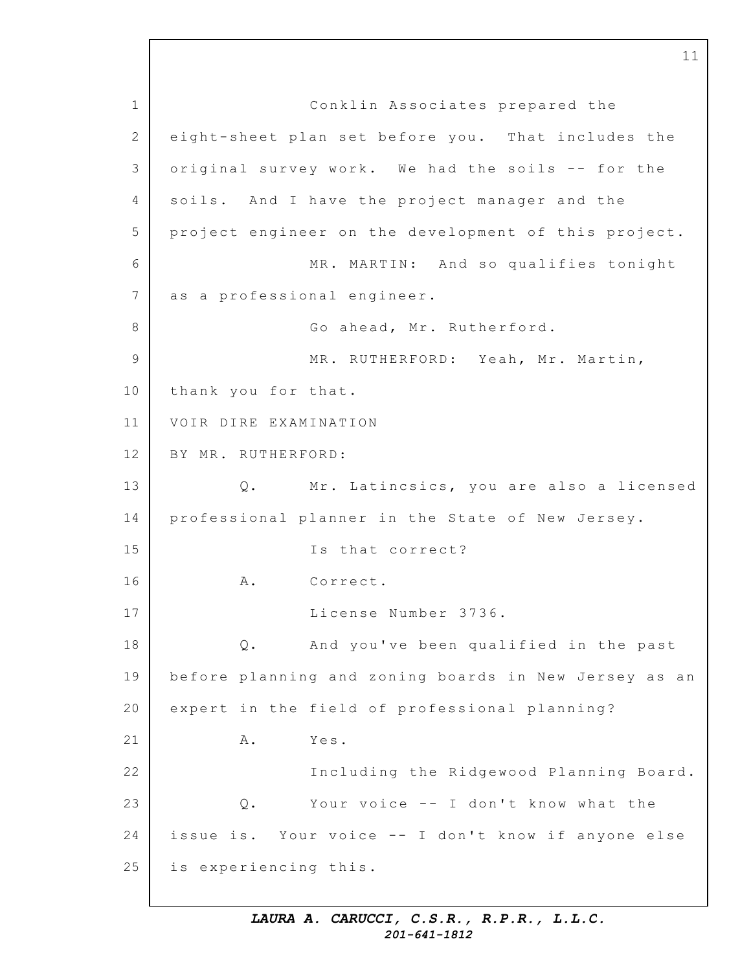1 2 3 4 5 6 7 8 9 10 11 12 13 14 15 16 17 18 19 20 21 22 23 24 25 Conklin Associates prepared the eight-sheet plan set before you. That includes the original survey work. We had the soils -- for the soils. And I have the project manager and the project engineer on the development of this project. MR. MARTIN: And so qualifies tonight as a professional engineer. Go ahead, Mr. Rutherford. MR. RUTHERFORD: Yeah, Mr. Martin, thank you for that. VOIR DIRE EXAMINATION BY MR. RUTHERFORD: Q. Mr. Latincsics, you are also a licensed professional planner in the State of New Jersey. Is that correct? A. Correct. License Number 3736. Q. And you've been qualified in the past before planning and zoning boards in New Jersey as an expert in the field of professional planning? A. Yes. Including the Ridgewood Planning Board. Q. Your voice -- I don't know what the issue is. Your voice -- I don't know if anyone else is experiencing this.

11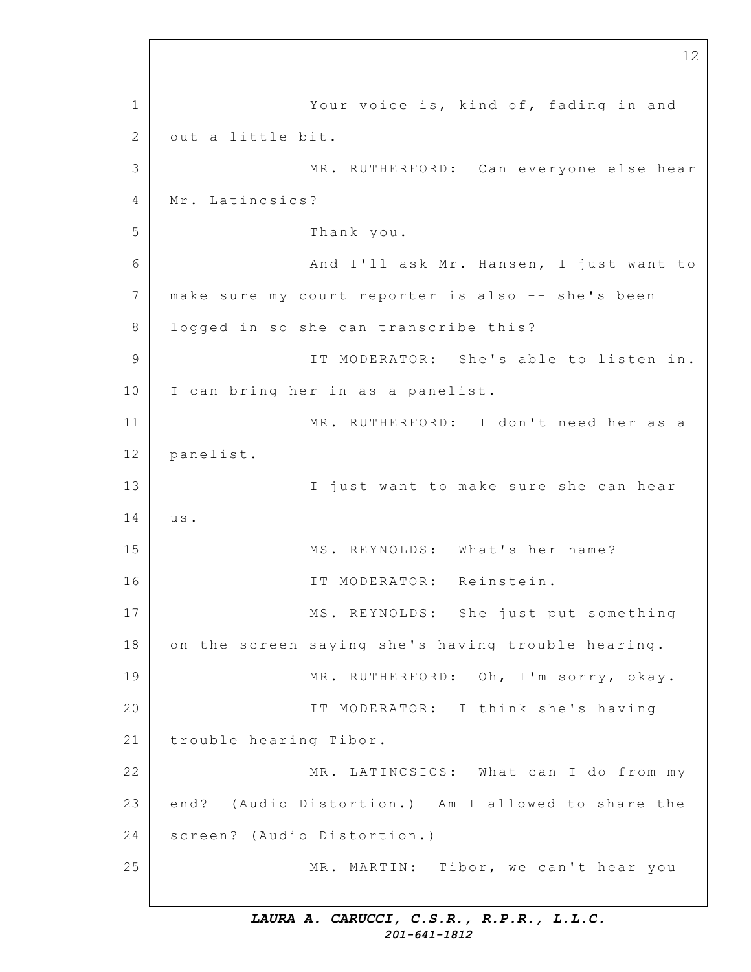1 2 3 4 5 6 7 8 9 10 11 12 13 14 15 16 17 18 19 20 21 22 23 24 25 12 Your voice is, kind of, fading in and out a little bit. MR. RUTHERFORD: Can everyone else hear Mr. Latincsics? Thank you. And I'll ask Mr. Hansen, I just want to make sure my court reporter is also -- she's been logged in so she can transcribe this? IT MODERATOR: She's able to listen in. I can bring her in as a panelist. MR. RUTHERFORD: I don't need her as a panelist. I just want to make sure she can hear u s. MS. REYNOLDS: What's her name? IT MODERATOR: Reinstein. MS. REYNOLDS: She just put something on the screen saying she's having trouble hearing. MR. RUTHERFORD: Oh, I'm sorry, okay. IT MODERATOR: I think she's having trouble hearing Tibor. MR. LATINCSICS: What can I do from my end? (Audio Distortion.) Am I allowed to share the screen? (Audio Distortion.) MR. MARTIN: Tibor, we can't hear you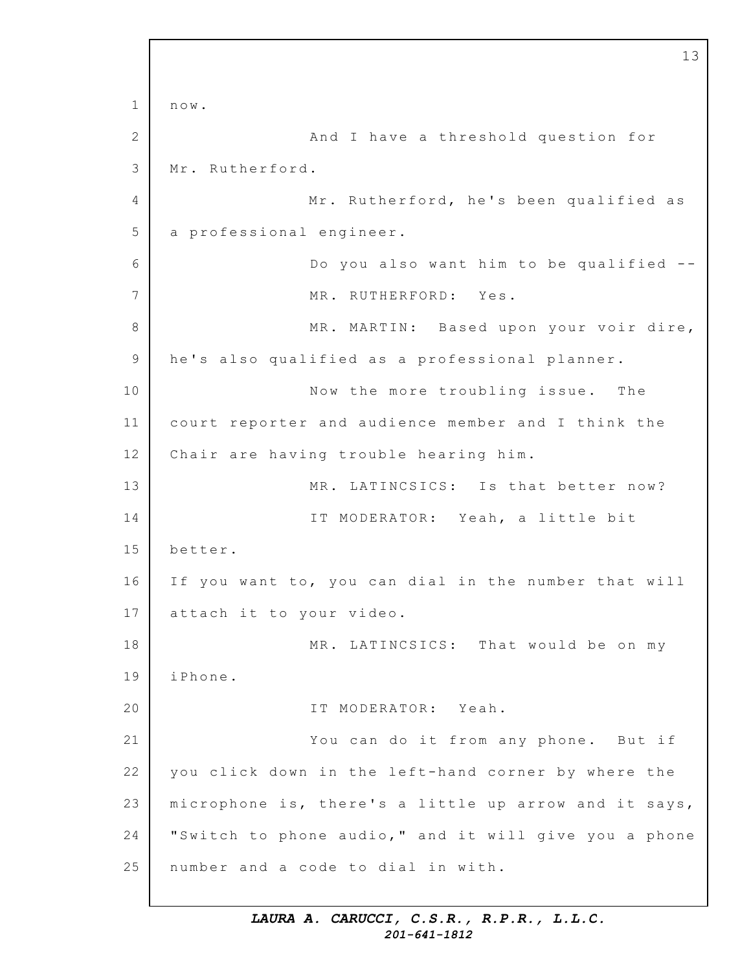1 2 3 4 5 6 7 8 9 10 11 12 13 14 15 16 17 18 19 20 21 22 23 24 25 13 now. And I have a threshold question for Mr. Rutherford. Mr. Rutherford, he's been qualified as a professional engineer. Do you also want him to be qualified  $-$ -MR. RUTHERFORD: Yes. MR. MARTIN: Based upon your voir dire, he's also qualified as a professional planner. Now the more troubling issue. The court reporter and audience member and I think the Chair are having trouble hearing him. MR. LATINCSICS: Is that better now? IT MODERATOR: Yeah, a little bit better. If you want to, you can dial in the number that will attach it to your video. MR. LATINCSICS: That would be on my iPhone. IT MODERATOR: Yeah. You can do it from any phone. But if you click down in the left-hand corner by where the microphone is, there's a little up arrow and it says, "Switch to phone audio," and it will give you a phone number and a code to dial in with.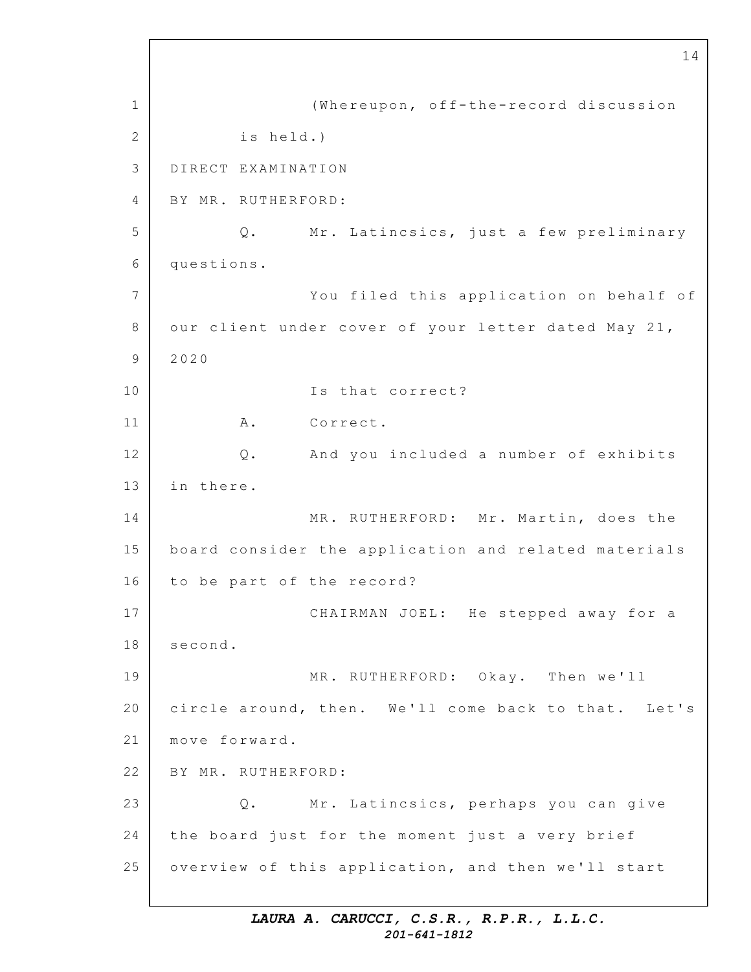1 2 3 4 5 6 7 8 9 10 11 12 13 14 15 16 17 18 19 20 21 22 23 24 25 14 (Whereupon, off-the-record discussion is held.) DIRECT EXAMINATION BY MR. RUTHERFORD: Q. Mr. Latincsics, just a few preliminary questions. You filed this application on behalf of our client under cover of your letter dated May 21, 2020 Is that correct? A. Correct. Q. And you included a number of exhibits in there. MR. RUTHERFORD: Mr. Martin, does the board consider the application and related materials to be part of the record? CHAIRMAN JOEL: He stepped away for a second. MR. RUTHERFORD: Okay. Then we'll circle around, then. We'll come back to that. Let's move forward. BY MR. RUTHERFORD: Q. Mr. Latincsics, perhaps you can give the board just for the moment just a very brief overview of this application, and then we'll start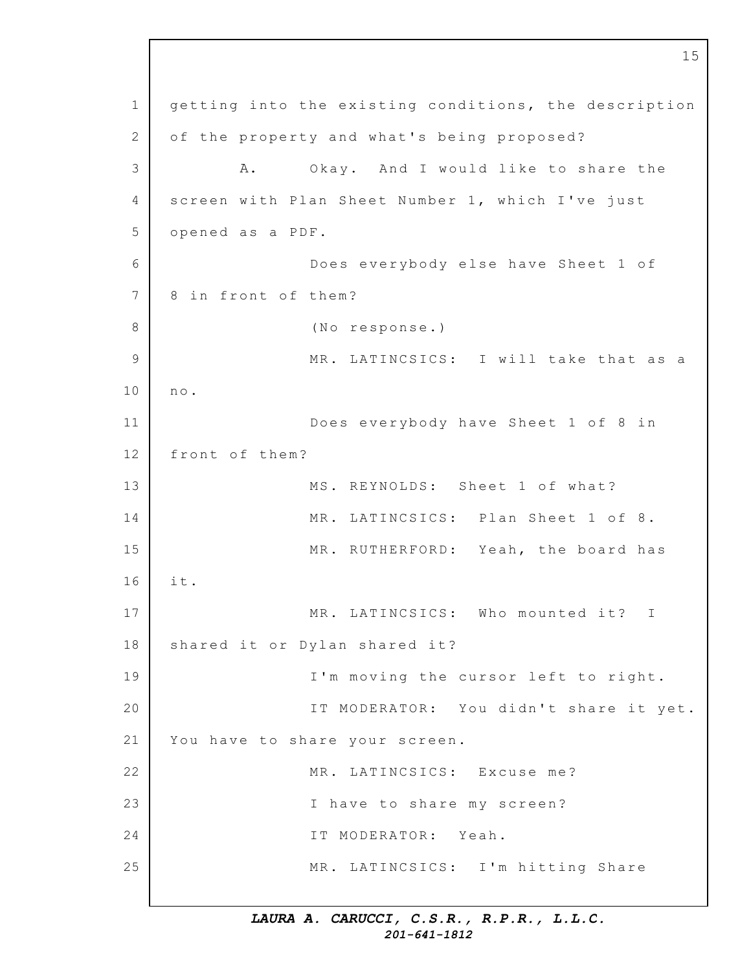1 2 3 4 5 6 7 8 9 10 11 12 13 14 15 16 17 18 19 20 21 22 23 24 25 15 getting into the existing conditions, the description of the property and what's being proposed? A. Okay. And I would like to share the screen with Plan Sheet Number 1, which I've just opened as a PDF. Does everybody else have Sheet 1 of 8 in front of them? (No response.) MR. LATINCSICS: I will take that as a n o. Does everybody have Sheet 1 of 8 in front of them? MS. REYNOLDS: Sheet 1 of what? MR. LATINCSICS: Plan Sheet 1 of 8. MR. RUTHERFORD: Yeah, the board has i t. MR. LATINCSICS: Who mounted it? I shared it or Dylan shared it? I'm moving the cursor left to right. IT MODERATOR: You didn't share it yet. You have to share your screen. MR. LATINCSICS: Excuse me? I have to share my screen? IT MODERATOR: Yeah. MR. LATINCSICS: I'm hitting Share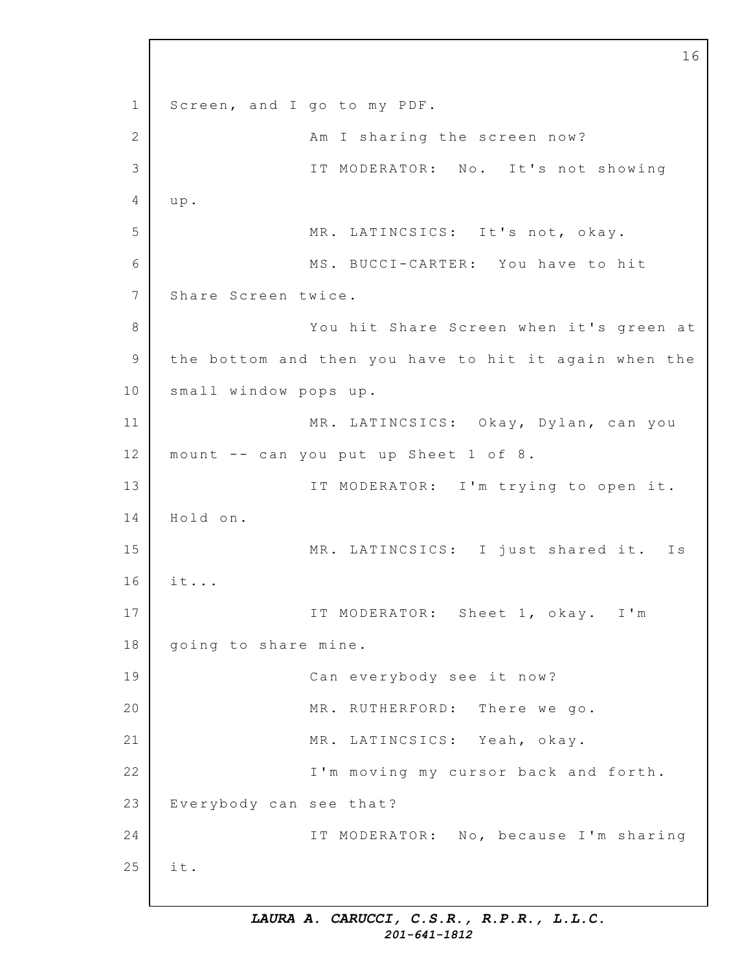1 2 3 4 5 6 7 8 9 10 11 12 13 14 15 16 17 18 19 20 21 22 23 24 25 Screen, and I go to my PDF. Am I sharing the screen now? IT MODERATOR: No. It's not showing u p. MR. LATINCSICS: It's not, okay. MS. BUCCI-CARTER: You have to hit Share Screen twice. You hit Share Screen when it's green at the bottom and then you have to hit it again when the small window pops up. MR. LATINCSICS: Okay, Dylan, can you mount  $-$ - can you put up Sheet 1 of 8. IT MODERATOR: I'm trying to open it. Hold on. MR. LATINCSICS: I just shared it. Is it... IT MODERATOR: Sheet 1, okay. I'm going to share mine. Can everybody see it now? MR. RUTHERFORD: There we go. MR. LATINCSICS: Yeah, okay. I'm moving my cursor back and forth. Everybody can see that? IT MODERATOR: No, because I'm sharing i t.

16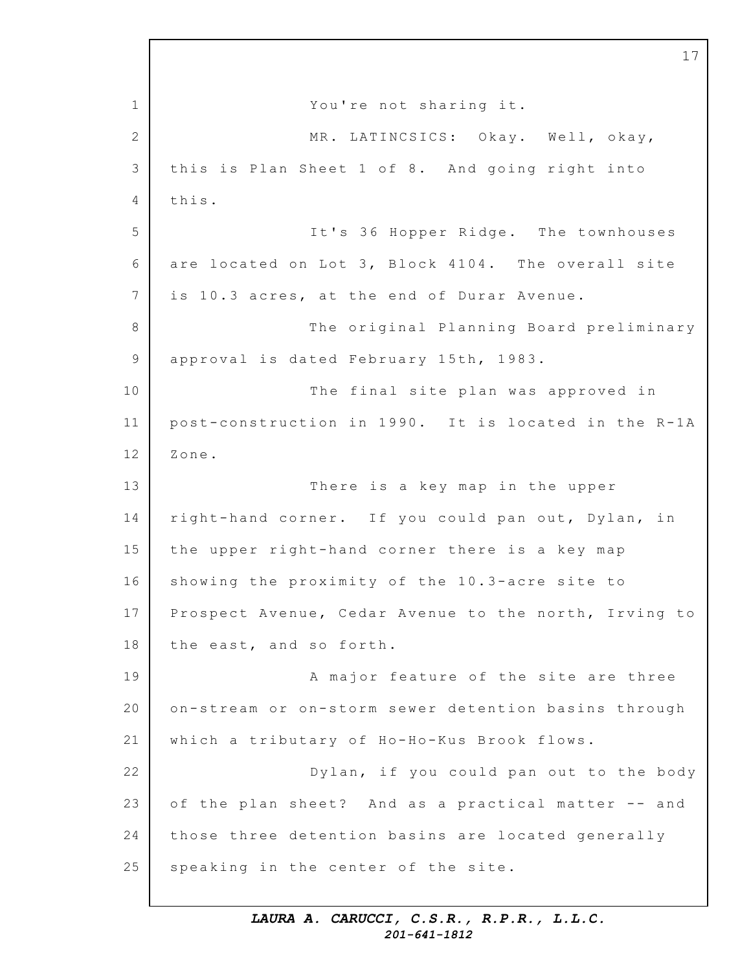1 2 3 4 5 6 7 8 9 10 11 12 13 14 15 16 17 18 19 20 21 22 23 24 25 17 You're not sharing it. MR. LATINCSICS: Okay. Well, okay, this is Plan Sheet 1 of 8. And going right into this. It's 36 Hopper Ridge. The townhouses are located on Lot 3, Block 4104. The overall site is 10.3 acres, at the end of Durar Avenue. The original Planning Board preliminary approval is dated February 15th, 1983. The final site plan was approved in post-construction in 1990. It is located in the R-1A Zone. There is a key map in the upper right-hand corner. If you could pan out, Dylan, in the upper right-hand corner there is a key map showing the proximity of the  $10.3$ -acre site to Prospect Avenue, Cedar Avenue to the north, Irving to the east, and so forth. A major feature of the site are three on-stream or on-storm sewer detention basins through which a tributary of Ho-Ho-Kus Brook flows. Dylan, if you could pan out to the body of the plan sheet? And as a practical matter -- and those three detention basins are located generally speaking in the center of the site.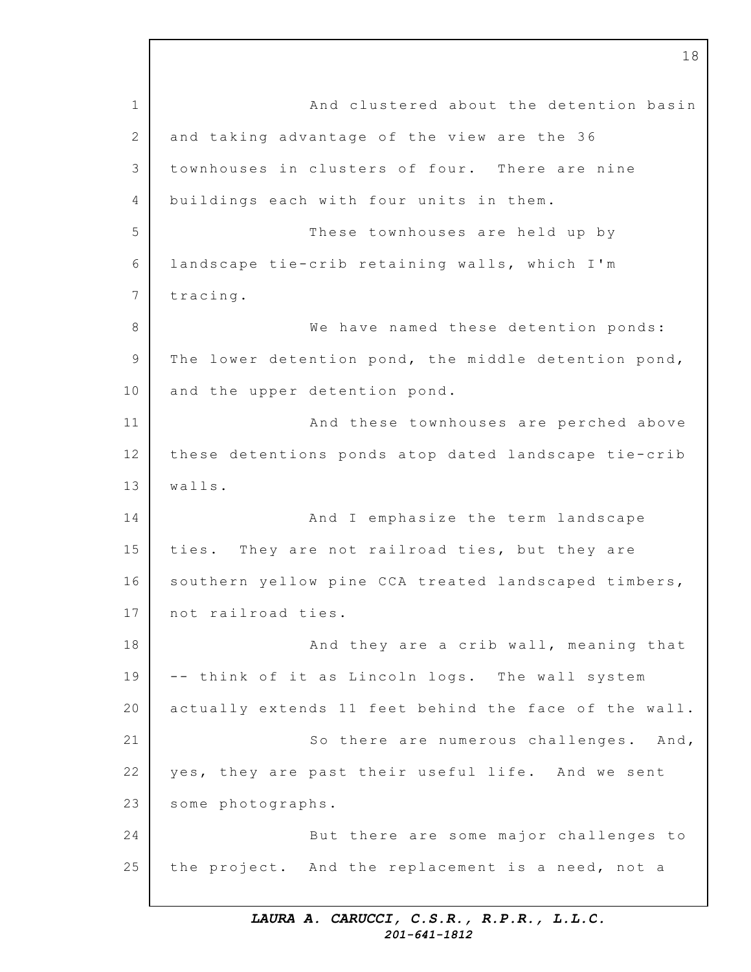1 2 3 4 5 6 7 8 9 10 11 12 13 14 15 16 17 18 19 20 21 22 23 24 25 And clustered about the detention basin and taking advantage of the view are the 36 townhouses in clusters of four. There are nine buildings each with four units in them. These townhouses are held up by landscape tie-crib retaining walls, which I'm tracing. We have named these detention ponds: The lower detention pond, the middle detention pond, and the upper detention pond. And these townhouses are perched above these detentions ponds atop dated landscape tie-crib walls. And I emphasize the term landscape ties. They are not railroad ties, but they are southern yellow pine CCA treated landscaped timbers, not railroad ties. And they are a crib wall, meaning that -- think of it as Lincoln logs. The wall system actually extends 11 feet behind the face of the wall. So there are numerous challenges. And, yes, they are past their useful life. And we sent some photographs. But there are some major challenges to the project. And the replacement is a need, not a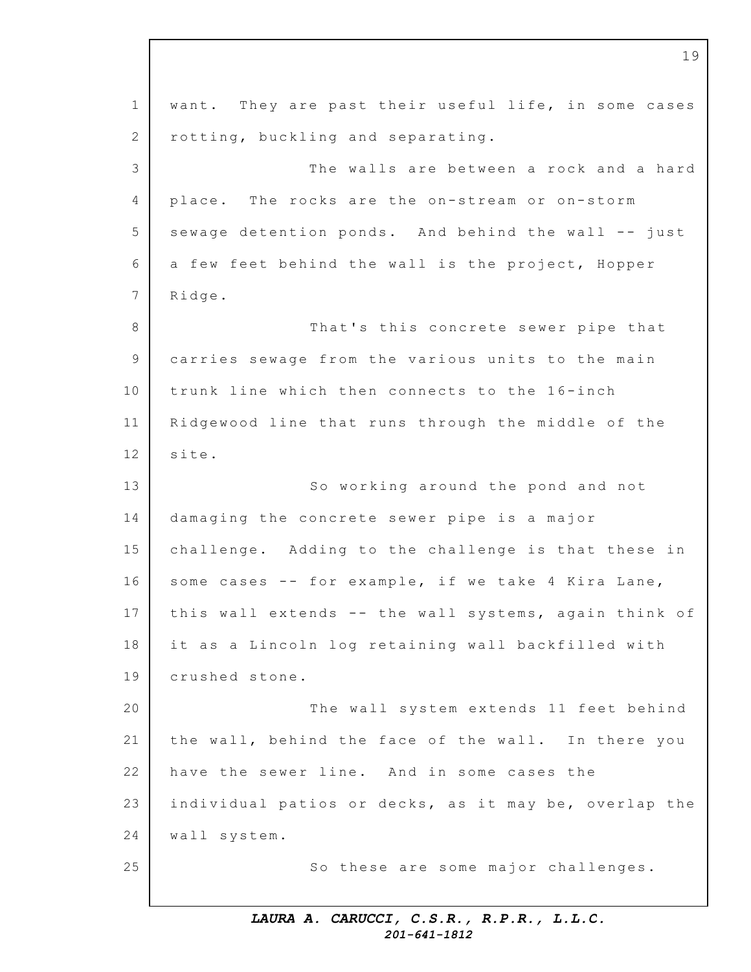1 2 3 4 5 6 7 8 9 10 11 12 13 14 15 16 17 18 19 20 21 22 23 24 25 want. They are past their useful life, in some cases rotting, buckling and separating. The walls are between a rock and a hard place. The rocks are the on-stream or on-storm sewage detention ponds. And behind the wall -- just a few feet behind the wall is the project, Hopper Ridge. That's this concrete sewer pipe that carries sewage from the various units to the main trunk line which then connects to the 16-inch Ridgewood line that runs through the middle of the site. So working around the pond and not damaging the concrete sewer pipe is a major challenge. Adding to the challenge is that these in some cases  $--$  for example, if we take 4 Kira Lane, this wall extends -- the wall systems, again think of it as a Lincoln log retaining wall backfilled with crushed stone. The wall system extends 11 feet behind the wall, behind the face of the wall. In there you have the sewer line. And in some cases the individual patios or decks, as it may be, overlap the wall system. So these are some major challenges.

19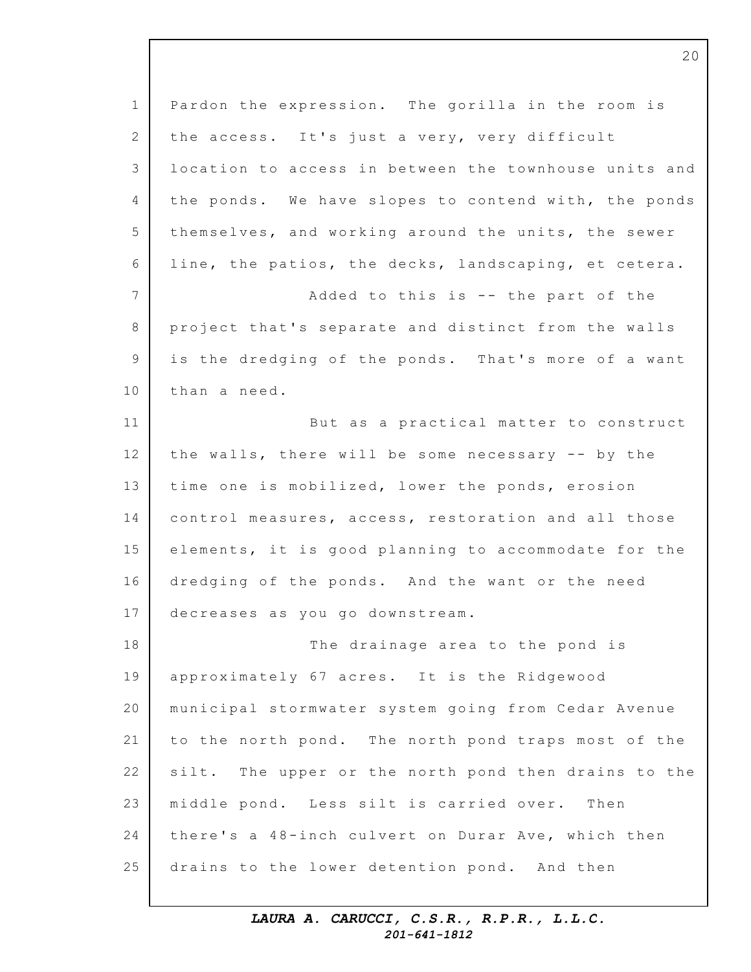| Pardon the expression. The gorilla in the room is     |
|-------------------------------------------------------|
|                                                       |
| the access. It's just a very, very difficult          |
| location to access in between the townhouse units and |
| the ponds. We have slopes to contend with, the ponds  |
| themselves, and working around the units, the sewer   |
| line, the patios, the decks, landscaping, et cetera.  |
| Added to this is -- the part of the                   |
| project that's separate and distinct from the walls   |
| is the dredging of the ponds. That's more of a want   |
| than a need.                                          |
| But as a practical matter to construct                |
| the walls, there will be some necessary -- by the     |
| time one is mobilized, lower the ponds, erosion       |
| control measures, access, restoration and all those   |
| elements, it is good planning to accommodate for the  |
| dredging of the ponds. And the want or the need       |
| decreases as you go downstream.                       |
| The drainage area to the pond is                      |
| approximately 67 acres. It is the Ridgewood           |
| municipal stormwater system going from Cedar Avenue   |
| to the north pond. The north pond traps most of the   |
| silt. The upper or the north pond then drains to the  |
| middle pond. Less silt is carried over. Then          |
| there's a 48-inch culvert on Durar Ave, which then    |
| drains to the lower detention pond. And then          |
|                                                       |

20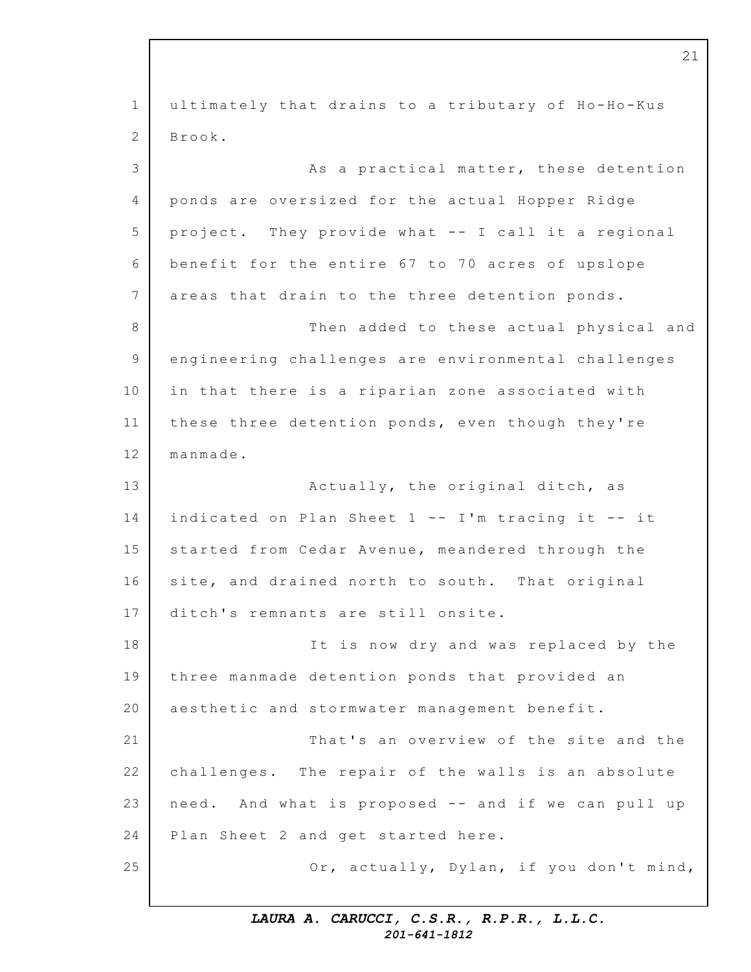1 2 3 4 5 6 7 8 9 10 11 12 13 14 15 16 17 18 19 20 21 22 23 24 25 ultimately that drains to a tributary of Ho-Ho-Kus Brook. As a practical matter, these detention ponds are oversized for the actual Hopper Ridge project. They provide what  $--$  I call it a regional benefit for the entire 67 to 70 acres of upslope areas that drain to the three detention ponds. Then added to these actual physical and engineering challenges are environmental challenges in that there is a riparian zone associated with these three detention ponds, even though they're manmade. Actually, the original ditch, as indicated on Plan Sheet  $1$  -- I'm tracing it -- it started from Cedar Avenue, meandered through the site, and drained north to south. That original ditch's remnants are still onsite. It is now dry and was replaced by the three manmade detention ponds that provided an aesthetic and stormwater management benefit. That's an overview of the site and the challenges. The repair of the walls is an absolute need. And what is proposed -- and if we can pull up Plan Sheet 2 and get started here. Or, actually, Dylan, if you don't mind,

21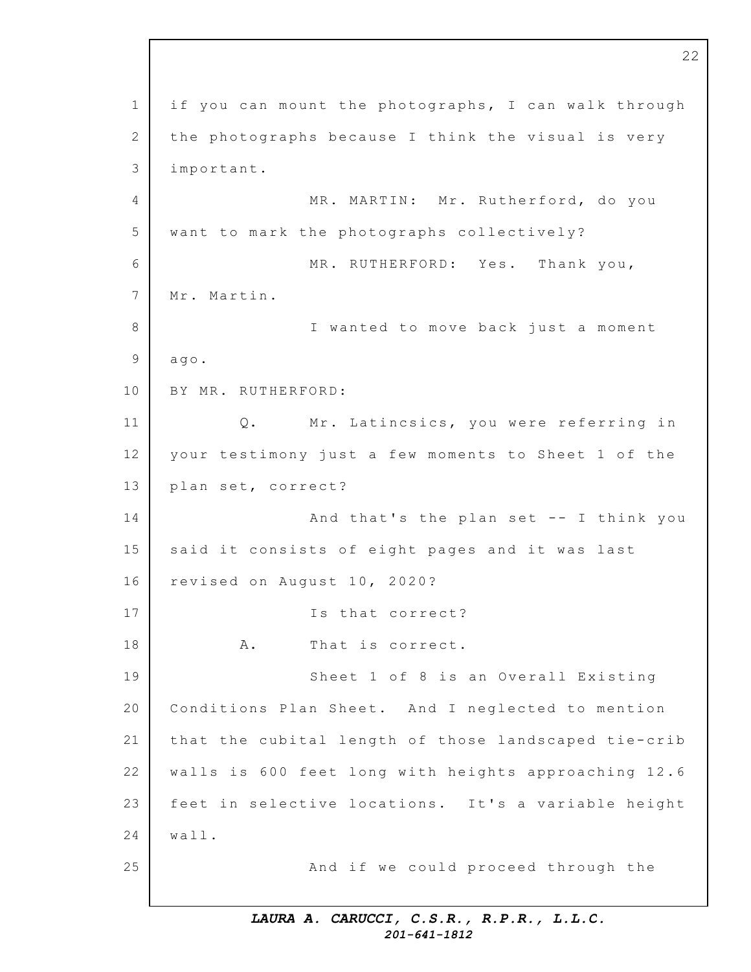1 2 3 4 5 6 7 8 9 10 11 12 13 14 15 16 17 18 19 20 21 22 23 24 25 if you can mount the photographs, I can walk through the photographs because I think the visual is very important. MR. MARTIN: Mr. Rutherford, do you want to mark the photographs collectively? MR. RUTHERFORD: Yes. Thank you, Mr. Martin. I wanted to move back just a moment ago. BY MR. RUTHERFORD: Q. Mr. Latincsics, you were referring in your testimony just a few moments to Sheet 1 of the plan set, correct? And that's the plan set -- I think you said it consists of eight pages and it was last revised on August 10, 2020? Is that correct? A. That is correct. Sheet 1 of 8 is an Overall Existing Conditions Plan Sheet. And I neglected to mention that the cubital length of those landscaped tie-crib walls is 600 feet long with heights approaching 12.6 feet in selective locations. It's a variable height wall. And if we could proceed through the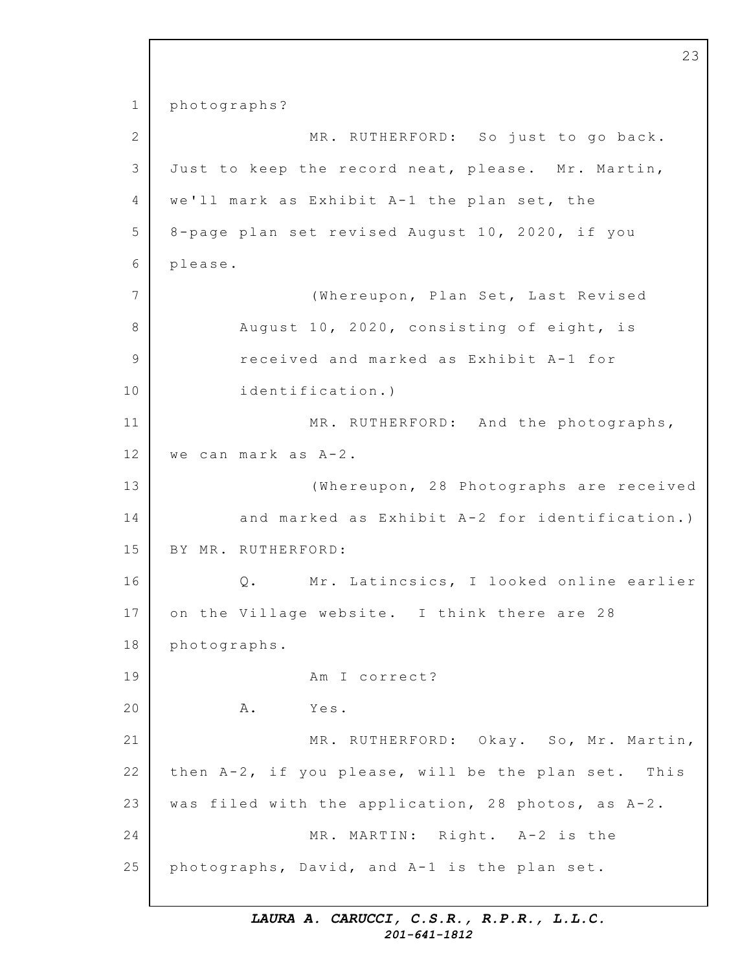1 2 3 4 5 6 7 8 9 10 11 12 13 14 15 16 17 18 19 20 21 22 23 24 25 photographs? MR. RUTHERFORD: So just to go back. Just to keep the record neat, please. Mr. Martin, we'll mark as Exhibit A-1 the plan set, the 8-page plan set revised August 10, 2020, if you please. (Whereupon, Plan Set, Last Revised August 10, 2020, consisting of eight, is received and marked as Exhibit A-1 for identification.) MR. RUTHERFORD: And the photographs, we can mark as  $A-2$ . (Whereupon, 28 Photographs are received and marked as Exhibit  $A-2$  for identification.) BY MR. RUTHERFORD: Q. Mr. Latincsics, I looked online earlier on the Village website. I think there are 28 photographs. Am I correct? A. Yes. MR. RUTHERFORD: Okay. So, Mr. Martin, then  $A-2$ , if you please, will be the plan set. This was filed with the application, 28 photos, as  $A-2$ . MR. MARTIN: Right. A-2 is the photographs, David, and A-1 is the plan set.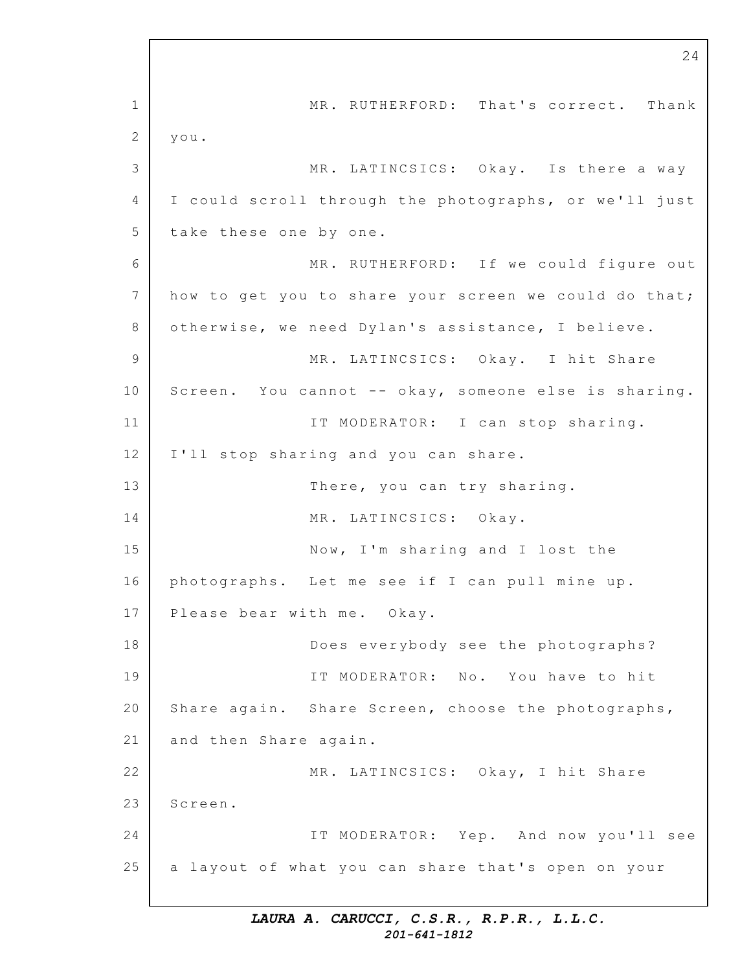1 2 3 4 5 6 7 8 9 10 11 12 13 14 15 16 17 18 19 20 21 22 23 24 25 MR. RUTHERFORD: That's correct. Thank you. MR. LATINCSICS: Okay. Is there a way I could scroll through the photographs, or we'll just take these one by one. MR. RUTHERFORD: If we could figure out how to get you to share your screen we could do that; otherwise, we need Dylan's assistance, I believe. MR. LATINCSICS: Okay. I hit Share Screen. You cannot -- okay, someone else is sharing. IT MODERATOR: I can stop sharing. I'll stop sharing and you can share. There, you can try sharing. MR. LATINCSICS: Okay. Now, I'm sharing and I lost the photographs. Let me see if I can pull mine up. Please bear with me. Okay. Does everybody see the photographs? IT MODERATOR: No. You have to hit Share again. Share Screen, choose the photographs, and then Share again. MR. LATINCSICS: Okay, I hit Share Screen. IT MODERATOR: Yep. And now you'll see a layout of what you can share that's open on your

24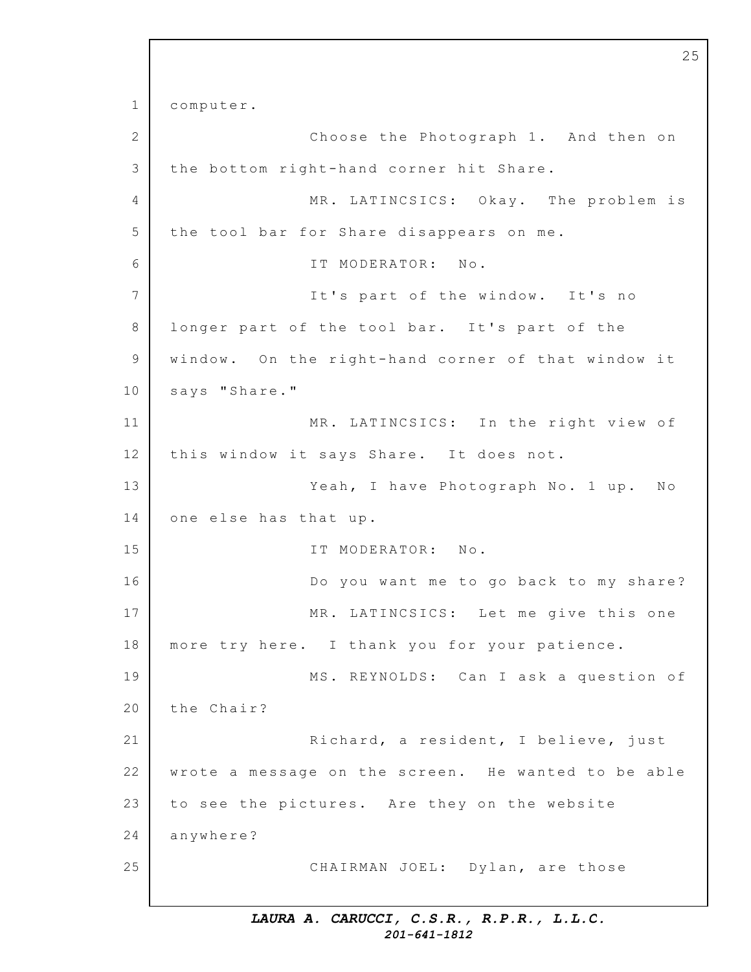1 2 3 4 5 6 7 8 9 10 11 12 13 14 15 16 17 18 19 20 21 22 23 24 25 computer. Choose the Photograph 1. And then on the bottom right-hand corner hit Share. MR. LATINCSICS: Okay. The problem is the tool bar for Share disappears on me. IT MODERATOR: No. It's part of the window. It's no longer part of the tool bar. It's part of the window. On the right-hand corner of that window it says "Share." MR. LATINCSICS: In the right view of this window it says Share. It does not. Yeah, I have Photograph No. 1 up. No one else has that up. IT MODERATOR: No. Do you want me to go back to my share? MR. LATINCSICS: Let me give this one more try here. I thank you for your patience. MS. REYNOLDS: Can I ask a question of the Chair? Richard, a resident, I believe, just wrote a message on the screen. He wanted to be able to see the pictures. Are they on the website anywhere? CHAIRMAN JOEL: Dylan, are those

25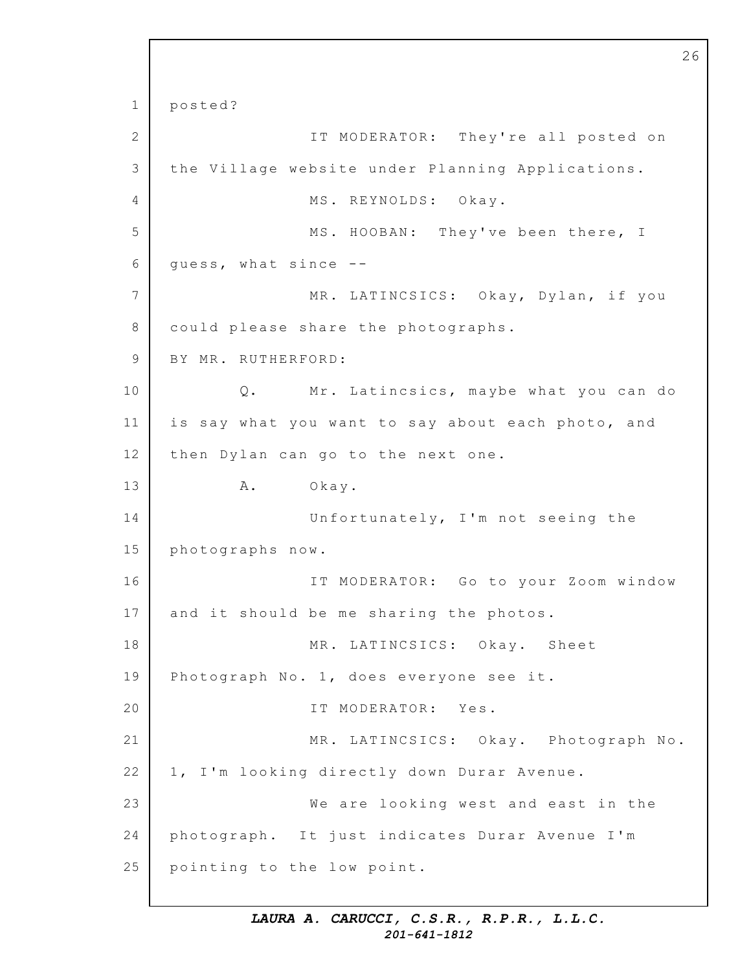1 2 3 4 5 6 7 8 9 10 11 12 13 14 15 16 17 18 19 20 21 22 23 24 25 posted? IT MODERATOR: They're all posted on the Village website under Planning Applications. MS. REYNOLDS: Okay. MS. HOOBAN: They've been there, I guess, what since -- MR. LATINCSICS: Okay, Dylan, if you could please share the photographs. BY MR. RUTHERFORD: Q. Mr. Latincsics, maybe what you can do is say what you want to say about each photo, and then Dylan can go to the next one. A. Okay. Unfortunately, I'm not seeing the photographs now. IT MODERATOR: Go to your Zoom window and it should be me sharing the photos. MR. LATINCSICS: Okay. Sheet Photograph No. 1, does everyone see it. IT MODERATOR: Yes. MR. LATINCSICS: Okay. Photograph No. 1, I'm looking directly down Durar Avenue. We are looking west and east in the photograph. It just indicates Durar Avenue I'm pointing to the low point.

26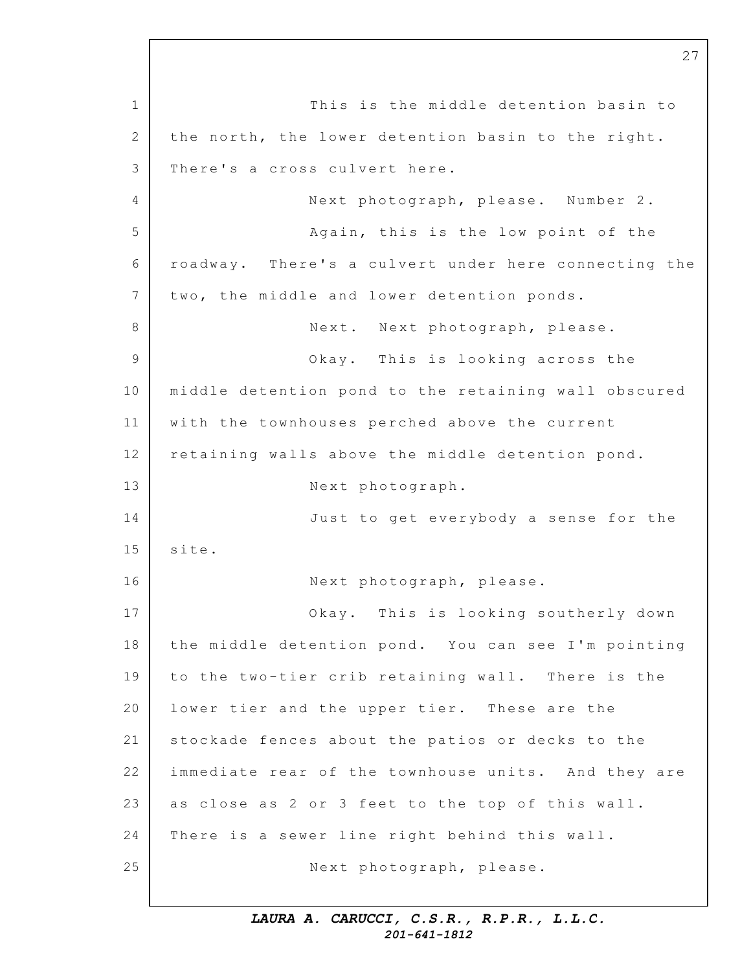1 2 3 4 5 6 7 8 9 10 11 12 13 14 15 16 17 18 19 20 21 22 23 24 25 This is the middle detention basin to the north, the lower detention basin to the right. There's a cross culvert here. Next photograph, please. Number 2. Again, this is the low point of the roadway. There's a culvert under here connecting the two, the middle and lower detention ponds. Next. Next photograph, please. Okay. This is looking across the middle detention pond to the retaining wall obscured with the townhouses perched above the current retaining walls above the middle detention pond. Next photograph. Just to get everybody a sense for the site. Next photograph, please. Okay. This is looking southerly down the middle detention pond. You can see I'm pointing to the two-tier crib retaining wall. There is the lower tier and the upper tier. These are the stockade fences about the patios or decks to the immediate rear of the townhouse units. And they are as close as 2 or 3 feet to the top of this wall. There is a sewer line right behind this wall. Next photograph, please.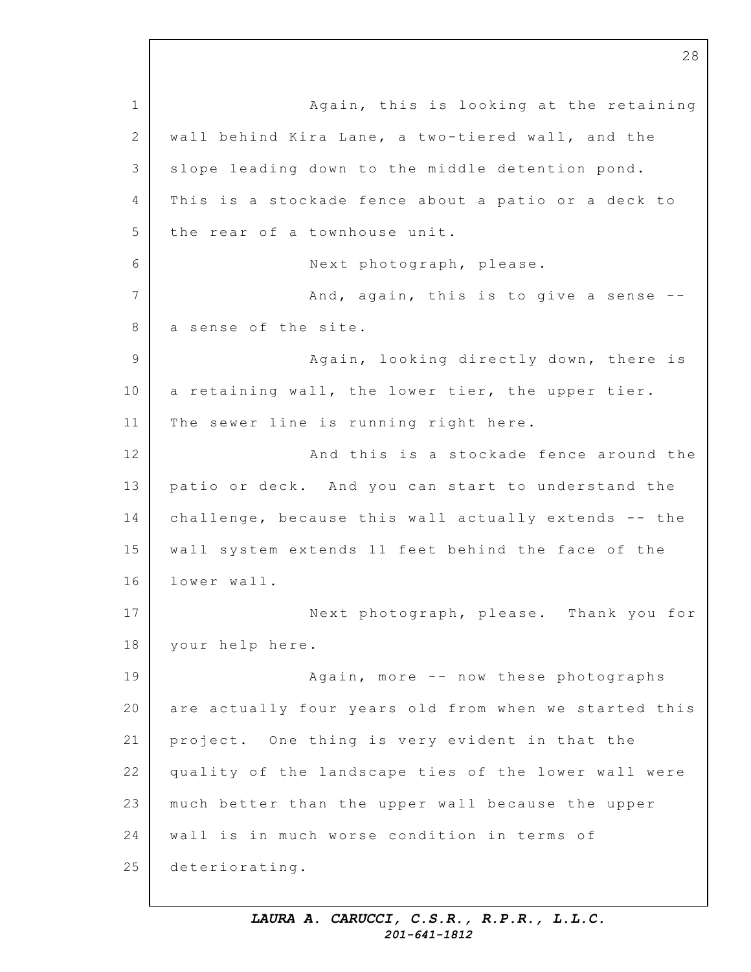1 2 3 4 5 6 7 8 9 10 11 12 13 14 15 16 17 18 19 20 21 22 23 24 25 Again, this is looking at the retaining wall behind Kira Lane, a two-tiered wall, and the slope leading down to the middle detention pond. This is a stockade fence about a patio or a deck to the rear of a townhouse unit. Next photograph, please. And, again, this is to give a sense  $-$ a sense of the site. Again, looking directly down, there is a retaining wall, the lower tier, the upper tier. The sewer line is running right here. And this is a stockade fence around the patio or deck. And you can start to understand the challenge, because this wall actually extends -- the wall system extends 11 feet behind the face of the lower wall. Next photograph, please. Thank you for your help here. Again, more -- now these photographs are actually four years old from when we started this project. One thing is very evident in that the quality of the landscape ties of the lower wall were much better than the upper wall because the upper wall is in much worse condition in terms of deteriorating.

28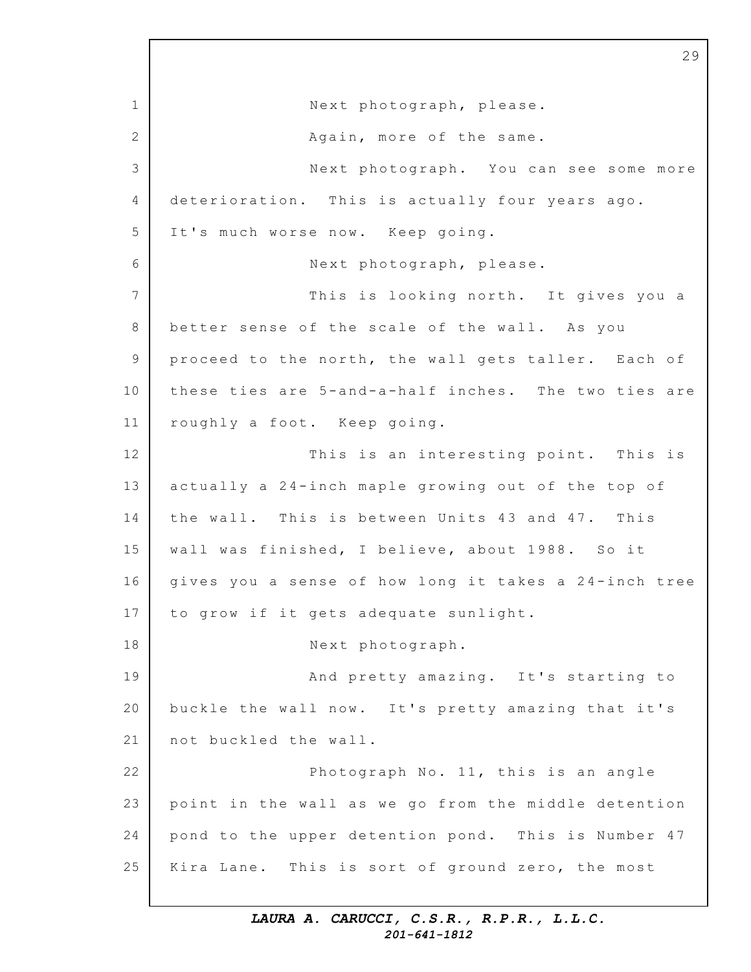1 2 3 4 5 6 7 8 9 10 11 12 13 14 15 16 17 18 19 20 21 22 23 24 25 Next photograph, please. Again, more of the same. Next photograph. You can see some more deterioration. This is actually four years ago. It's much worse now. Keep going. Next photograph, please. This is looking north. It gives you a better sense of the scale of the wall. As you proceed to the north, the wall gets taller. Each of these ties are 5-and-a-half inches. The two ties are roughly a foot. Keep going. This is an interesting point. This is actually a 24-inch maple growing out of the top of the wall. This is between Units 43 and 47. This wall was finished, I believe, about 1988. So it gives you a sense of how long it takes a 24-inch tree to grow if it gets adequate sunlight. Next photograph. And pretty amazing. It's starting to buckle the wall now. It's pretty amazing that it's not buckled the wall. Photograph No.  $11$ , this is an angle point in the wall as we go from the middle detention pond to the upper detention pond. This is Number 47 Kira Lane. This is sort of ground zero, the most

29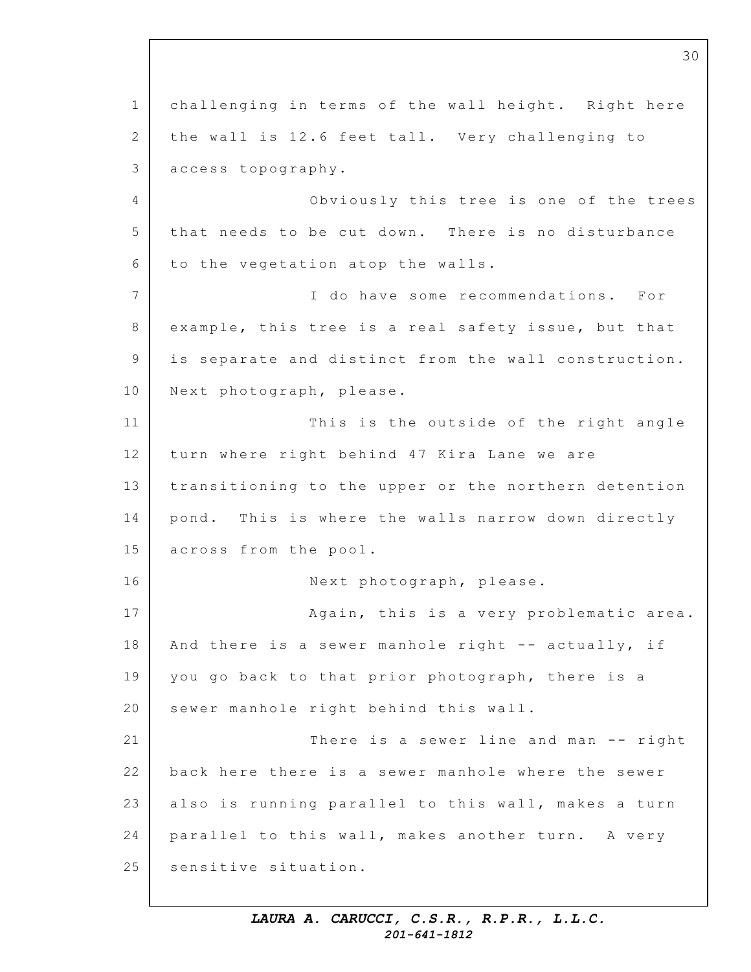1 2 3 4 5 6 7 8 9 10 11 12 13 14 15 16 17 18 19 20 21 22 23 24 25 30 challenging in terms of the wall height. Right here the wall is 12.6 feet tall. Very challenging to access topography. Obviously this tree is one of the trees that needs to be cut down. There is no disturbance to the vegetation atop the walls. I do have some recommendations. For example, this tree is a real safety issue, but that is separate and distinct from the wall construction. Next photograph, please. This is the outside of the right angle turn where right behind 47 Kira Lane we are transitioning to the upper or the northern detention pond. This is where the walls narrow down directly across from the pool. Next photograph, please. Again, this is a very problematic area. And there is a sewer manhole right  $--$  actually, if you go back to that prior photograph, there is a sewer manhole right behind this wall. There is a sewer line and man  $--$  right back here there is a sewer manhole where the sewer also is running parallel to this wall, makes a turn parallel to this wall, makes another turn. A very sensitive situation.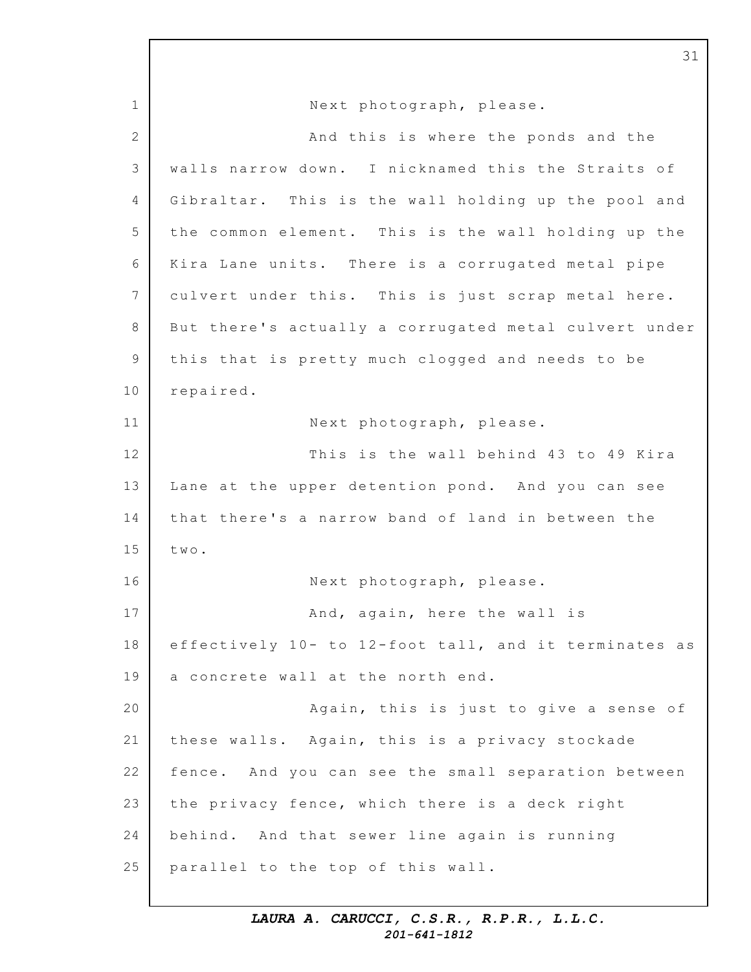1 2 3 4 5 6 7 8 9 10 11 12 13 14 15 16 17 18 19 20 21 22 23 24 25 Next photograph, please. And this is where the ponds and the walls narrow down. I nicknamed this the Straits of Gibraltar. This is the wall holding up the pool and the common element. This is the wall holding up the Kira Lane units. There is a corrugated metal pipe culvert under this. This is just scrap metal here. But there's actually a corrugated metal culvert under this that is pretty much clogged and needs to be repaired. Next photograph, please. This is the wall behind 43 to 49 Kira Lane at the upper detention pond. And you can see that there's a narrow band of land in between the two. Next photograph, please. And, again, here the wall is effectively  $10 -$  to  $12$ -foot tall, and it terminates as a concrete wall at the north end. Again, this is just to give a sense of these walls. Again, this is a privacy stockade fence. And you can see the small separation between the privacy fence, which there is a deck right behind. And that sewer line again is running parallel to the top of this wall.

31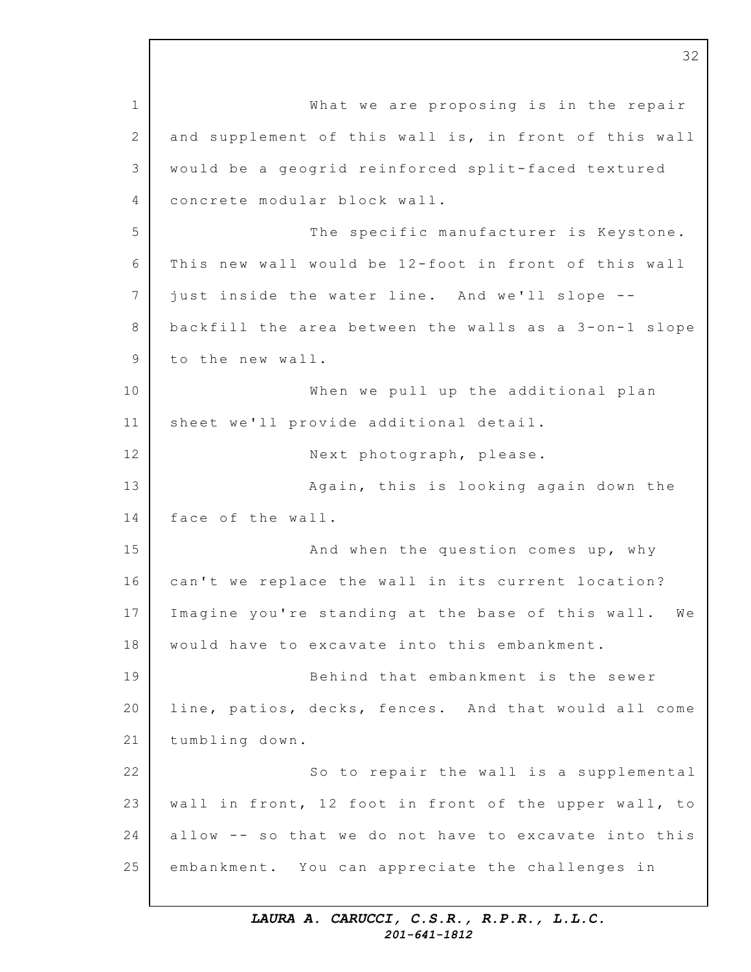1 2 3  $\Delta$ 5 6 7 8 9 10 11 12 13 14 15 16 17 18 19 20 21 22 23 24 25 What we are proposing is in the repair and supplement of this wall is, in front of this wall would be a geogrid reinforced split-faced textured concrete modular block wall. The specific manufacturer is Keystone. This new wall would be 12-foot in front of this wall just inside the water line. And we'll slope -backfill the area between the walls as a  $3$ -on-1 slope to the new wall. When we pull up the additional plan sheet we'll provide additional detail. Next photograph, please. Again, this is looking again down the face of the wall. And when the question comes up, why can't we replace the wall in its current location? Imagine you're standing at the base of this wall. We would have to excavate into this embankment. Behind that embankment is the sewer line, patios, decks, fences. And that would all come tumbling down. So to repair the wall is a supplemental wall in front, 12 foot in front of the upper wall, to allow  $-$ - so that we do not have to excavate into this embankment. You can appreciate the challenges in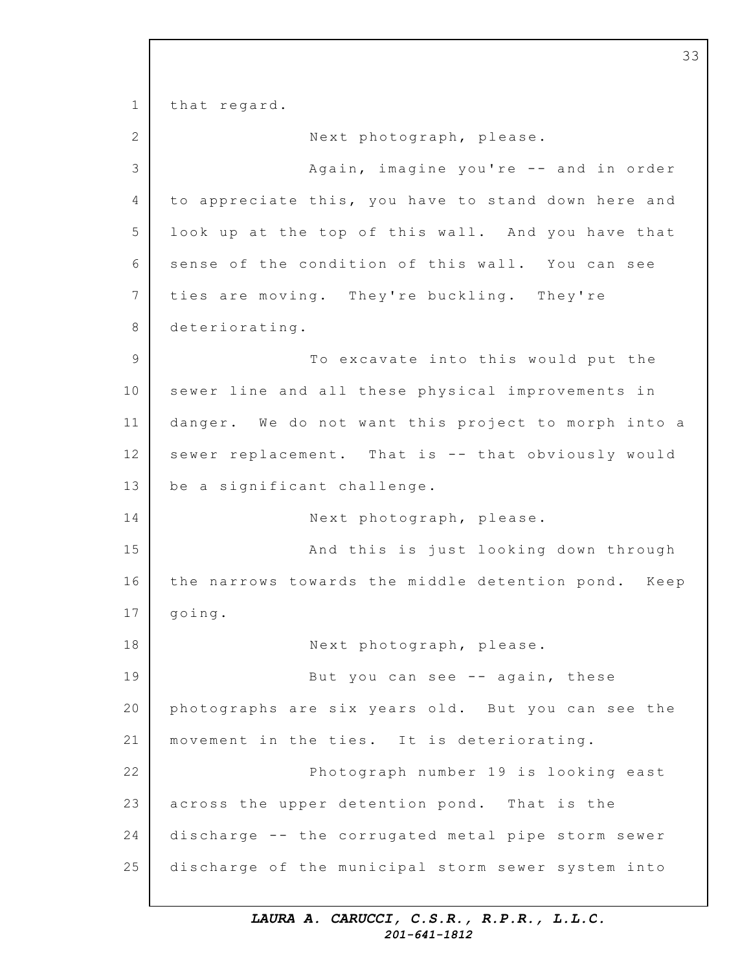1 2 3 4 5 6 7 8 9 10 11 12 13 14 15 16 17 18 19 20 21 22 23 24 25 that regard. Next photograph, please. Again, imagine you're  $--$  and in order to appreciate this, you have to stand down here and look up at the top of this wall. And you have that sense of the condition of this wall. You can see ties are moving. They're buckling. They're deteriorating. To excavate into this would put the sewer line and all these physical improvements in danger. We do not want this project to morph into a sewer replacement. That is -- that obviously would be a significant challenge. Next photograph, please. And this is just looking down through the narrows towards the middle detention pond. Keep going. Next photograph, please. But you can see -- again, these photographs are six years old. But you can see the movement in the ties. It is deteriorating. Photograph number 19 is looking east across the upper detention pond. That is the discharge -- the corrugated metal pipe storm sewer discharge of the municipal storm sewer system into

33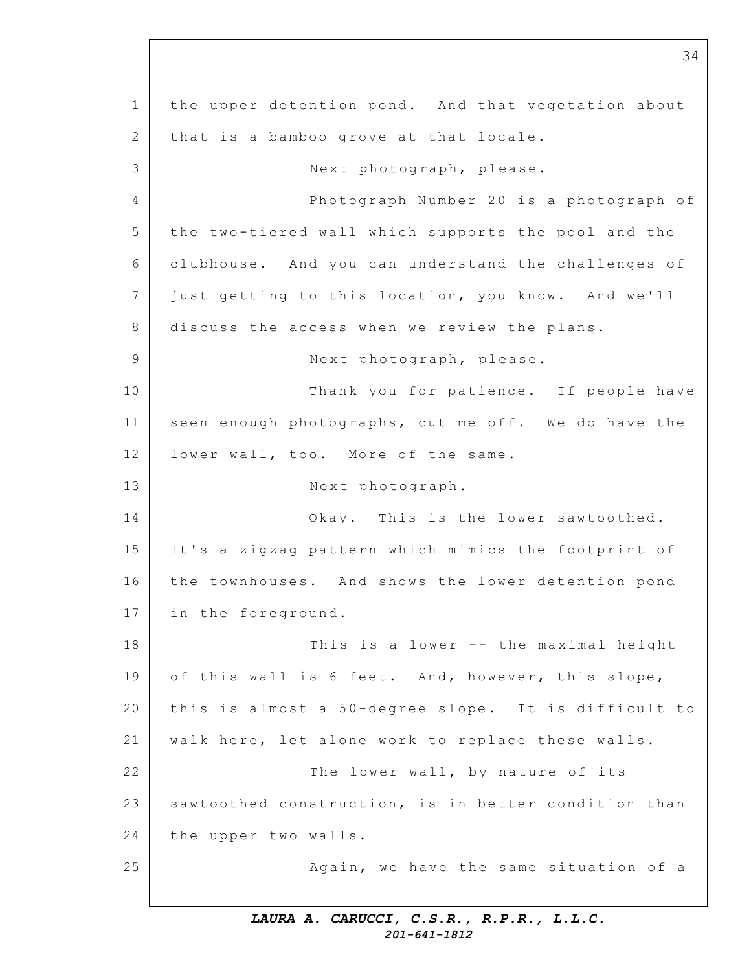1 2 3 4 5 6 7 8 9 10 11 12 13 14 15 16 17 18 19 20 21 22 23 24 25 the upper detention pond. And that vegetation about that is a bamboo grove at that locale. Next photograph, please. Photograph Number 20 is a photograph of the two-tiered wall which supports the pool and the clubhouse. And you can understand the challenges of just getting to this location, you know. And we'll discuss the access when we review the plans. Next photograph, please. Thank you for patience. If people have seen enough photographs, cut me off. We do have the lower wall, too. More of the same. Next photograph. Okay. This is the lower sawtoothed. It's a zigzag pattern which mimics the footprint of the townhouses. And shows the lower detention pond in the foreground. This is a lower  $--$  the maximal height of this wall is 6 feet. And, however, this slope, this is almost a 50-degree slope. It is difficult to walk here, let alone work to replace these walls. The lower wall, by nature of its sawtoothed construction, is in better condition than the upper two walls. Again, we have the same situation of a

34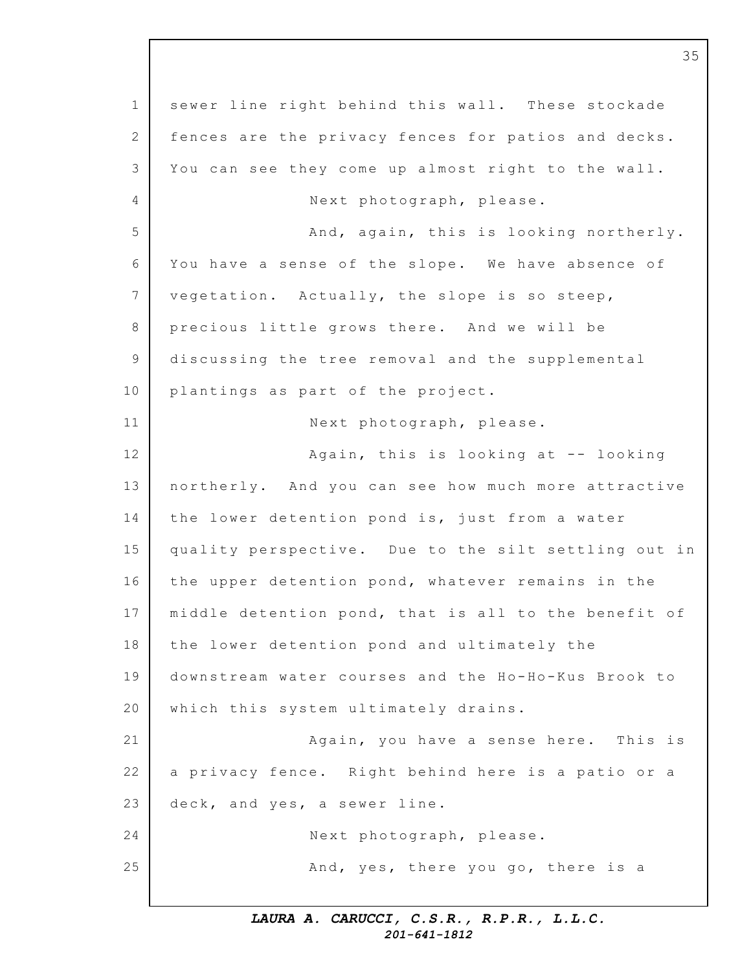1 2 3 4 5 6 7 8 9 10 11 12 13 14 15 16 17 18 19 20 21 22 23 24 25 sewer line right behind this wall. These stockade fences are the privacy fences for patios and decks. You can see they come up almost right to the wall. Next photograph, please. And, again, this is looking northerly. You have a sense of the slope. We have absence of vegetation. Actually, the slope is so steep, precious little grows there. And we will be discussing the tree removal and the supplemental plantings as part of the project. Next photograph, please. Again, this is looking at  $-$  looking northerly. And you can see how much more attractive the lower detention pond is, just from a water quality perspective. Due to the silt settling out in the upper detention pond, whatever remains in the middle detention pond, that is all to the benefit of the lower detention pond and ultimately the downstream water courses and the Ho-Ho-Kus Brook to which this system ultimately drains. Again, you have a sense here. This is a privacy fence. Right behind here is a patio or a deck, and yes, a sewer line. Next photograph, please. And, yes, there you go, there is a

35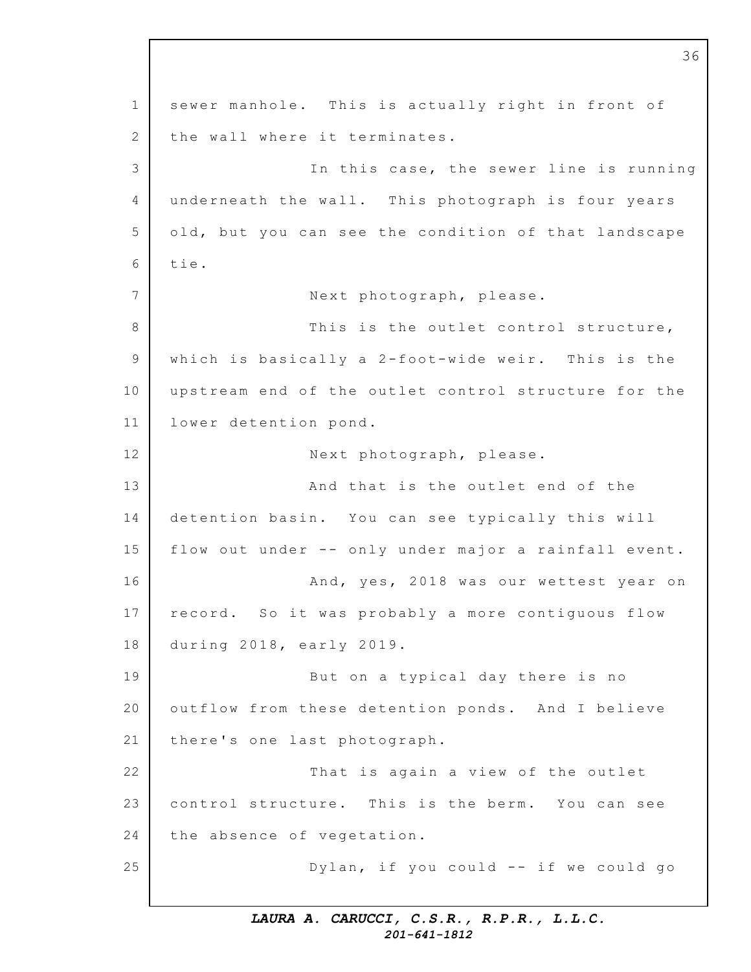1 2 3 4 5 6 7 8 9 10 11 12 13 14 15 16 17 18 19 20 21 22 23 24 25 sewer manhole. This is actually right in front of the wall where it terminates. In this case, the sewer line is running underneath the wall. This photograph is four years old, but you can see the condition of that landscape tie. Next photograph, please. This is the outlet control structure, which is basically a  $2$ -foot-wide weir. This is the upstream end of the outlet control structure for the lower detention pond. Next photograph, please. And that is the outlet end of the detention basin. You can see typically this will flow out under -- only under major a rainfall event. And, yes, 2018 was our wettest year on record. So it was probably a more contiguous flow during 2018, early 2019. But on a typical day there is no outflow from these detention ponds. And I believe there's one last photograph. That is again a view of the outlet control structure. This is the berm. You can see the absence of vegetation. Dylan, if you could  $--$  if we could go

36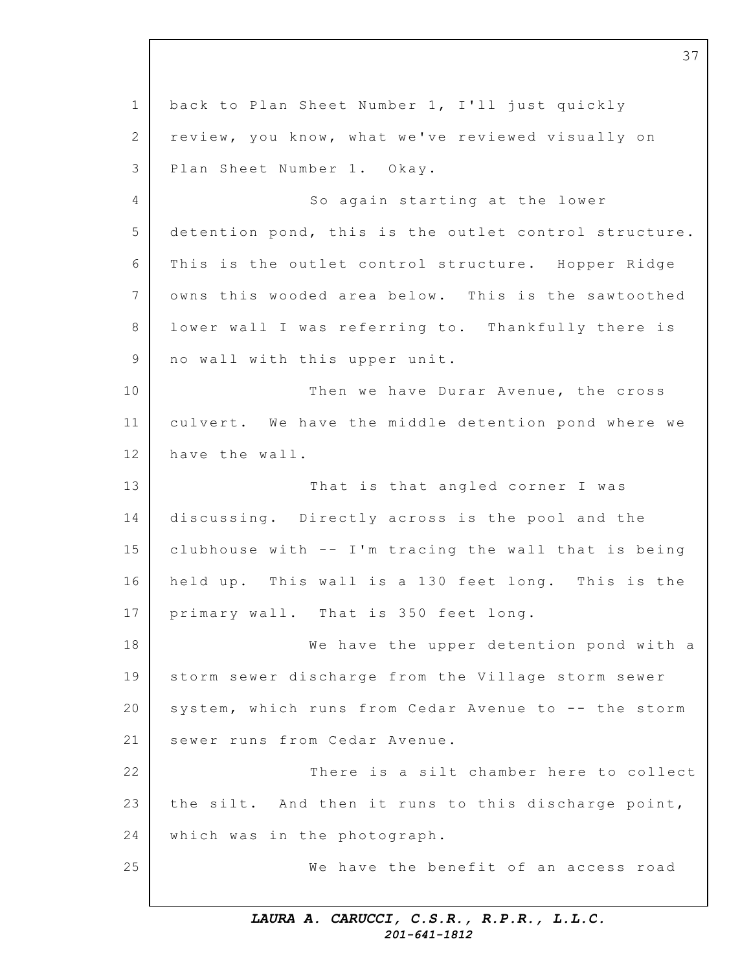1 2 3 4 5 6 7 8 9 10 11 12 13 14 15 16 17 18 19 20 21 22 23 24 25 37 back to Plan Sheet Number 1, I'll just quickly review, you know, what we've reviewed visually on Plan Sheet Number 1. Okay. So again starting at the lower detention pond, this is the outlet control structure. This is the outlet control structure. Hopper Ridge owns this wooded area below. This is the sawtoothed lower wall I was referring to. Thankfully there is no wall with this upper unit. Then we have Durar Avenue, the cross culvert. We have the middle detention pond where we have the wall. That is that angled corner I was discussing. Directly across is the pool and the clubhouse with  $--$  I'm tracing the wall that is being held up. This wall is a 130 feet long. This is the primary wall. That is 350 feet long. We have the upper detention pond with a storm sewer discharge from the Village storm sewer system, which runs from Cedar Avenue to -- the storm sewer runs from Cedar Avenue. There is a silt chamber here to collect the silt. And then it runs to this discharge point, which was in the photograph. We have the benefit of an access road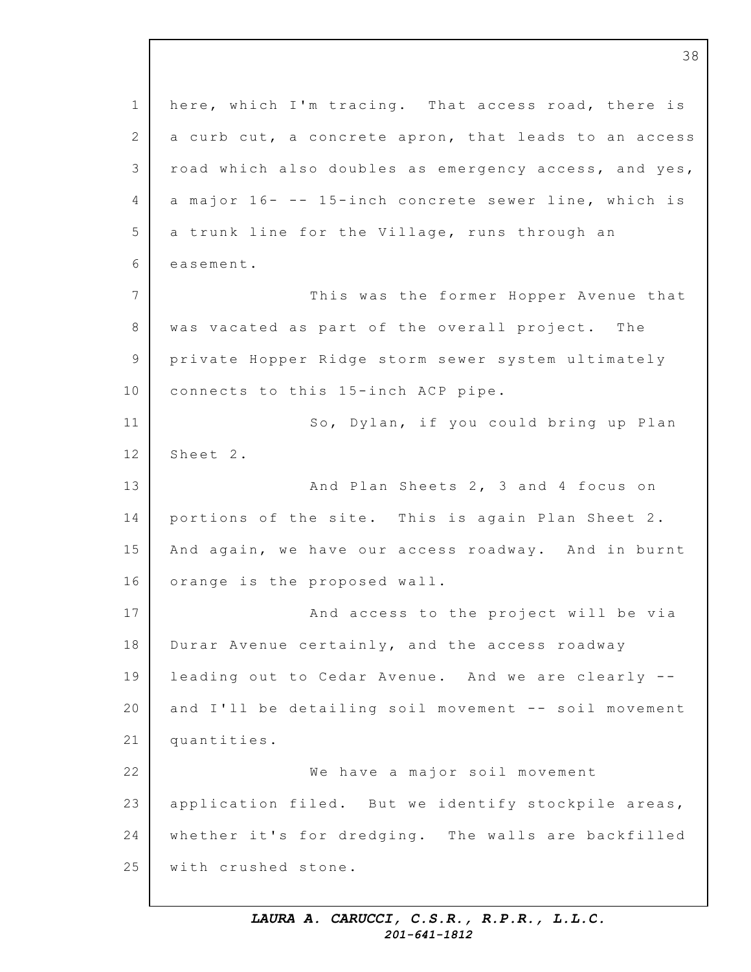1 2 3 4 5 6 7 8 9 10 11 12 13 14 15 16 17 18 19 20 21 22 23 24 25 here, which I'm tracing. That access road, there is a curb cut, a concrete apron, that leads to an access road which also doubles as emergency access, and yes, a major 16- -- 15-inch concrete sewer line, which is a trunk line for the Village, runs through an easement. This was the former Hopper Avenue that was vacated as part of the overall project. The private Hopper Ridge storm sewer system ultimately connects to this 15-inch ACP pipe. So, Dylan, if you could bring up Plan Sheet 2. And Plan Sheets 2, 3 and 4 focus on portions of the site. This is again Plan Sheet 2. And again, we have our access roadway. And in burnt orange is the proposed wall. And access to the project will be via Durar Avenue certainly, and the access roadway leading out to Cedar Avenue. And we are clearly -and I'll be detailing soil movement -- soil movement quantities. We have a major soil movement application filed. But we identify stockpile areas, whether it's for dredging. The walls are backfilled with crushed stone.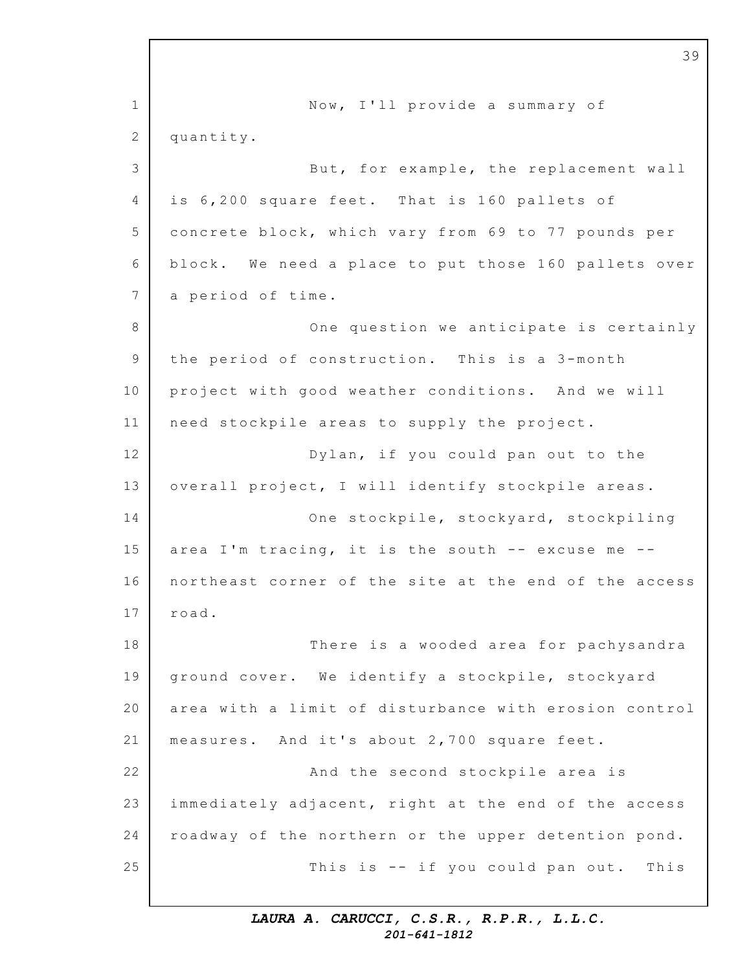1 2 3 4 5 6 7 8 9 10 11 12 13 14 15 16 17 18 19 20 21 22 23 24 25 39 Now, I'll provide a summary of quantity. But, for example, the replacement wall is 6,200 square feet. That is 160 pallets of concrete block, which vary from 69 to 77 pounds per block. We need a place to put those 160 pallets over a period of time. One question we anticipate is certainly the period of construction. This is a 3-month project with good weather conditions. And we will need stockpile areas to supply the project. Dylan, if you could pan out to the overall project, I will identify stockpile areas. One stockpile, stockyard, stockpiling area I'm tracing, it is the south  $-$ - excuse me  $-$ northeast corner of the site at the end of the access road. There is a wooded area for pachysandra ground cover. We identify a stockpile, stockyard area with a limit of disturbance with erosion control measures. And it's about 2,700 square feet. And the second stockpile area is immediately adjacent, right at the end of the access roadway of the northern or the upper detention pond. This is  $-$  if you could pan out. This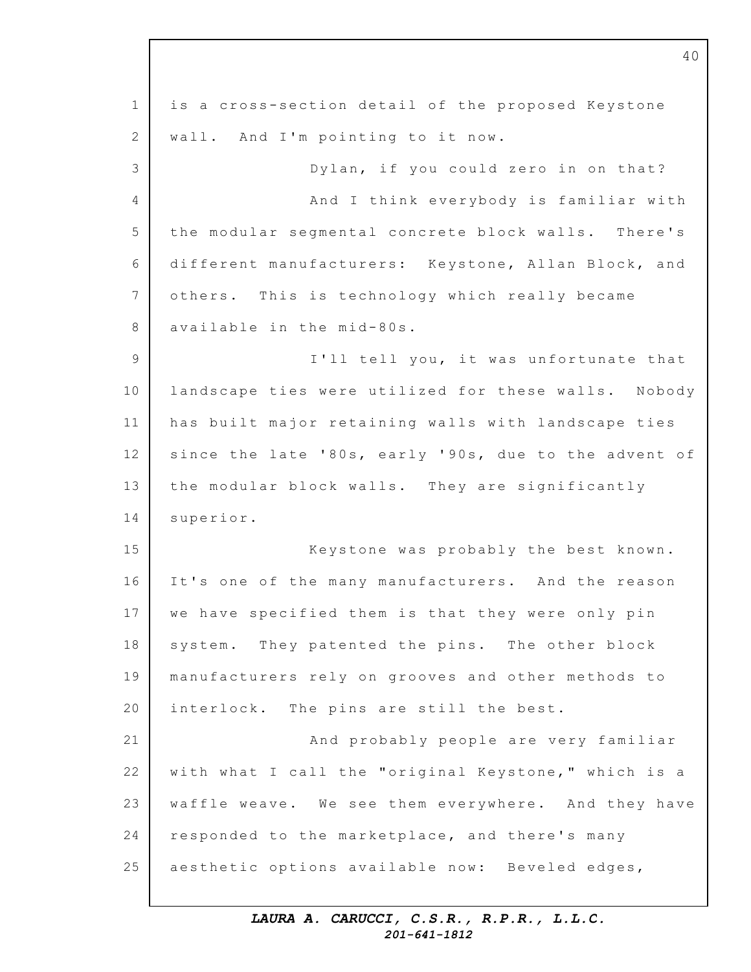1 2 3 4 5 6 7 8 9 10 11 12 13 14 15 16 17 18 19 20 21 22 23 24 25 is a cross-section detail of the proposed Keystone wall. And I'm pointing to it now. Dylan, if you could zero in on that? And I think everybody is familiar with the modular segmental concrete block walls. There's different manufacturers: Keystone, Allan Block, and others. This is technology which really became available in the mid-80s. I'll tell you, it was unfortunate that landscape ties were utilized for these walls. Nobody has built major retaining walls with landscape ties since the late '80s, early '90s, due to the advent of the modular block walls. They are significantly superior. Keystone was probably the best known. It's one of the many manufacturers. And the reason we have specified them is that they were only pin system. They patented the pins. The other block manufacturers rely on grooves and other methods to interlock. The pins are still the best. And probably people are very familiar with what I call the "original Keystone," which is a waffle weave. We see them everywhere. And they have responded to the marketplace, and there's many aesthetic options available now: Beveled edges,

40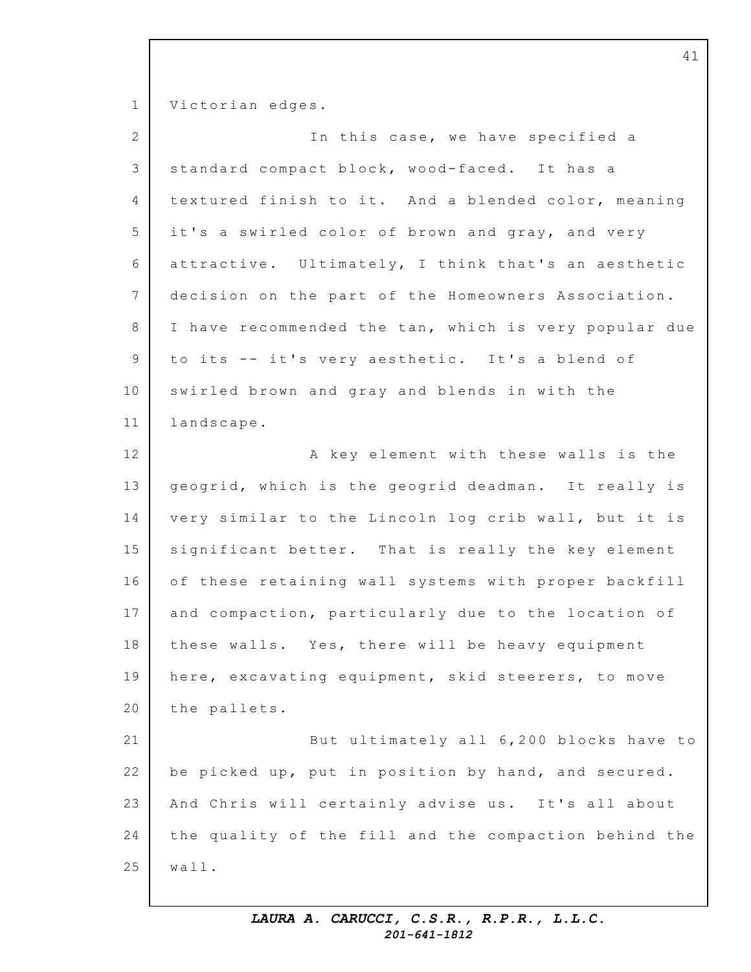1 2 3 4 5 6 7 8 9 10 11 12 13 14 15 16 17 18 19 20 21 22 23 24 25 Victorian edges. In this case, we have specified a standard compact block, wood-faced. It has a textured finish to it. And a blended color, meaning it's a swirled color of brown and gray, and very attractive. Ultimately, I think that's an aesthetic decision on the part of the Homeowners Association. I have recommended the tan, which is very popular due to its -- it's very aesthetic. It's a blend of swirled brown and gray and blends in with the landscape. A key element with these walls is the geogrid, which is the geogrid deadman. It really is very similar to the Lincoln log crib wall, but it is significant better. That is really the key element of these retaining wall systems with proper backfill and compaction, particularly due to the location of these walls. Yes, there will be heavy equipment here, excavating equipment, skid steerers, to move the pallets. But ultimately all 6,200 blocks have to be picked up, put in position by hand, and secured. And Chris will certainly advise us. It's all about the quality of the fill and the compaction behind the wall.

41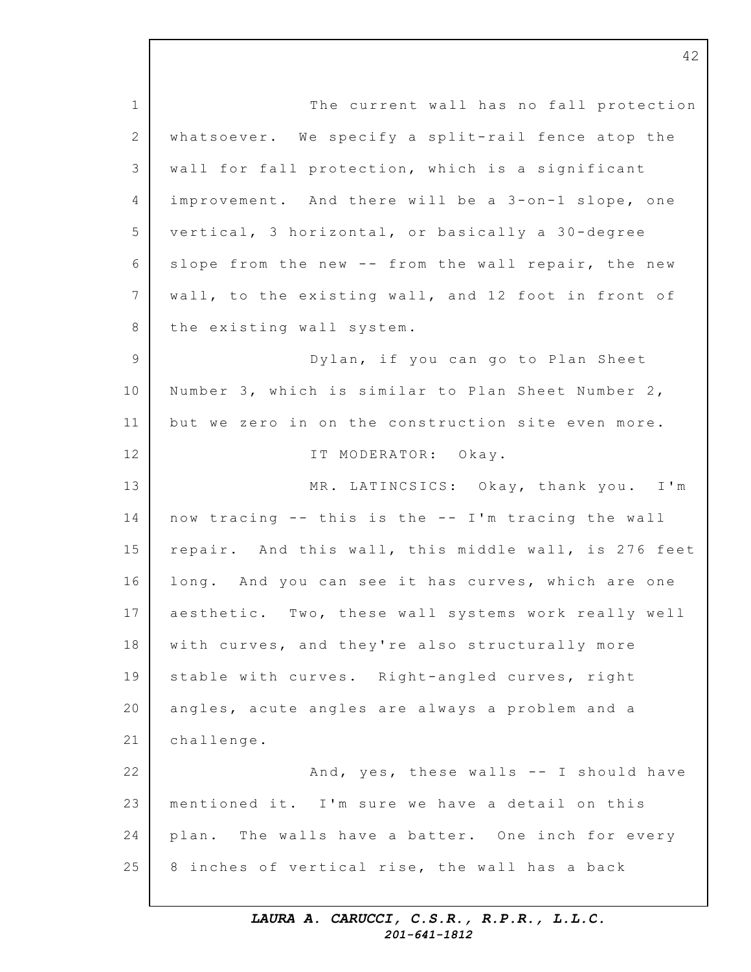1 2 3 4 5 6 7 8 9 10 11 12 13 14 15 16 17 18 19 20 21 22 23 24 25 The current wall has no fall protection whatsoever. We specify a split-rail fence atop the wall for fall protection, which is a significant improvement. And there will be a 3-on-1 slope, one vertical, 3 horizontal, or basically a  $30$ -degree slope from the new -- from the wall repair, the new wall, to the existing wall, and 12 foot in front of the existing wall system. Dylan, if you can go to Plan Sheet Number 3, which is similar to Plan Sheet Number 2, but we zero in on the construction site even more. IT MODERATOR: Okay. MR. LATINCSICS: Okay, thank you. I'm now tracing -- this is the -- I'm tracing the wall repair. And this wall, this middle wall, is 276 feet long. And you can see it has curves, which are one aesthetic. Two, these wall systems work really well with curves, and they're also structurally more stable with curves. Right-angled curves, right angles, acute angles are always a problem and a challenge. And, yes, these walls -- I should have mentioned it. I'm sure we have a detail on this plan. The walls have a batter. One inch for every 8 inches of vertical rise, the wall has a back

> *LAURA A. CARUCCI, C.S.R., R.P.R., L.L.C. 201-641-1812*

42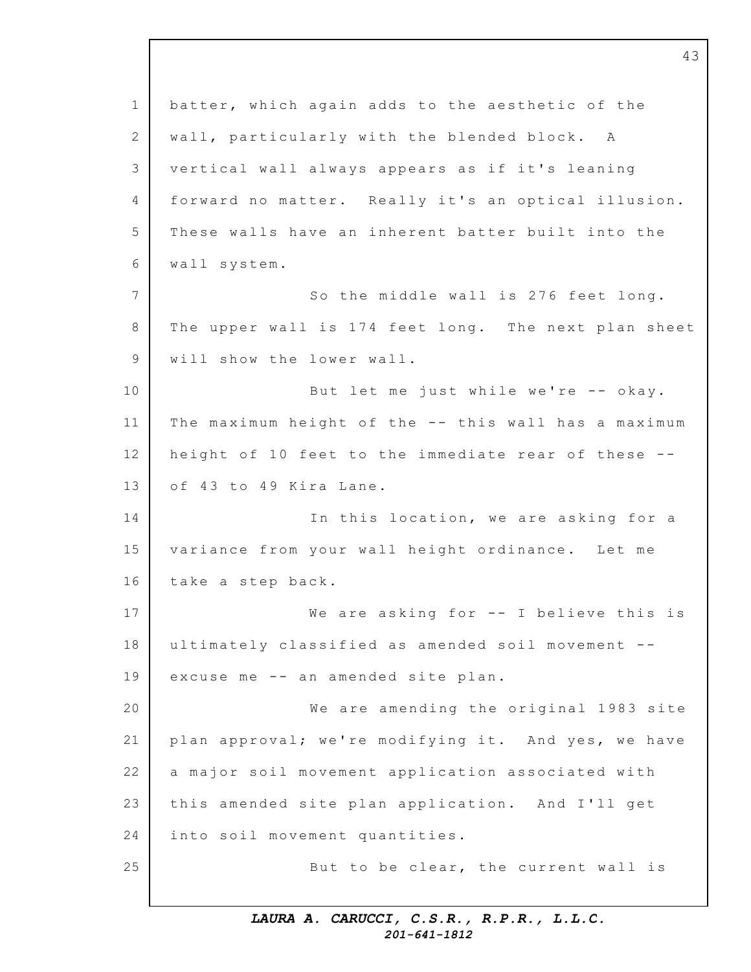1 2 3 4 5 6 7 8 9 10 11 12 13 14 15 16 17 18 19 20 21 22 23 24 25 batter, which again adds to the aesthetic of the wall, particularly with the blended block. A vertical wall always appears as if it's leaning forward no matter. Really it's an optical illusion. These walls have an inherent batter built into the wall system. So the middle wall is 276 feet long. The upper wall is 174 feet long. The next plan sheet will show the lower wall. But let me just while we're -- okay. The maximum height of the -- this wall has a maximum height of 10 feet to the immediate rear of these -of 43 to 49 Kira Lane. In this location, we are asking for a variance from your wall height ordinance. Let me take a step back. We are asking for  $--$  I believe this is ultimately classified as amended soil movement -excuse me -- an amended site plan. We are amending the original 1983 site plan approval; we're modifying it. And yes, we have a major soil movement application associated with this amended site plan application. And I'll get into soil movement quantities. But to be clear, the current wall is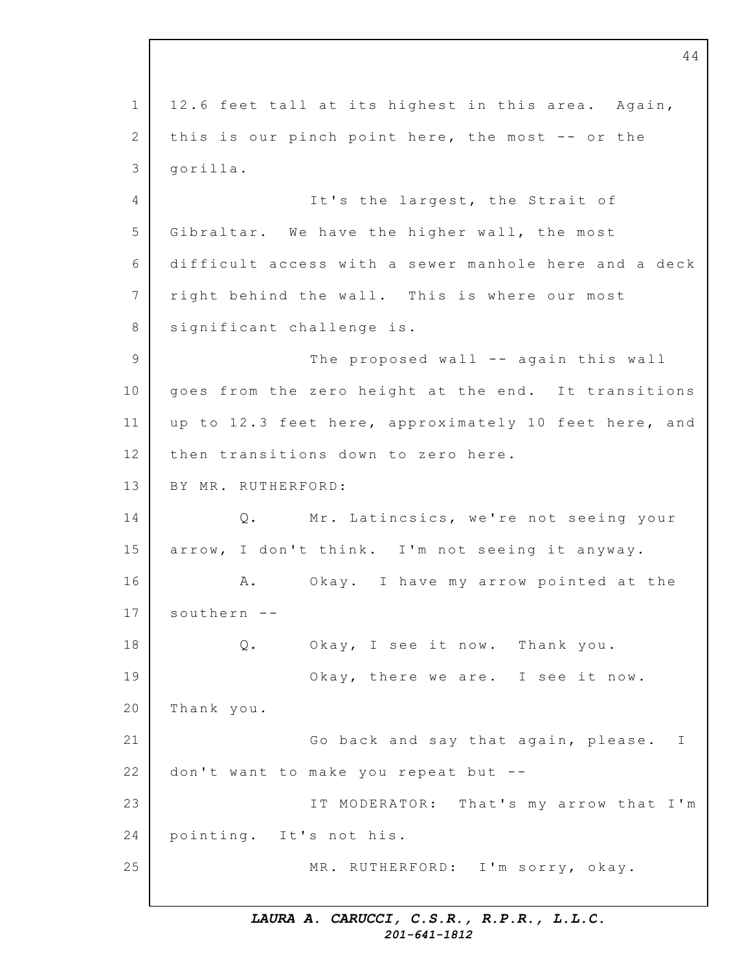1 2 3 4 5 6 7 8 9 10 11 12 13 14 15 16 17 18 19 20 21 22 23 24 25 44 12.6 feet tall at its highest in this area. Again, this is our pinch point here, the most  $-$ - or the gorilla. It's the largest, the Strait of Gibraltar. We have the higher wall, the most difficult access with a sewer manhole here and a deck right behind the wall. This is where our most significant challenge is. The proposed wall -- again this wall goes from the zero height at the end. It transitions up to 12.3 feet here, approximately 10 feet here, and then transitions down to zero here. BY MR. RUTHERFORD: Q. Mr. Latincsics, we're not seeing your arrow, I don't think. I'm not seeing it anyway. A. Okay. I have my arrow pointed at the southern -- Q. Okay, I see it now. Thank you. Okay, there we are. I see it now. Thank you. Go back and say that again, please. I don't want to make you repeat but  $-$ -IT MODERATOR: That's my arrow that I'm pointing. It's not his. MR. RUTHERFORD: I'm sorry, okay.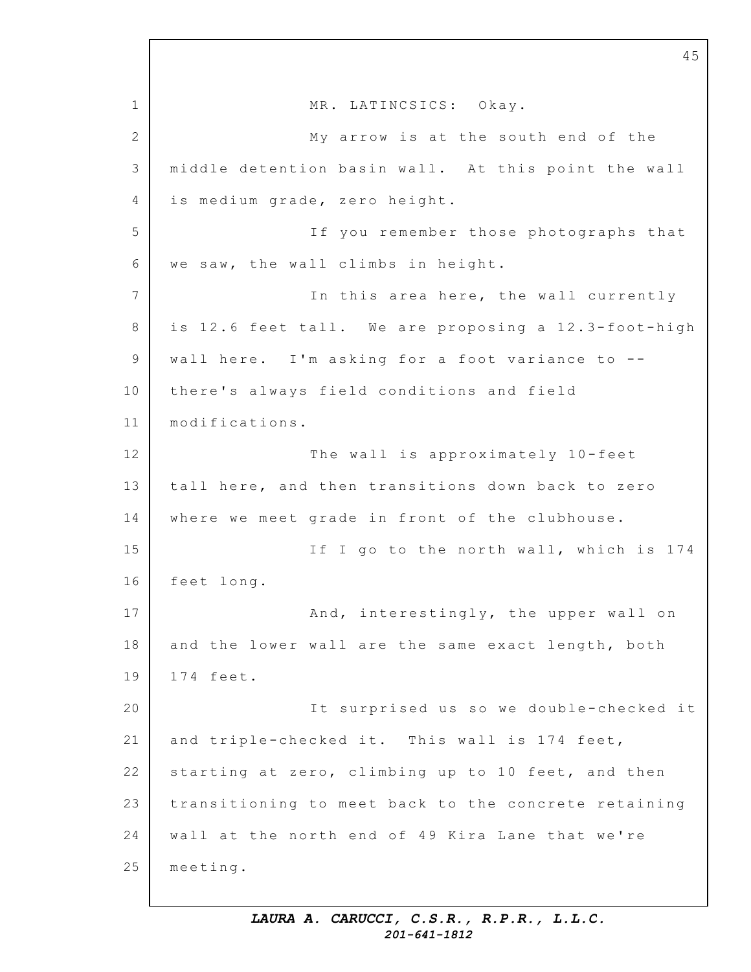1 2 3 4 5 6 7 8 9 10 11 12 13 14 15 16 17 18 19 20 21 22 23 24 25 MR. LATINCSICS: Okay. My arrow is at the south end of the middle detention basin wall. At this point the wall is medium grade, zero height. If you remember those photographs that we saw, the wall climbs in height. In this area here, the wall currently is  $12.6$  feet tall. We are proposing a  $12.3$ -foot-high wall here. I'm asking for a foot variance to  $-$ there's always field conditions and field modifications. The wall is approximately 10-feet tall here, and then transitions down back to zero where we meet grade in front of the clubhouse. If I go to the north wall, which is 174 feet long. And, interestingly, the upper wall on and the lower wall are the same exact length, both 174 feet. It surprised us so we double-checked it and triple-checked it. This wall is 174 feet, starting at zero, climbing up to 10 feet, and then transitioning to meet back to the concrete retaining wall at the north end of 49 Kira Lane that we're meeting.

45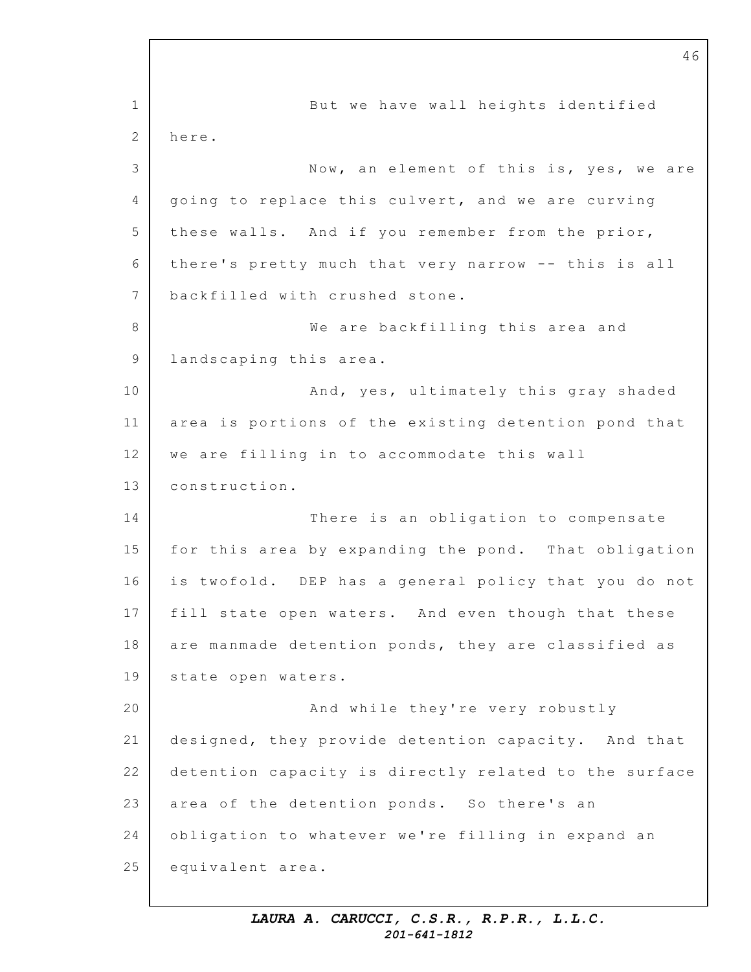1 2 3 4 5 6 7 8 9 10 11 12 13 14 15 16 17 18 19 20 21 22 23 24 25 But we have wall heights identified here. Now, an element of this is, yes, we are going to replace this culvert, and we are curving these walls. And if you remember from the prior, there's pretty much that very narrow -- this is all backfilled with crushed stone. We are backfilling this area and landscaping this area. And, yes, ultimately this gray shaded area is portions of the existing detention pond that we are filling in to accommodate this wall construction. There is an obligation to compensate for this area by expanding the pond. That obligation is twofold. DEP has a general policy that you do not fill state open waters. And even though that these are manmade detention ponds, they are classified as state open waters. And while they're very robustly designed, they provide detention capacity. And that detention capacity is directly related to the surface area of the detention ponds. So there's an obligation to whatever we're filling in expand an equivalent area.

46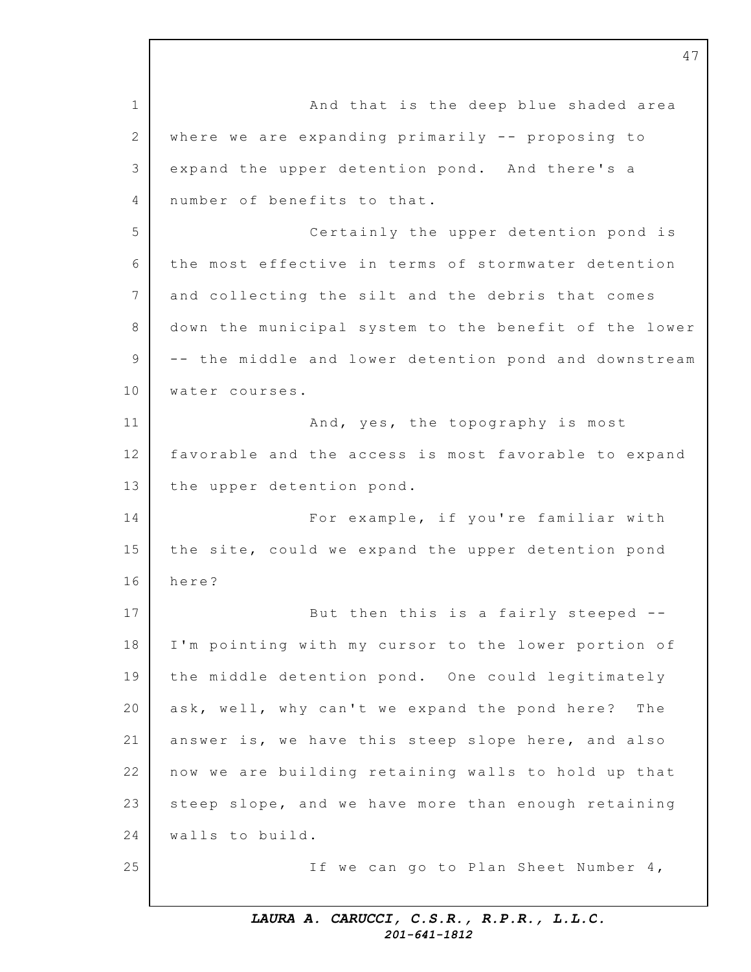1 2 3 4 5 6 7 8 9 10 11 12 13 14 15 16 17 18 19 20 21 22 23 24 25 And that is the deep blue shaded area where we are expanding primarily  $--$  proposing to expand the upper detention pond. And there's a number of benefits to that. Certainly the upper detention pond is the most effective in terms of stormwater detention and collecting the silt and the debris that comes down the municipal system to the benefit of the lower -- the middle and lower detention pond and downstream water courses. And, yes, the topography is most favorable and the access is most favorable to expand the upper detention pond. For example, if you're familiar with the site, could we expand the upper detention pond here? But then this is a fairly steeped --I'm pointing with my cursor to the lower portion of the middle detention pond. One could legitimately ask, well, why can't we expand the pond here? The answer is, we have this steep slope here, and also now we are building retaining walls to hold up that steep slope, and we have more than enough retaining walls to build. If we can go to Plan Sheet Number 4,

47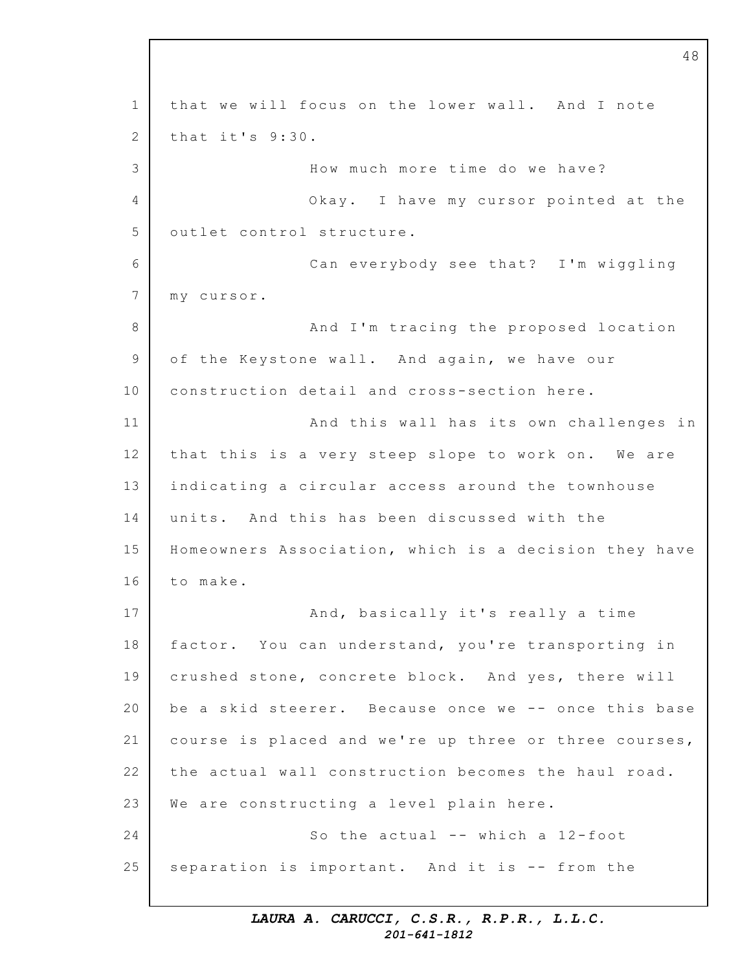1 2 3 4 5 6 7 8 9 10 11 12 13 14 15 16 17 18 19 20 21 22 23 24 25 that we will focus on the lower wall. And I note that it's  $9:30$ . How much more time do we have? Okay. I have my cursor pointed at the outlet control structure. Can everybody see that? I'm wiggling m y cursor. And I'm tracing the proposed location of the Keystone wall. And again, we have our construction detail and cross-section here. And this wall has its own challenges in that this is a very steep slope to work on. We are indicating a circular access around the townhouse units. And this has been discussed with the Homeowners Association, which is a decision they have to make. And, basically it's really a time factor. You can understand, you're transporting in crushed stone, concrete block. And yes, there will be a skid steerer. Because once we -- once this base course is placed and we're up three or three courses, the actual wall construction becomes the haul road. We are constructing a level plain here. So the actual  $--$  which a 12-foot separation is important. And it is -- from the

48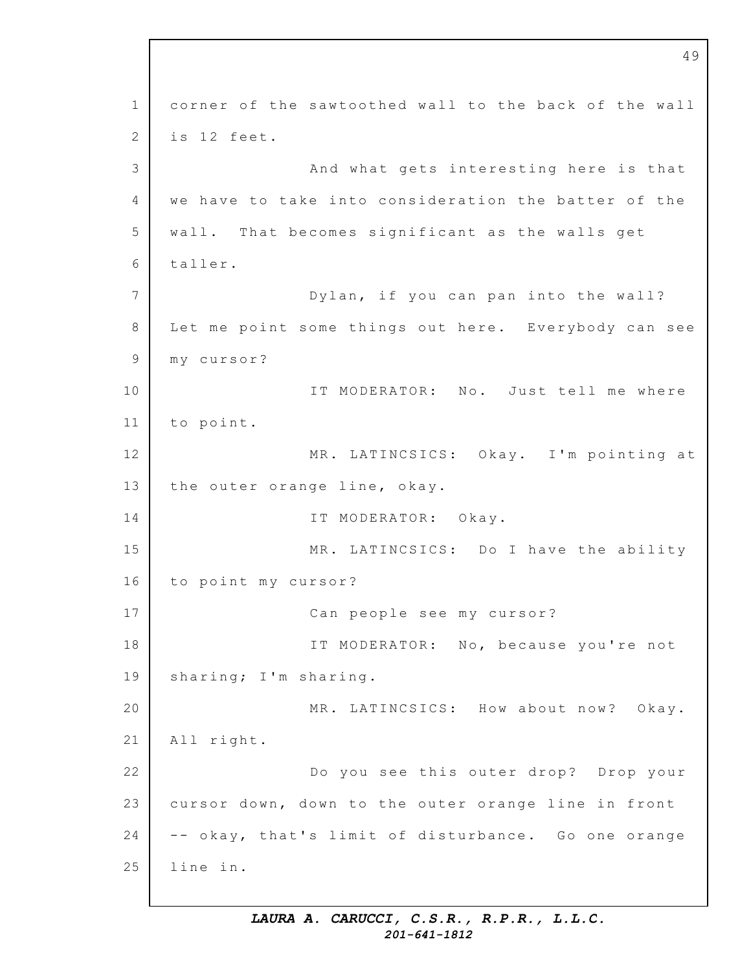1 2 3 4 5 6 7 8 9 10 11 12 13 14 15 16 17 18 19 20 21 22 23 24 25 49 corner of the sawtoothed wall to the back of the wall is 12 feet. And what gets interesting here is that we have to take into consideration the batter of the wall. That becomes significant as the walls get taller. Dylan, if you can pan into the wall? Let me point some things out here. Everybody can see m y cursor? IT MODERATOR: No. Just tell me where to point. MR. LATINCSICS: Okay. I'm pointing at the outer orange line, okay. IT MODERATOR: Okay. MR. LATINCSICS: Do I have the ability to point my cursor? Can people see my cursor? IT MODERATOR: No, because you're not sharing; I'm sharing. MR. LATINCSICS: How about now? Okay. All right. Do you see this outer drop? Drop your cursor down, down to the outer orange line in front -- okay, that's limit of disturbance. Go one orange line in.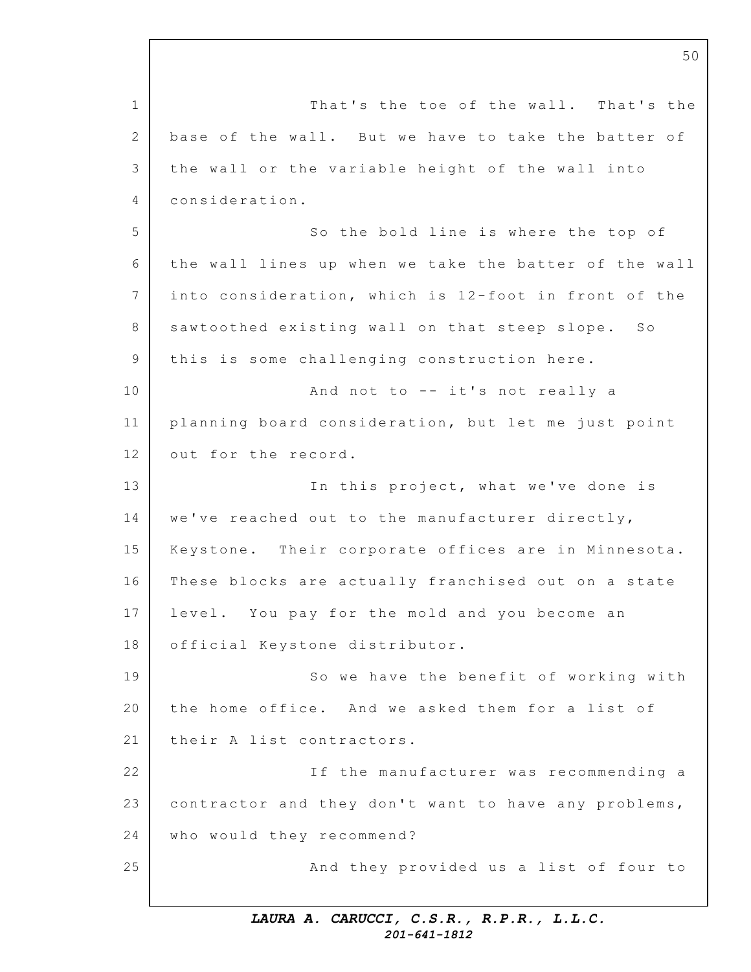1 2 3  $\Delta$ 5 6 7 8 9 10 11 12 13 14 15 16 17 18 19 20 21 22 23 24 25 That's the toe of the wall. That's the base of the wall. But we have to take the batter of the wall or the variable height of the wall into consideration. So the bold line is where the top of the wall lines up when we take the batter of the wall into consideration, which is 12-foot in front of the sawtoothed existing wall on that steep slope. So this is some challenging construction here. And not to  $--$  it's not really a planning board consideration, but let me just point out for the record. In this project, what we've done is we've reached out to the manufacturer directly, Keystone. Their corporate offices are in Minnesota. These blocks are actually franchised out on a state level. You pay for the mold and you become an official Keystone distributor. So we have the benefit of working with the home office. And we asked them for a list of their A list contractors. If the manufacturer was recommending a contractor and they don't want to have any problems, who would they recommend? And they provided us a list of four to

50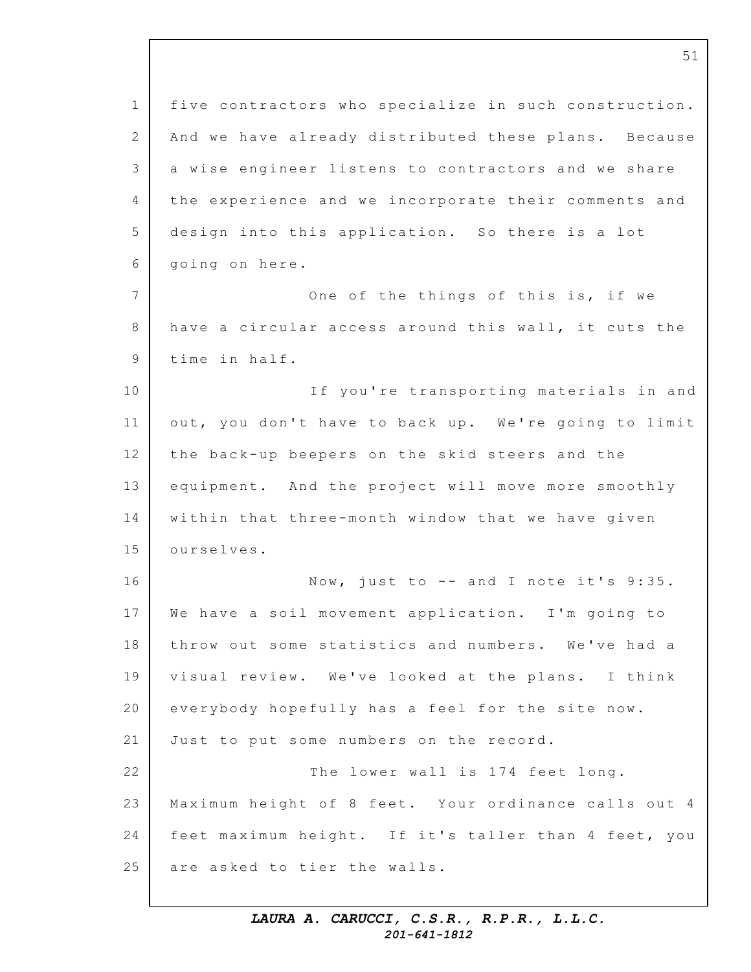| $\mathbf 1$    | five contractors who specialize in such construction. |
|----------------|-------------------------------------------------------|
| 2              | And we have already distributed these plans. Because  |
| 3              | a wise engineer listens to contractors and we share   |
| $\overline{4}$ | the experience and we incorporate their comments and  |
| 5              | design into this application. So there is a lot       |
| $6\,$          | going on here.                                        |
| $\overline{7}$ | One of the things of this is, if we                   |
| 8              | have a circular access around this wall, it cuts the  |
| $\mathcal{G}$  | time in half.                                         |
| 10             | If you're transporting materials in and               |
| 11             | out, you don't have to back up. We're going to limit  |
| 12             | the back-up beepers on the skid steers and the        |
| 13             | equipment. And the project will move more smoothly    |
| 14             | within that three-month window that we have given     |
| 15             | ourselves.                                            |
| 16             | Now, just to $--$ and I note it's $9:35.$             |
| 17             | We have a soil movement application. I'm going to     |
| 18             | throw out some statistics and numbers. We've had a    |
| 19             | visual review. We've looked at the plans. I think     |
| 20             | everybody hopefully has a feel for the site now.      |
| 21             | Just to put some numbers on the record.               |
| 22             | The lower wall is 174 feet long.                      |
| 23             | Maximum height of 8 feet. Your ordinance calls out 4  |
| 24             | feet maximum height. If it's taller than 4 feet, you  |
| 25             | are asked to tier the walls.                          |

51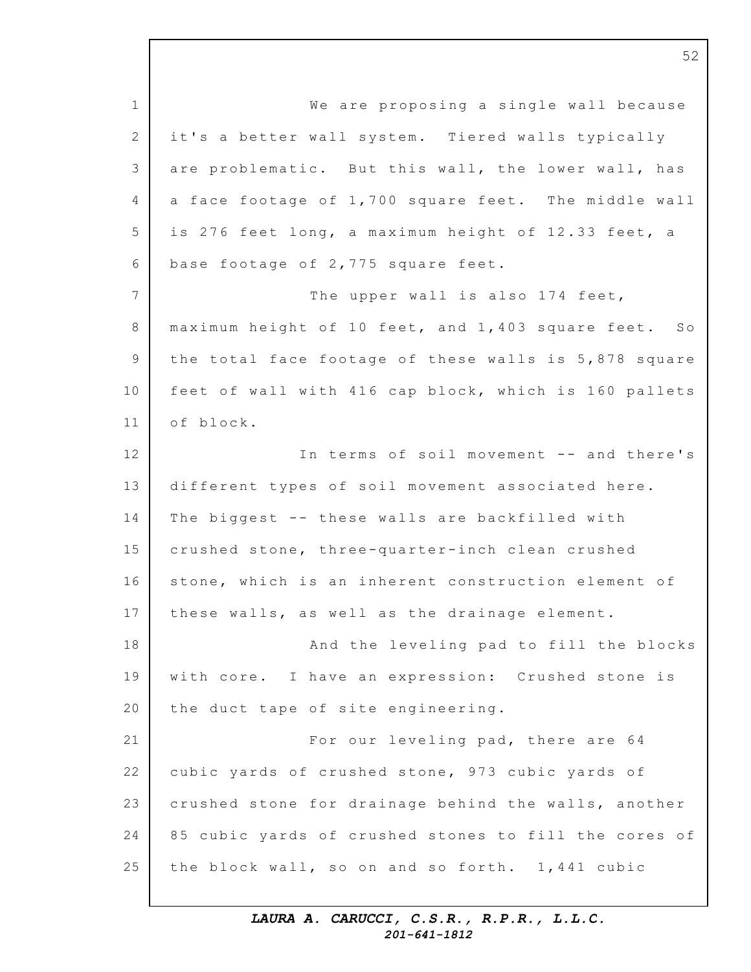1 2 3 4 5 6 7 8 9 10 11 12 13 14 15 16 17 18 19 20 21 22 23 24 25 We are proposing a single wall because it's a better wall system. Tiered walls typically are problematic. But this wall, the lower wall, has a face footage of  $1,700$  square feet. The middle wall is 276 feet long, a maximum height of 12.33 feet, a base footage of  $2,775$  square feet. The upper wall is also 174 feet, maximum height of  $10$  feet, and  $1,403$  square feet. So the total face footage of these walls is  $5,878$  square feet of wall with 416 cap block, which is 160 pallets o f block. In terms of soil movement -- and there's different types of soil movement associated here. The biggest -- these walls are backfilled with crushed stone, three-quarter-inch clean crushed stone, which is an inherent construction element of these walls, as well as the drainage element. And the leveling pad to fill the blocks with core. I have an expression: Crushed stone is the duct tape of site engineering. For our leveling pad, there are 64 cubic yards of crushed stone, 973 cubic yards of crushed stone for drainage behind the walls, another 85 cubic yards of crushed stones to fill the cores of the block wall, so on and so forth.  $1,441$  cubic

> *LAURA A. CARUCCI, C.S.R., R.P.R., L.L.C. 201-641-1812*

52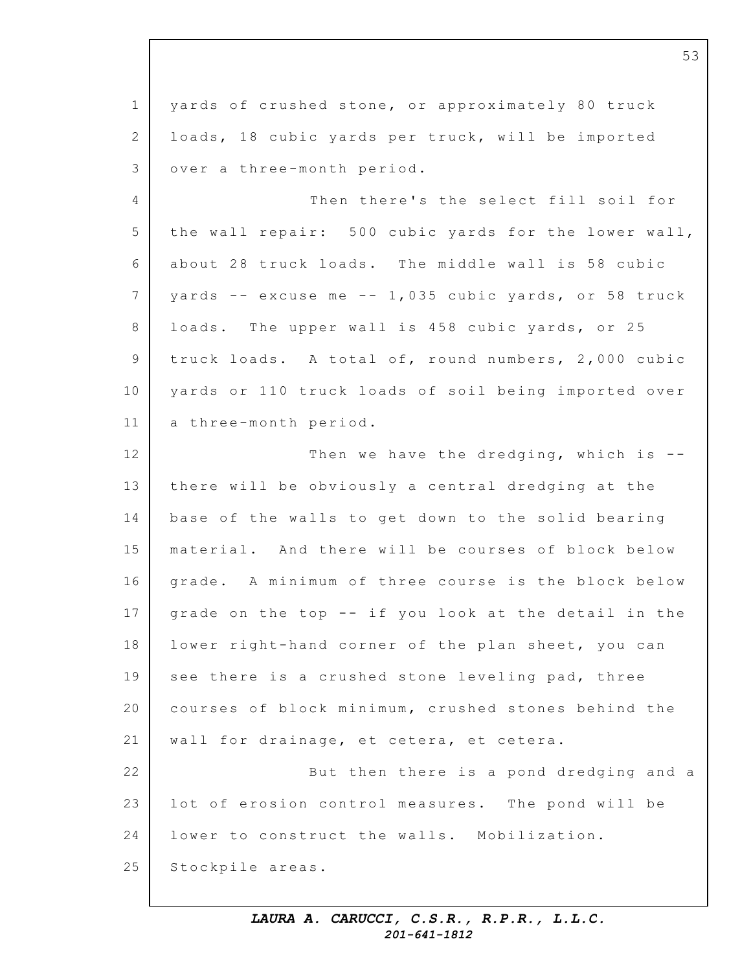1 2 3 4 5 6 7 8 9 10 11 12 13 14 15 16 17 18 19 20 21 22 23 24 25 yards of crushed stone, or approximately 80 truck loads, 18 cubic yards per truck, will be imported over a three-month period. Then there's the select fill soil for the wall repair: 500 cubic yards for the lower wall, about 28 truck loads. The middle wall is 58 cubic yards  $--$  excuse me  $--$  1,035 cubic yards, or 58 truck loads. The upper wall is 458 cubic yards, or 25 truck loads. A total of, round numbers, 2,000 cubic yards or 110 truck loads of soil being imported over a three-month period. Then we have the dredging, which is  $-$ there will be obviously a central dredging at the base of the walls to get down to the solid bearing material. And there will be courses of block below grade. A minimum of three course is the block below grade on the top -- if you look at the detail in the lower right-hand corner of the plan sheet, you can see there is a crushed stone leveling pad, three courses of block minimum, crushed stones behind the wall for drainage, et cetera, et cetera. But then there is a pond dredging and a lot of erosion control measures. The pond will be lower to construct the walls. Mobilization. Stockpile areas.

53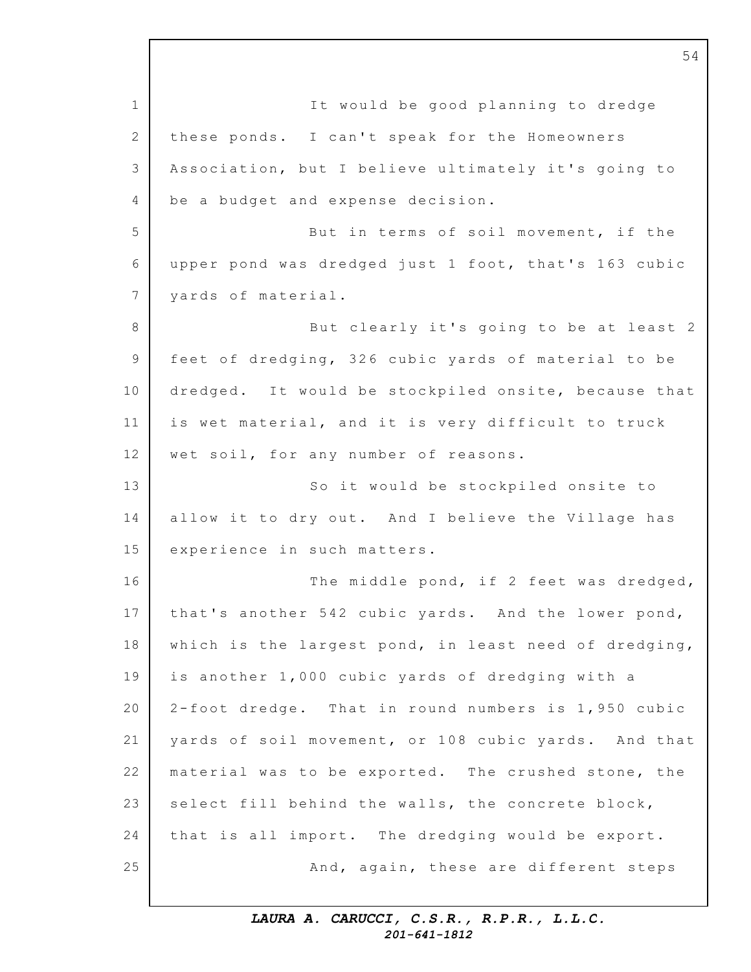1 2 3 4 5 6 7 8 9 10 11 12 13 14 15 16 17 18 19 20 21 22 23 24 25 It would be good planning to dredge these ponds. I can't speak for the Homeowners Association, but I believe ultimately it's going to be a budget and expense decision. But in terms of soil movement, if the upper pond was dredged just 1 foot, that's 163 cubic yards of material. But clearly it's going to be at least 2 feet of dredging, 326 cubic yards of material to be dredged. It would be stockpiled onsite, because that is wet material, and it is very difficult to truck wet soil, for any number of reasons. So it would be stockpiled onsite to allow it to dry out. And I believe the Village has experience in such matters. The middle pond, if 2 feet was dredged, that's another 542 cubic yards. And the lower pond, which is the largest pond, in least need of dredging, is another 1,000 cubic yards of dredging with a  $2$ -foot dredge. That in round numbers is  $1,950$  cubic yards of soil movement, or 108 cubic yards. And that material was to be exported. The crushed stone, the select fill behind the walls, the concrete block, that is all import. The dredging would be export. And, again, these are different steps

54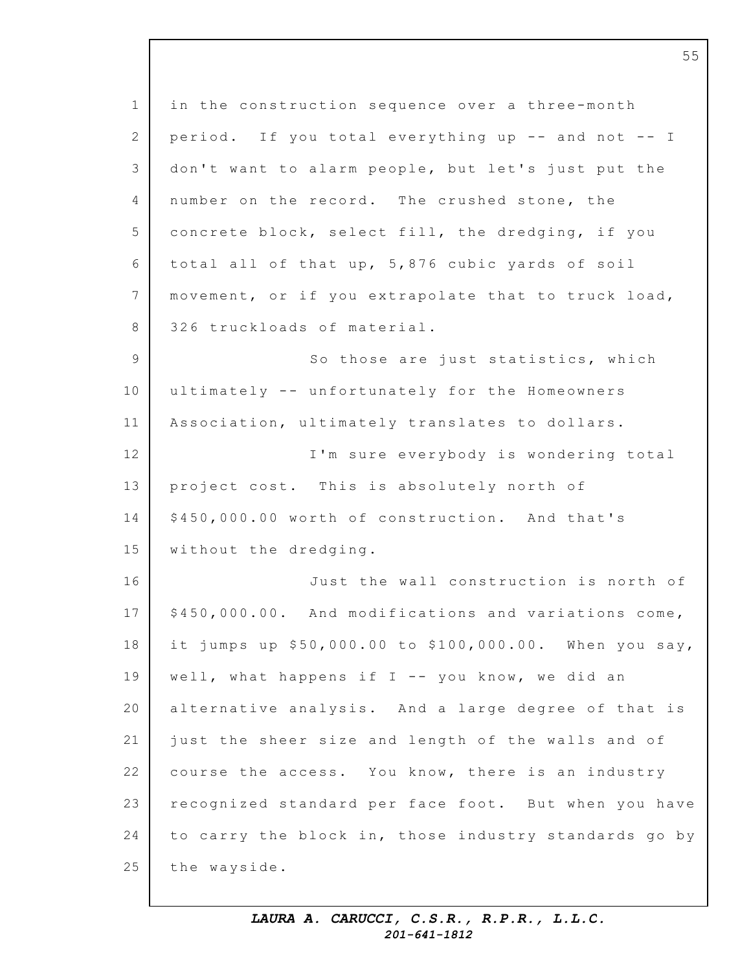1 2 3 4 5 6 7 8 9 10 11 12 13 14 15 16 17 18 19 20 21 22 23 24 25 in the construction sequence over a three-month period. If you total everything up  $-$  and not  $-$  I don't want to alarm people, but let's just put the number on the record. The crushed stone, the concrete block, select fill, the dredging, if you total all of that up,  $5,876$  cubic yards of soil movement, or if you extrapolate that to truck load, 326 truckloads of material. So those are just statistics, which ultimately -- unfortunately for the Homeowners Association, ultimately translates to dollars. I'm sure everybody is wondering total project cost. This is absolutely north of \$450,000.00 worth of construction. And that's without the dredging. Just the wall construction is north of \$450,000.00. And modifications and variations come, it jumps up  $$50,000.00$  to  $$100,000.00$ . When you say, well, what happens if  $I$  -- you know, we did an alternative analysis. And a large degree of that is just the sheer size and length of the walls and of course the access. You know, there is an industry recognized standard per face foot. But when you have to carry the block in, those industry standards go by the wayside.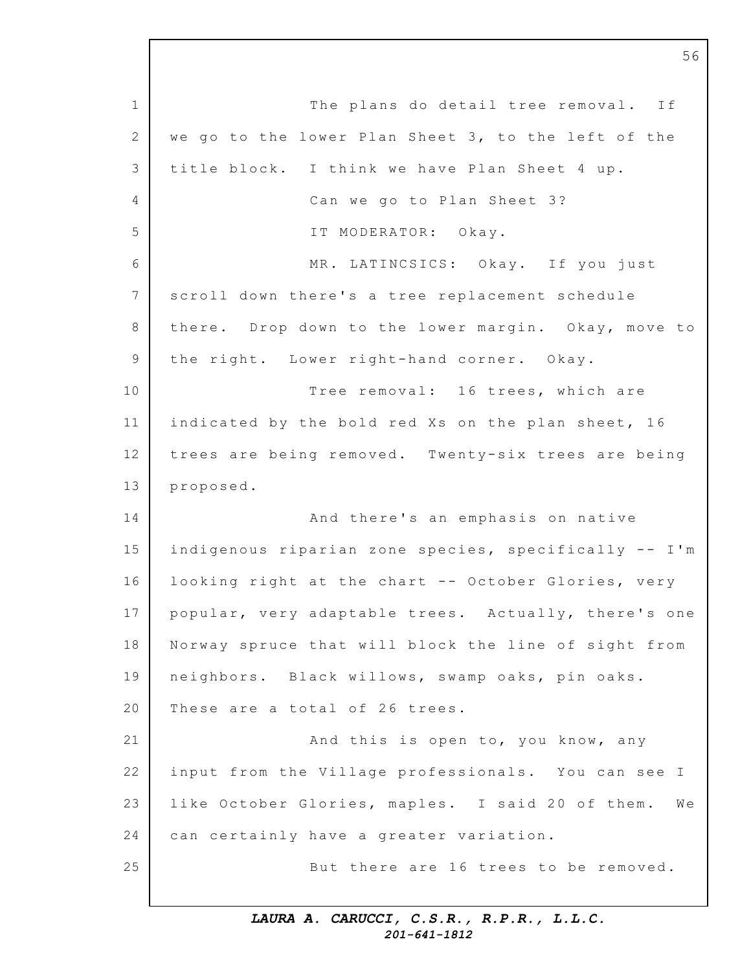1 2 3  $\Delta$ 5 6 7 8 9 10 11 12 13 14 15 16 17 18 19 20 21 22 23 24 25 The plans do detail tree removal. If we go to the lower Plan Sheet 3, to the left of the title block. I think we have Plan Sheet 4 up. Can we go to Plan Sheet 3? IT MODERATOR: Okay. MR. LATINCSICS: Okay. If you just scroll down there's a tree replacement schedule there. Drop down to the lower margin. Okay, move to the right. Lower right-hand corner. Okay. Tree removal: 16 trees, which are indicated by the bold red Xs on the plan sheet, 16 trees are being removed. Twenty-six trees are being proposed. And there's an emphasis on native indigenous riparian zone species, specifically -- I'm looking right at the chart -- October Glories, very popular, very adaptable trees. Actually, there's one Norway spruce that will block the line of sight from neighbors. Black willows, swamp oaks, pin oaks. These are a total of 26 trees. And this is open to, you know, any input from the Village professionals. You can see I like October Glories, maples. I said 20 of them. We can certainly have a greater variation. But there are 16 trees to be removed.

56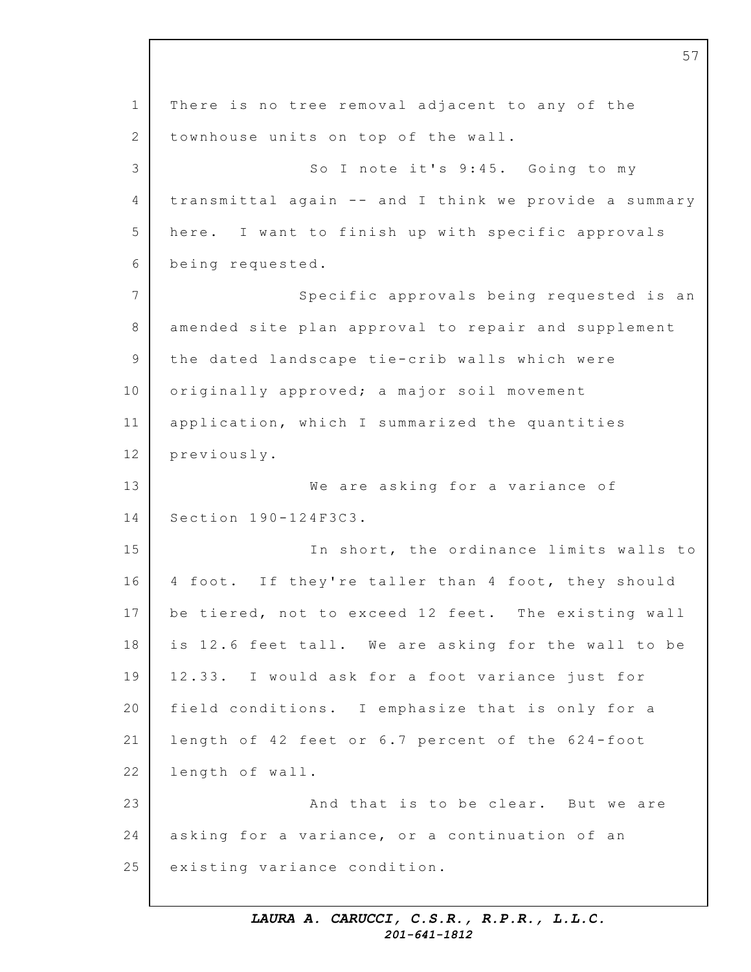1 2 3 4 5 6 7 8 9 10 11 12 13 14 15 16 17 18 19 20 21 22 23 24 25 There is no tree removal adjacent to any of the townhouse units on top of the wall. So I note it's 9:45. Going to my transmittal again -- and I think we provide a summary here. I want to finish up with specific approvals being requested. Specific approvals being requested is an amended site plan approval to repair and supplement the dated landscape tie-crib walls which were originally approved; a major soil movement application, which I summarized the quantities previously. We are asking for a variance of Section 190-124F3C3. In short, the ordinance limits walls to 4 foot. If they're taller than 4 foot, they should be tiered, not to exceed 12 feet. The existing wall is 12.6 feet tall. We are asking for the wall to be 12.33. I would ask for a foot variance just for field conditions. I emphasize that is only for a length of 42 feet or 6.7 percent of the 624-foot length of wall. And that is to be clear. But we are asking for a variance, or a continuation of an existing variance condition.

57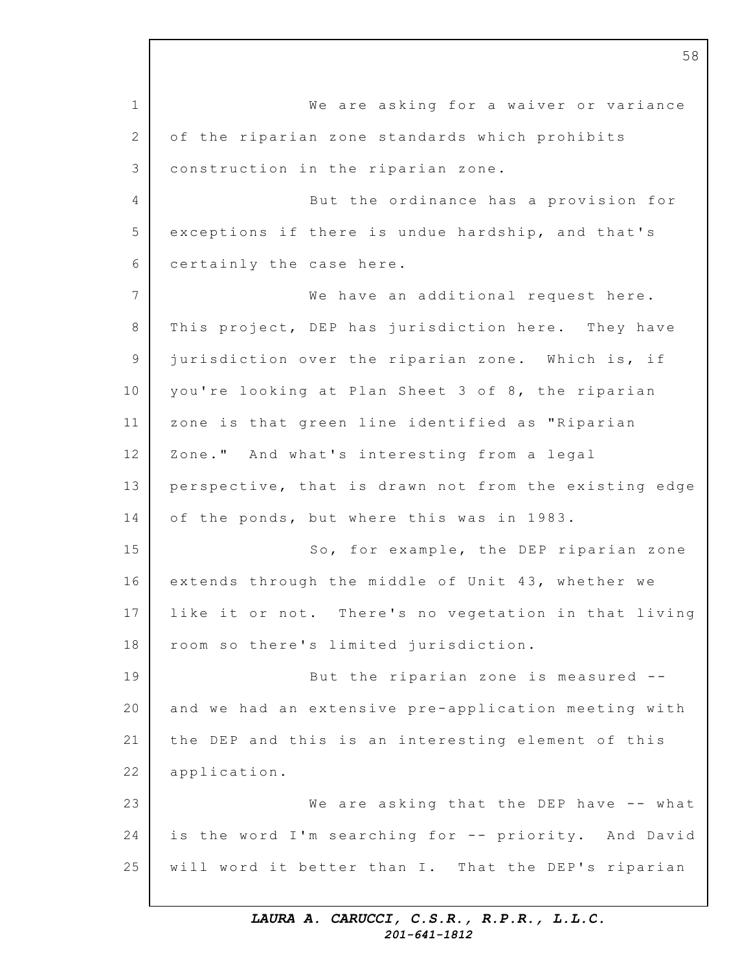1 2 3 4 5 6 7 8 9 10 11 12 13 14 15 16 17 18 19 20 21 22 23 24 25 We are asking for a waiver or variance of the riparian zone standards which prohibits construction in the riparian zone. But the ordinance has a provision for exceptions if there is undue hardship, and that's certainly the case here. We have an additional request here. This project, DEP has jurisdiction here. They have jurisdiction over the riparian zone. Which is, if you're looking at Plan Sheet 3 of 8, the riparian zone is that green line identified as "Riparian Zone." And what's interesting from a legal perspective, that is drawn not from the existing edge of the ponds, but where this was in 1983. So, for example, the DEP riparian zone extends through the middle of Unit 43, whether we like it or not. There's no vegetation in that living room so there's limited jurisdiction. But the riparian zone is measured  $-$ and we had an extensive pre-application meeting with the DEP and this is an interesting element of this application. We are asking that the DEP have -- what is the word I'm searching for -- priority. And David will word it better than I. That the DEP's riparian

58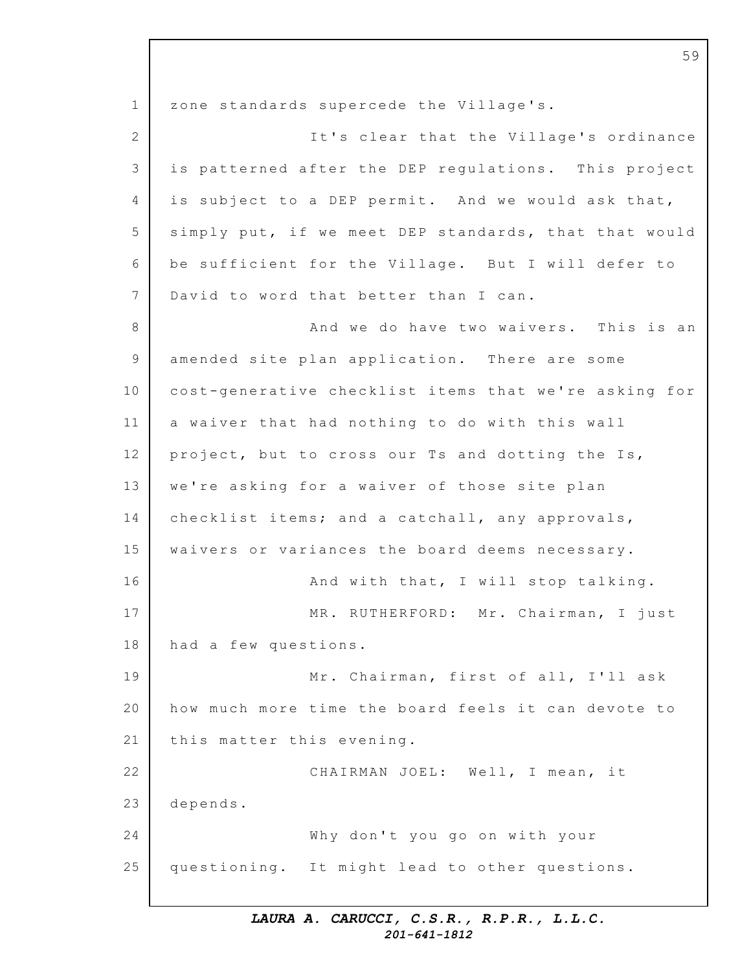1 2 3 4 5 6 7 8 9 10 11 12 13 14 15 16 17 18 19 20 21 22 23 24 25 zone standards supercede the Village's. It's clear that the Village's ordinance is patterned after the DEP regulations. This project is subject to a DEP permit. And we would ask that, simply put, if we meet DEP standards, that that would be sufficient for the Village. But I will defer to David to word that better than I can. And we do have two waivers. This is an amended site plan application. There are some cost-generative checklist items that we're asking for a waiver that had nothing to do with this wall project, but to cross our Ts and dotting the Is, we're asking for a waiver of those site plan checklist items; and a catchall, any approvals, waivers or variances the board deems necessary. And with that, I will stop talking. MR. RUTHERFORD: Mr. Chairman, I just had a few questions. Mr. Chairman, first of all, I'll ask how much more time the board feels it can devote to this matter this evening. CHAIRMAN JOEL: Well, I mean, it depends. Why don't you go on with your questioning. It might lead to other questions.

59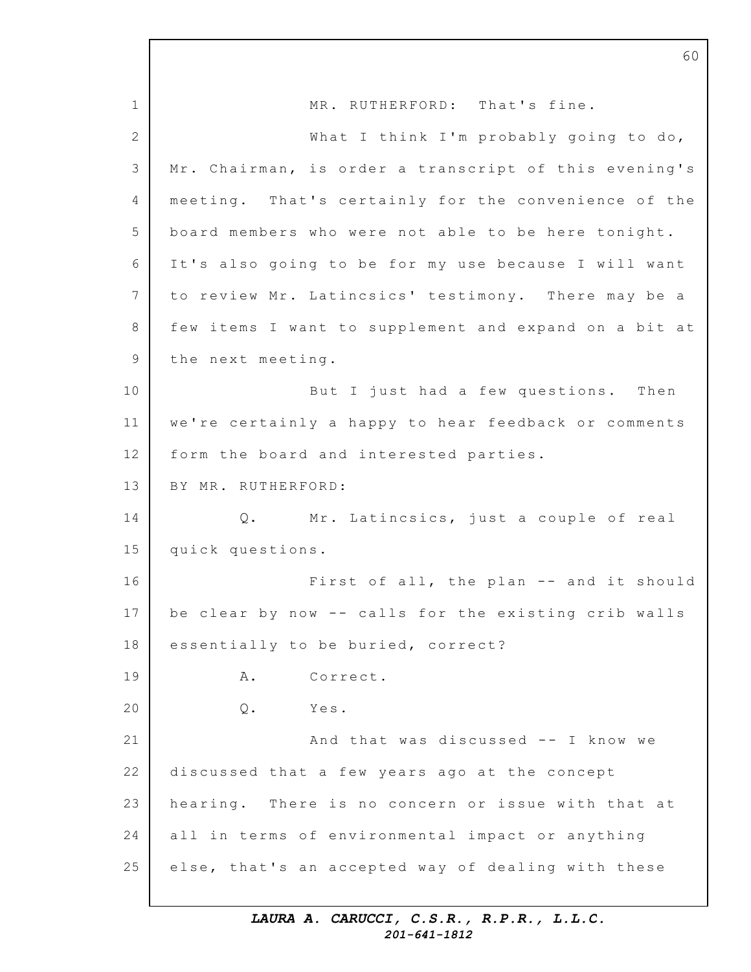1 2 3 4 5 6 7 8 9 10 11 12 13 14 15 16 17 18 19 20 21 22 23 24 25 MR. RUTHERFORD: That's fine. What I think I'm probably going to do, Mr. Chairman, is order a transcript of this evening's meeting. That's certainly for the convenience of the board members who were not able to be here tonight. It's also going to be for my use because I will want to review Mr. Latincsics' testimony. There may be a few items I want to supplement and expand on a bit at the next meeting. But I just had a few questions. Then we're certainly a happy to hear feedback or comments form the board and interested parties. BY MR. RUTHERFORD: Q. Mr. Latincsics, just a couple of real quick questions. First of all, the plan -- and it should be clear by now -- calls for the existing crib walls essentially to be buried, correct? A. Correct. Q. Yes. And that was discussed  $--$  I know we discussed that a few years ago at the concept hearing. There is no concern or issue with that at all in terms of environmental impact or anything else, that's an accepted way of dealing with these

60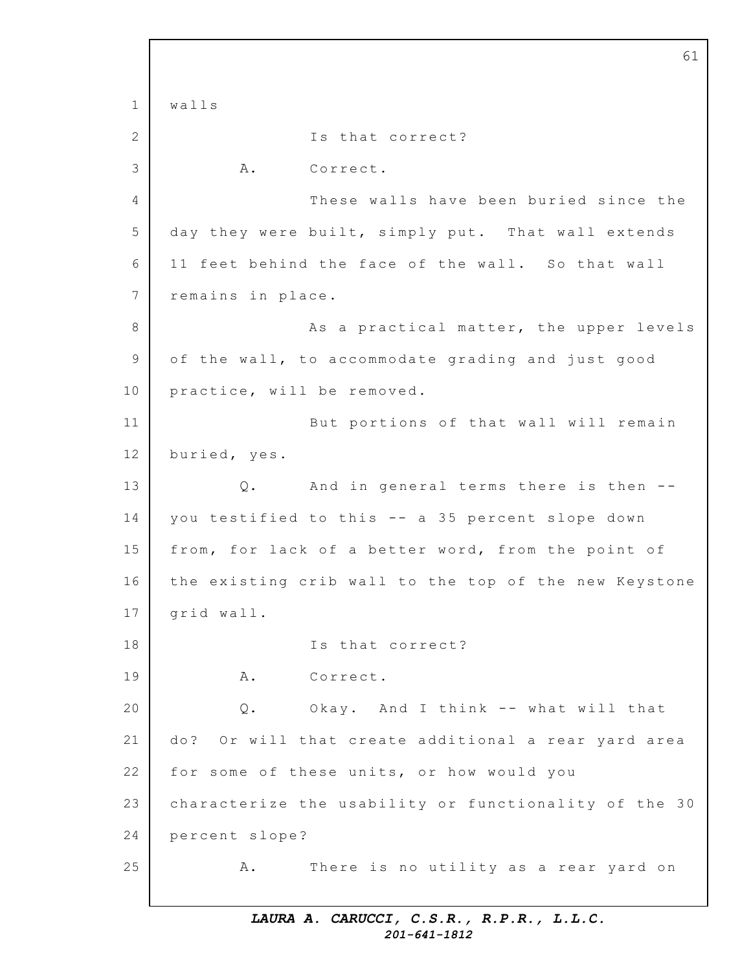1 2 3 4 5 6 7 8 9 10 11 12 13 14 15 16 17 18 19 20 21 22 23 24 25 61 walls Is that correct? A. Correct. These walls have been buried since the day they were built, simply put. That wall extends 11 feet behind the face of the wall. So that wall remains in place. As a practical matter, the upper levels of the wall, to accommodate grading and just good practice, will be removed. But portions of that wall will remain buried, yes. Q. And in general terms there is then -you testified to this -- a 35 percent slope down from, for lack of a better word, from the point of the existing crib wall to the top of the new Keystone grid wall. Is that correct? A. Correct. Q. Okay. And I think -- what will that do? Or will that create additional a rear yard area for some of these units, or how would you characterize the usability or functionality of the 30 percent slope? A. There is no utility as a rear yard on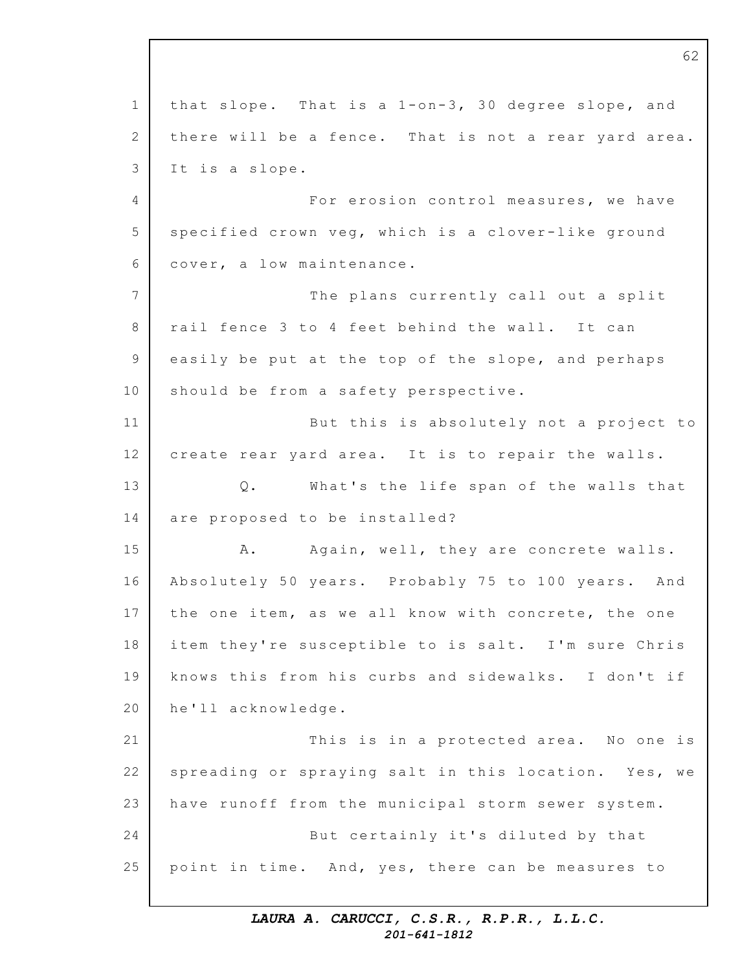1  $\mathcal{D}$ 3  $\Delta$ 5 6 7 8 9 10 11 12 13 14 15 16 17 18 19 20 21 22 23 24 25 62 that slope. That is a  $1$ -on-3, 30 degree slope, and there will be a fence. That is not a rear yard area. It is a slope. For erosion control measures, we have specified crown veg, which is a clover-like ground cover, a low maintenance. The plans currently call out a split rail fence 3 to 4 feet behind the wall. It can easily be put at the top of the slope, and perhaps should be from a safety perspective. But this is absolutely not a project to create rear yard area. It is to repair the walls. Q. What's the life span of the walls that are proposed to be installed? A. Again, well, they are concrete walls. Absolutely 50 years. Probably 75 to 100 years. And the one item, as we all know with concrete, the one item they're susceptible to is salt. I'm sure Chris knows this from his curbs and sidewalks. I don't if he'll acknowledge. This is in a protected area. No one is spreading or spraying salt in this location. Yes, we have runoff from the municipal storm sewer system. But certainly it's diluted by that point in time. And, yes, there can be measures to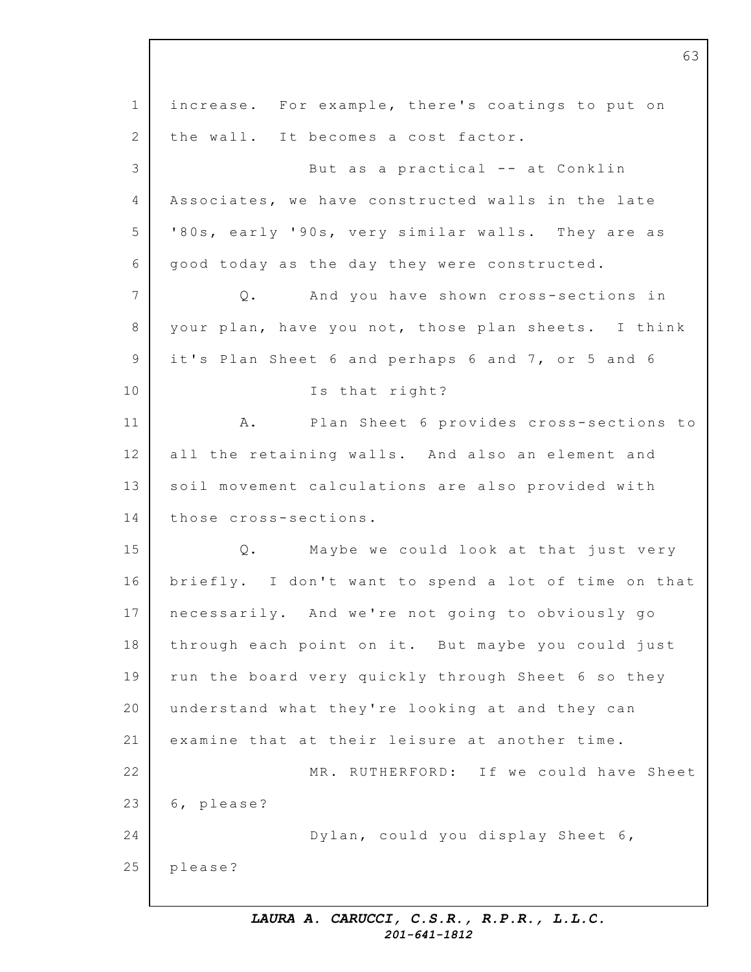1 2 3 4 5 6 7 8 9 10 11 12 13 14 15 16 17 18 19 20 21 22 23 24 25 increase. For example, there's coatings to put on the wall. It becomes a cost factor. But as a practical -- at Conklin Associates, we have constructed walls in the late '80s, early '90s, very similar walls. They are as good today as the day they were constructed. Q. And you have shown cross-sections in your plan, have you not, those plan sheets. I think it's Plan Sheet 6 and perhaps 6 and 7, or 5 and 6 Is that right? A. Plan Sheet 6 provides cross-sections to all the retaining walls. And also an element and soil movement calculations are also provided with those cross-sections. Q. Maybe we could look at that just very briefly. I don't want to spend a lot of time on that necessarily. And we're not going to obviously go through each point on it. But maybe you could just run the board very quickly through Sheet 6 so they understand what they're looking at and they can examine that at their leisure at another time. MR. RUTHERFORD: If we could have Sheet 6, please? Dylan, could you display Sheet 6, please?

63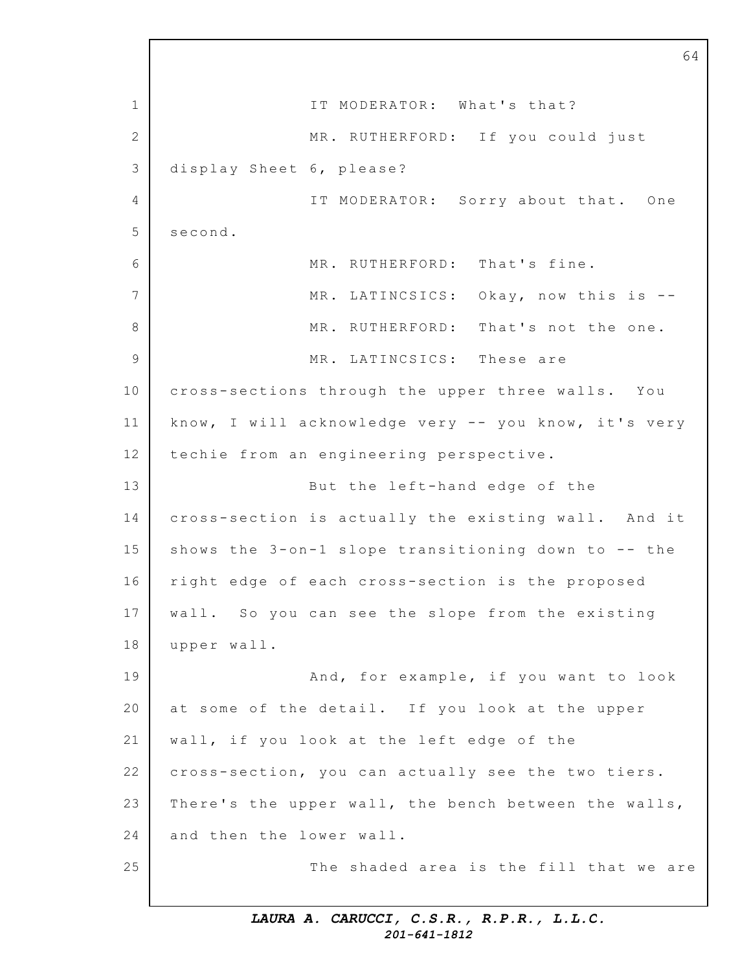1 2 3 4 5 6 7 8 9 10 11 12 13 14 15 16 17 18 19 20 21 22 23 24 25 IT MODERATOR: What's that? MR. RUTHERFORD: If you could just display Sheet 6, please? IT MODERATOR: Sorry about that. One second. MR. RUTHERFORD: That's fine. MR. LATINCSICS: Okay, now this is --MR. RUTHERFORD: That's not the one. MR. LATINCSICS: These are cross-sections through the upper three walls. You know, I will acknowledge very  $-$  you know, it's very techie from an engineering perspective. But the left-hand edge of the cross-section is actually the existing wall. And it shows the  $3$ -on-1 slope transitioning down to -- the right edge of each cross-section is the proposed wall. So you can see the slope from the existing upper wall. And, for example, if you want to look at some of the detail. If you look at the upper wall, if you look at the left edge of the cross-section, you can actually see the two tiers. There's the upper wall, the bench between the walls, and then the lower wall. The shaded area is the fill that we are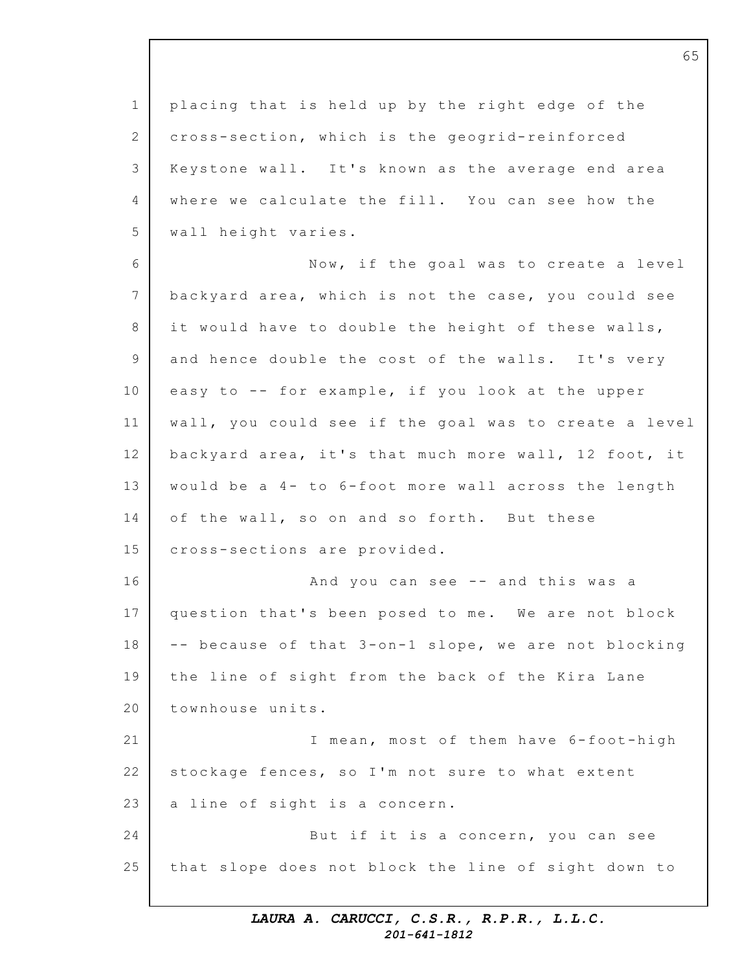1 2 3 4 5 6 7 8 9 10 11 12 13 14 15 16 17 18 19 20 21 22 23 24 25 placing that is held up by the right edge of the cross-section, which is the geogrid-reinforced Keystone wall. It's known as the average end area where we calculate the fill. You can see how the wall height varies. Now, if the goal was to create a level backyard area, which is not the case, you could see it would have to double the height of these walls, and hence double the cost of the walls. It's very easy to  $-$ - for example, if you look at the upper wall, you could see if the goal was to create a level backyard area, it's that much more wall, 12 foot, it would be a  $4-$  to  $6-$  foot more wall across the length of the wall, so on and so forth. But these cross-sections are provided. And you can see -- and this was a question that's been posed to me. We are not block -- because of that 3-on-1 slope, we are not blocking the line of sight from the back of the Kira Lane townhouse units. I mean, most of them have 6-foot-high stockage fences, so I'm not sure to what extent a line of sight is a concern. But if it is a concern, you can see that slope does not block the line of sight down to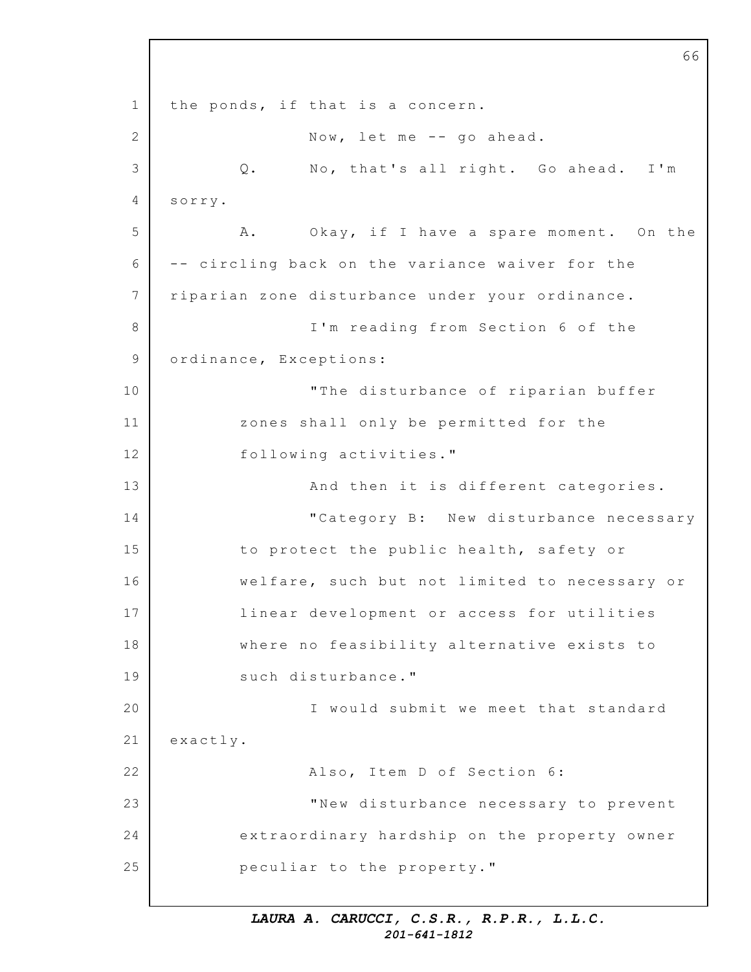1 2 3 4 5 6 7 8 9 10 11 12 13 14 15 16 17 18 19 20 21 22 23 24 25 66 the ponds, if that is a concern. Now, let me -- go ahead. Q. No, that's all right. Go ahead. I'm sorry. A. Okay, if I have a spare moment. On the -- circling back on the variance waiver for the riparian zone disturbance under your ordinance. I'm reading from Section 6 of the ordinance, Exceptions: "The disturbance of riparian buffer zones shall only be permitted for the following activities." And then it is different categories. "Category B: New disturbance necessary to protect the public health, safety or welfare, such but not limited to necessary or linear development or access for utilities where no feasibility alternative exists to such disturbance." I would submit we meet that standard exactly. Also, Item D of Section 6: "New disturbance necessary to prevent extraordinary hardship on the property owner peculiar to the property."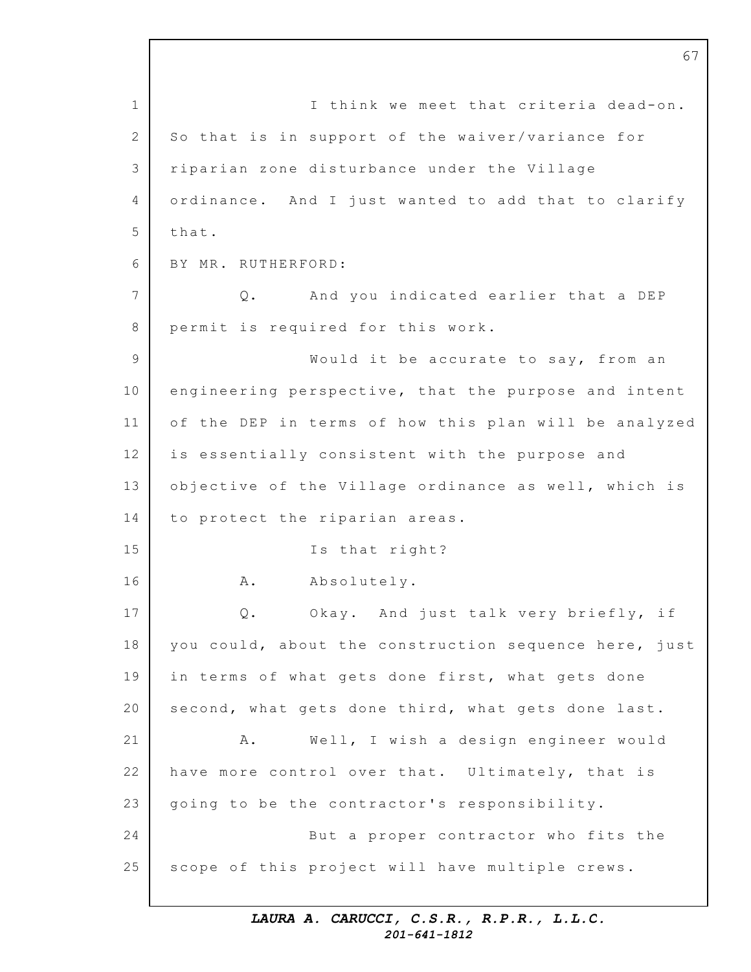1 2 3 4 5 6 7 8 9 10 11 12 13 14 15 16 17 18 19 20 21 22 23 24 25 67 I think we meet that criteria dead-on. So that is in support of the waiver/variance for riparian zone disturbance under the Village ordinance. And I just wanted to add that to clarify that. BY MR. RUTHERFORD: Q. And you indicated earlier that a DEP permit is required for this work. Would it be accurate to say, from an engineering perspective, that the purpose and intent of the DEP in terms of how this plan will be analyzed is essentially consistent with the purpose and objective of the Village ordinance as well, which is to protect the riparian areas. Is that right? A. Absolutely. Q. Okay. And just talk very briefly, if you could, about the construction sequence here, just in terms of what gets done first, what gets done second, what gets done third, what gets done last. A. Well, I wish a design engineer would have more control over that. Ultimately, that is going to be the contractor's responsibility. But a proper contractor who fits the scope of this project will have multiple crews.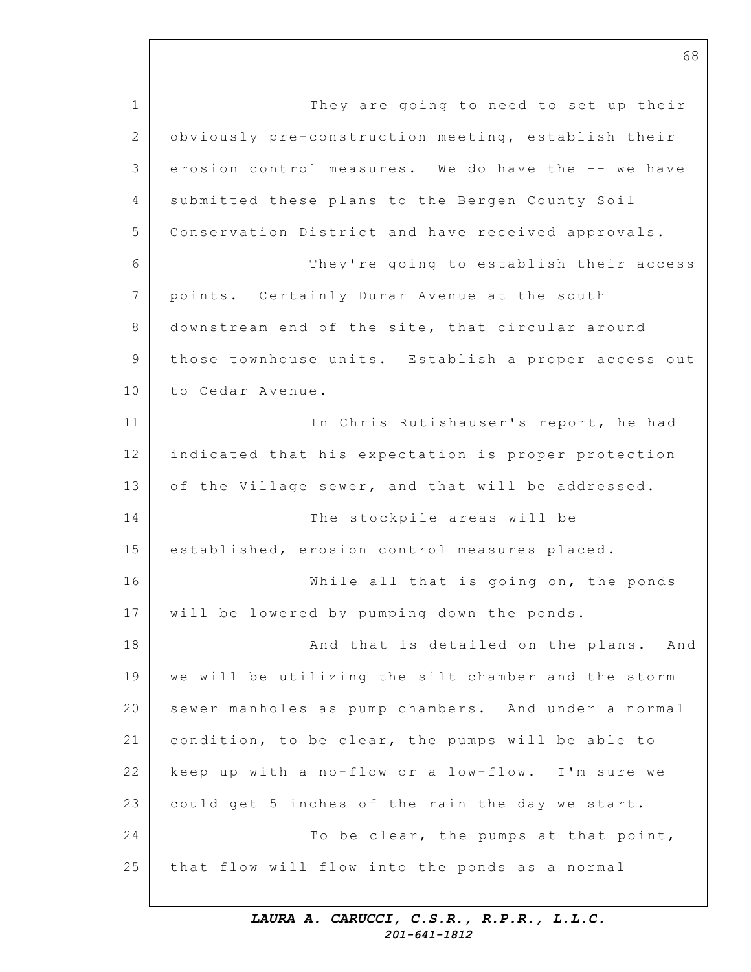1 2 3 4 5 6 7 8 9 10 11 12 13 14 15 16 17 18 19 20 21 22 23 24 25 They are going to need to set up their obviously pre-construction meeting, establish their erosion control measures. We do have the -- we have submitted these plans to the Bergen County Soil Conservation District and have received approvals. They're going to establish their access points. Certainly Durar Avenue at the south downstream end of the site, that circular around those townhouse units. Establish a proper access out to Cedar Avenue. In Chris Rutishauser's report, he had indicated that his expectation is proper protection of the Village sewer, and that will be addressed. The stockpile areas will be established, erosion control measures placed. While all that is going on, the ponds will be lowered by pumping down the ponds. And that is detailed on the plans. And we will be utilizing the silt chamber and the storm sewer manholes as pump chambers. And under a normal condition, to be clear, the pumps will be able to keep up with a no-flow or a low-flow. I'm sure we could get 5 inches of the rain the day we start. To be clear, the pumps at that point, that flow will flow into the ponds as a normal

> *LAURA A. CARUCCI, C.S.R., R.P.R., L.L.C. 201-641-1812*

68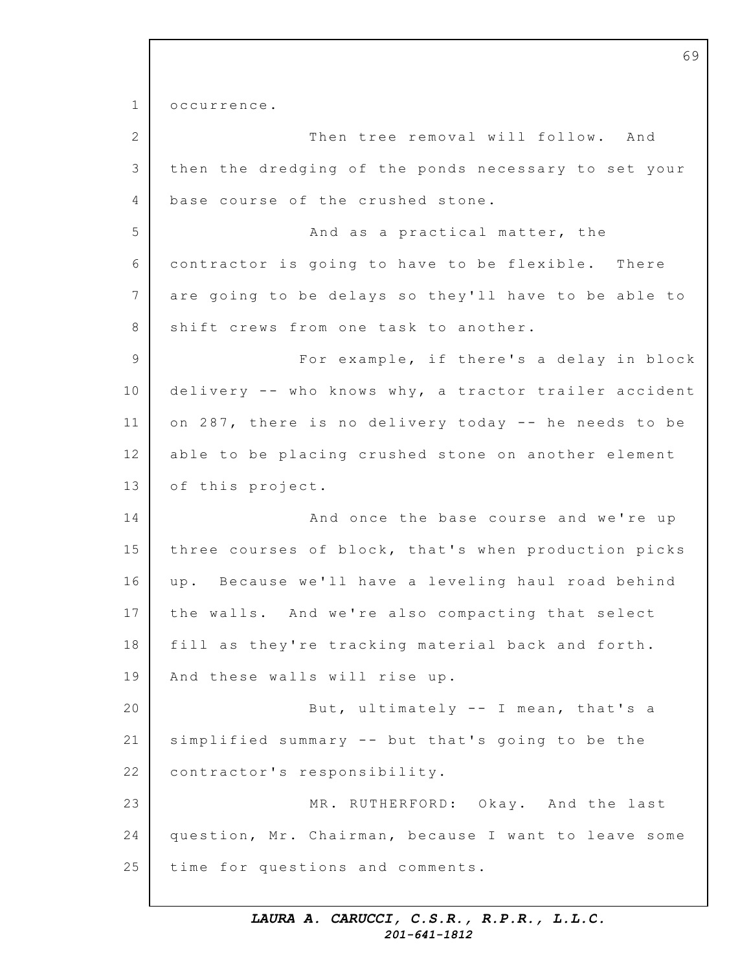1 2 3 4 5 6 7 8 9 10 11 12 13 14 15 16 17 18 19 20 21 22 23 24 25 occurrence. Then tree removal will follow. And then the dredging of the ponds necessary to set your base course of the crushed stone. And as a practical matter, the contractor is going to have to be flexible. There are going to be delays so they'll have to be able to shift crews from one task to another. For example, if there's a delay in block delivery -- who knows why, a tractor trailer accident on 287, there is no delivery today  $-$  he needs to be able to be placing crushed stone on another element of this project. And once the base course and we're up three courses of block, that's when production picks up. Because we'll have a leveling haul road behind the walls. And we're also compacting that select fill as they're tracking material back and forth. And these walls will rise up. But, ultimately -- I mean, that's a simplified summary  $-$  but that's going to be the contractor's responsibility. MR. RUTHERFORD: Okay. And the last question, Mr. Chairman, because I want to leave some time for questions and comments.

69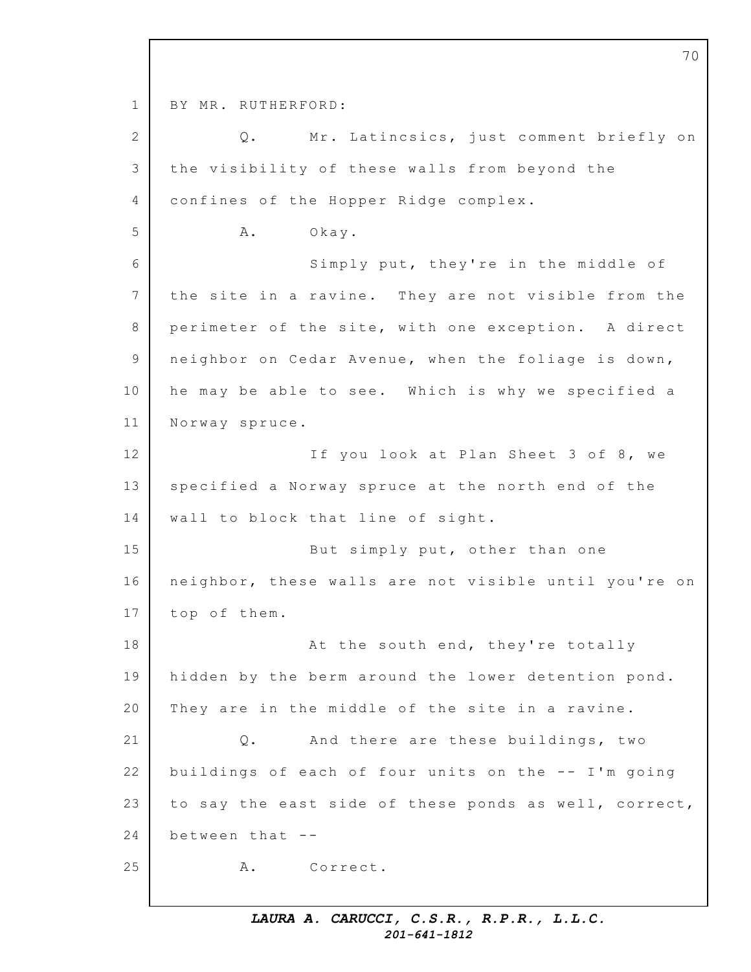1 2 3 4 5 6 7 8 9 10 11 12 13 14 15 16 17 18 19 20 21 22 23 24 25 BY MR. RUTHERFORD: Q. Mr. Latincsics, just comment briefly on the visibility of these walls from beyond the confines of the Hopper Ridge complex. A. Okay. Simply put, they're in the middle of the site in a ravine. They are not visible from the perimeter of the site, with one exception. A direct neighbor on Cedar Avenue, when the foliage is down, he may be able to see. Which is why we specified a Norway spruce. If you look at Plan Sheet 3 of 8, we specified a Norway spruce at the north end of the wall to block that line of sight. But simply put, other than one neighbor, these walls are not visible until you're on top of them. At the south end, they're totally hidden by the berm around the lower detention pond. They are in the middle of the site in a ravine. Q. And there are these buildings, two buildings of each of four units on the  $--$  I'm going to say the east side of these ponds as well, correct, between that -- A. Correct.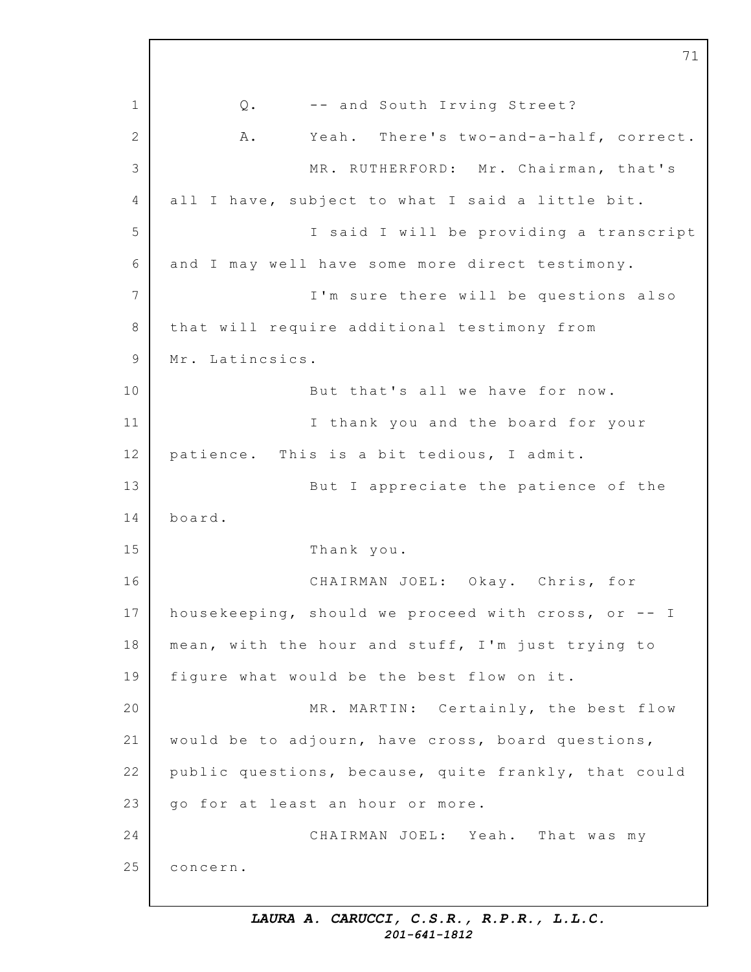1 2 3 4 5 6 7 8 9 10 11 12 13 14 15 16 17 18 19 20 21 22 23 24 25 71 Q. -- and South Irving Street? A. Yeah. There's two-and-a-half, correct. MR. RUTHERFORD: Mr. Chairman, that's all I have, subject to what I said a little bit. I said I will be providing a transcript and I may well have some more direct testimony. I'm sure there will be questions also that will require additional testimony from Mr. Latincsics. But that's all we have for now. I thank you and the board for your patience. This is a bit tedious, I admit. But I appreciate the patience of the board. Thank you. CHAIRMAN JOEL: Okay. Chris, for housekeeping, should we proceed with cross, or  $-$ - I mean, with the hour and stuff, I'm just trying to figure what would be the best flow on it. MR. MARTIN: Certainly, the best flow would be to adjourn, have cross, board questions, public questions, because, quite frankly, that could go for at least an hour or more. CHAIRMAN JOEL: Yeah. That was my concern.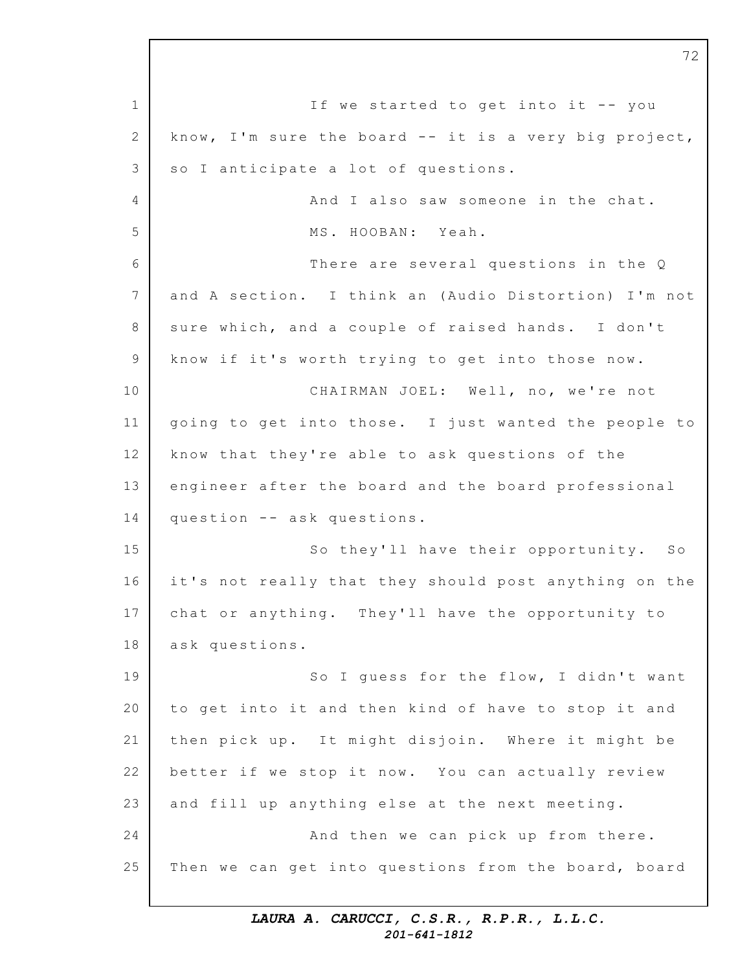1 2 3 4 5 6 7 8 9 10 11 12 13 14 15 16 17 18 19 20 21 22 23 24 25 If we started to get into it  $-$ - you know, I'm sure the board  $--$  it is a very big project, so I anticipate a lot of questions. And I also saw someone in the chat. MS. HOOBAN: Yeah. There are several questions in the  $Q$ and A section. I think an (Audio Distortion) I'm not sure which, and a couple of raised hands. I don't know if it's worth trying to get into those now. CHAIRMAN JOEL: Well, no, we're not going to get into those. I just wanted the people to know that they're able to ask questions of the engineer after the board and the board professional question -- ask questions. So they'll have their opportunity. So it's not really that they should post anything on the chat or anything. They'll have the opportunity to ask questions. So I quess for the flow, I didn't want to get into it and then kind of have to stop it and then pick up. It might disjoin. Where it might be better if we stop it now. You can actually review and fill up anything else at the next meeting. And then we can pick up from there. Then we can get into questions from the board, board

72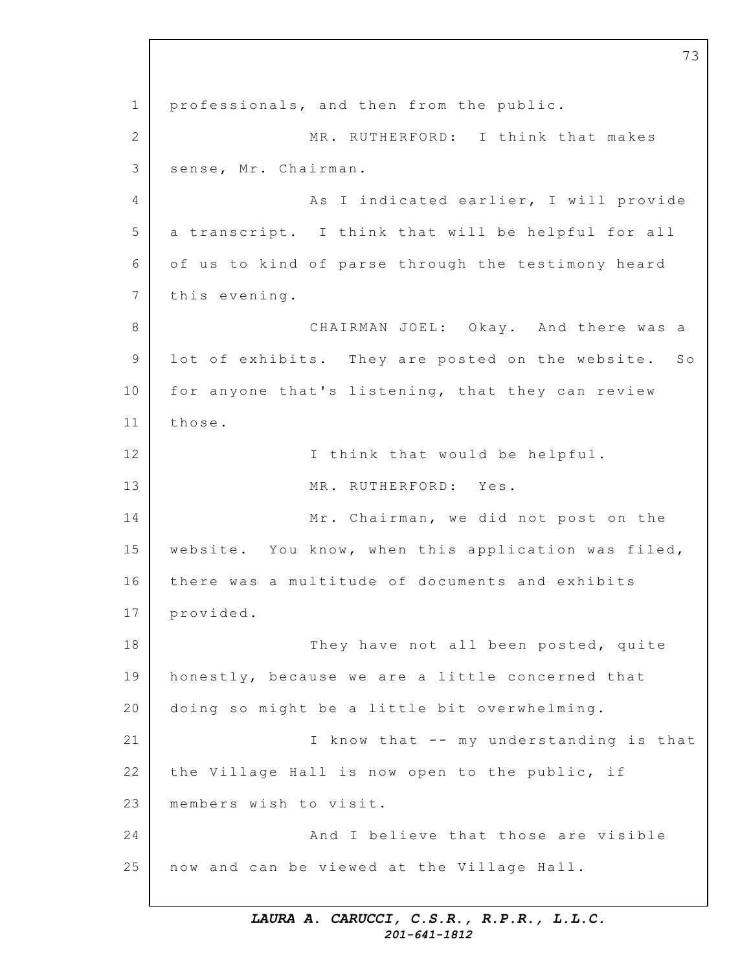1 2 3 4 5 6 7 8 9 10 11 12 13 14 15 16 17 18 19 20 21 22 23 24 25 professionals, and then from the public. MR. RUTHERFORD: I think that makes sense, Mr. Chairman. As I indicated earlier, I will provide a transcript. I think that will be helpful for all of us to kind of parse through the testimony heard this evening. CHAIRMAN JOEL: Okay. And there was a lot of exhibits. They are posted on the website. So for anyone that's listening, that they can review those. I think that would be helpful. MR. RUTHERFORD: Yes. Mr. Chairman, we did not post on the website. You know, when this application was filed, there was a multitude of documents and exhibits provided. They have not all been posted, quite honestly, because we are a little concerned that doing so might be a little bit overwhelming. I know that -- my understanding is that the Village Hall is now open to the public, if members wish to visit. And I believe that those are visible now and can be viewed at the Village Hall.

73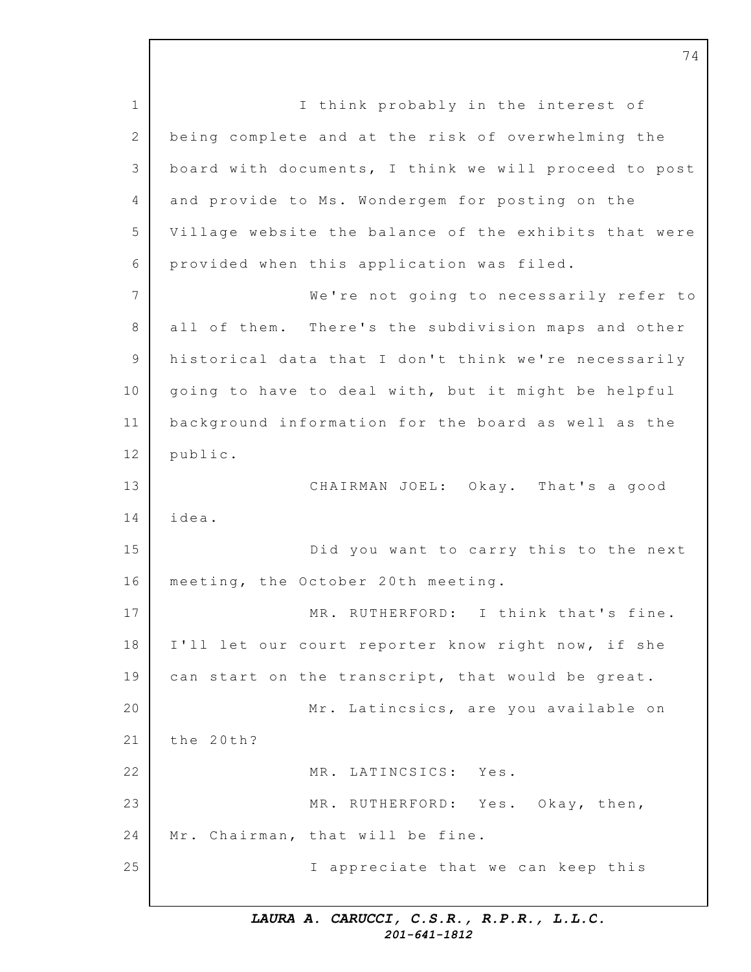1 2 3 4 5 6 7 8 9 10 11 12 13 14 15 16 17 18 19 20 21 22 23 24 25 I think probably in the interest of being complete and at the risk of overwhelming the board with documents, I think we will proceed to post and provide to Ms. Wondergem for posting on the Village website the balance of the exhibits that were provided when this application was filed. We're not going to necessarily refer to all of them. There's the subdivision maps and other historical data that I don't think we're necessarily going to have to deal with, but it might be helpful background information for the board as well as the public. CHAIRMAN JOEL: Okay. That's a good idea. Did you want to carry this to the next meeting, the October 20th meeting. MR. RUTHERFORD: I think that's fine. I'll let our court reporter know right now, if she can start on the transcript, that would be great. Mr. Latincsics, are you available on the 20th? MR. LATINCSICS: Yes. MR. RUTHERFORD: Yes. Okay, then, Mr. Chairman, that will be fine. I appreciate that we can keep this

74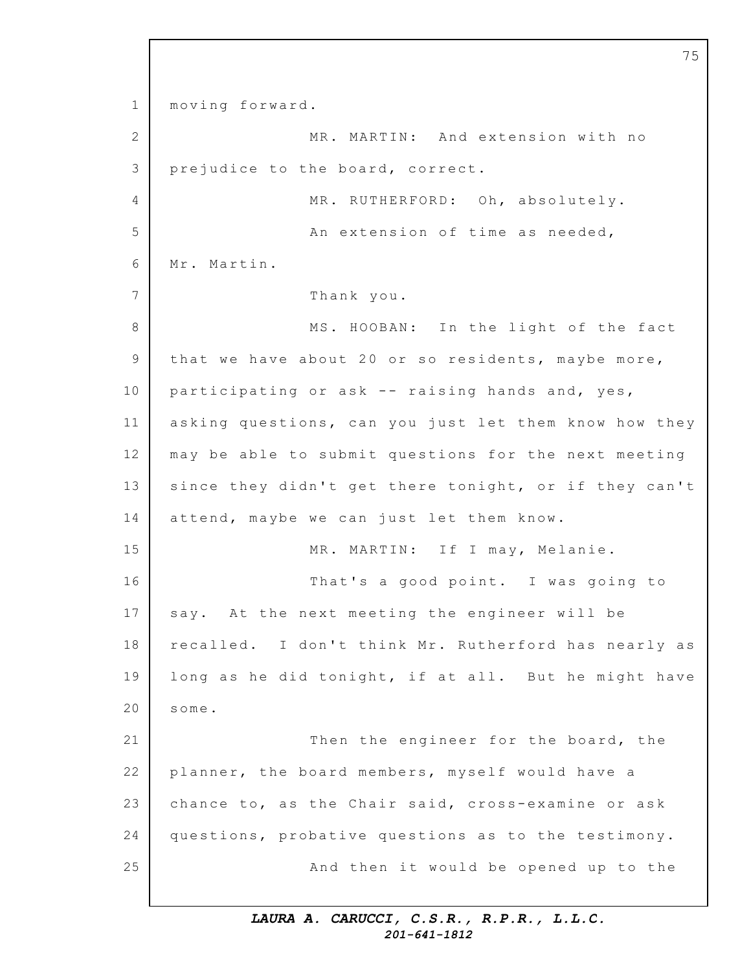1 2 3 4 5 6 7 8 9 10 11 12 13 14 15 16 17 18 19 20 21 22 23 24 25 moving forward. MR. MARTIN: And extension with no prejudice to the board, correct. MR. RUTHERFORD: Oh, absolutely. An extension of time as needed, Mr. Martin. Thank you. MS. HOOBAN: In the light of the fact that we have about 20 or so residents, maybe more, participating or ask  $-$ - raising hands and, yes, asking questions, can you just let them know how they may be able to submit questions for the next meeting since they didn't get there tonight, or if they can't attend, maybe we can just let them know. MR. MARTIN: If I may, Melanie. That's a good point. I was going to say. At the next meeting the engineer will be recalled. I don't think Mr. Rutherford has nearly as long as he did tonight, if at all. But he might have some. Then the engineer for the board, the planner, the board members, myself would have a chance to, as the Chair said, cross-examine or ask questions, probative questions as to the testimony. And then it would be opened up to the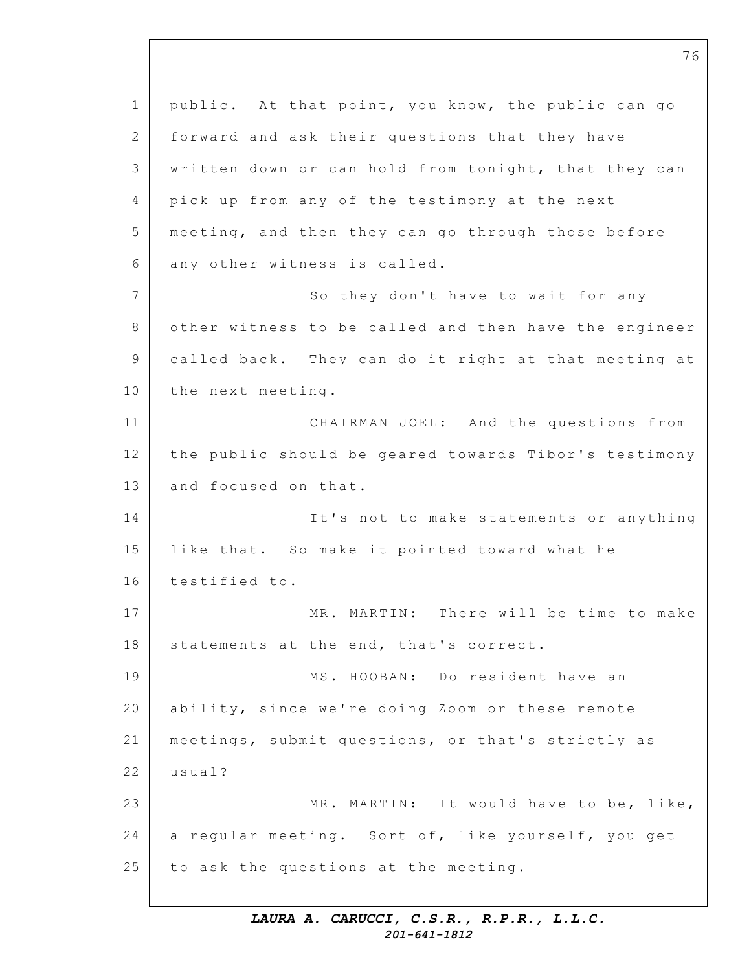1 2 3 4 5 6 7 8 9 10 11 12 13 14 15 16 17 18 19 20 21 22 23 24 25 public. At that point, you know, the public can go forward and ask their questions that they have written down or can hold from tonight, that they can pick up from any of the testimony at the next meeting, and then they can go through those before any other witness is called. So they don't have to wait for any other witness to be called and then have the engineer called back. They can do it right at that meeting at the next meeting. CHAIRMAN JOEL: And the questions from the public should be geared towards Tibor's testimony and focused on that. It's not to make statements or anything like that. So make it pointed toward what he testified to. MR. MARTIN: There will be time to make statements at the end, that's correct. MS. HOOBAN: Do resident have an ability, since we're doing Zoom or these remote meetings, submit questions, or that's strictly as usual? MR. MARTIN: It would have to be, like, a reqular meeting. Sort of, like yourself, you get to ask the questions at the meeting.

76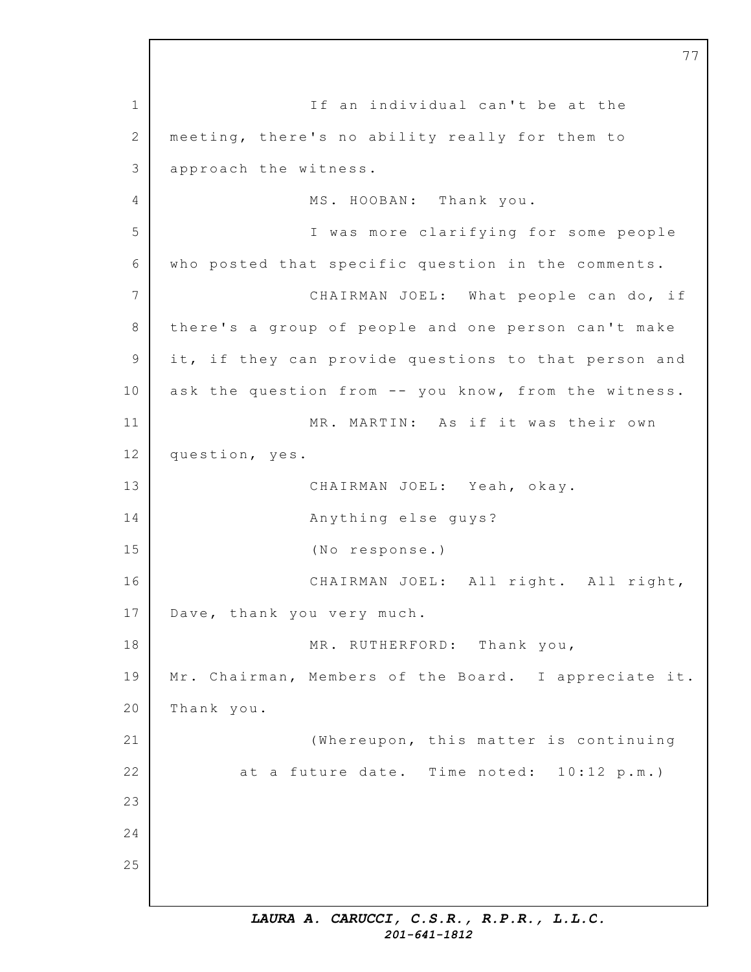1 2 3 4 5 6 7 8 9 10 11 12 13 14 15 16 17 18 19 20 21 22 23 24 25 If an individual can't be at the meeting, there's no ability really for them to approach the witness. MS. HOOBAN: Thank you. I was more clarifying for some people who posted that specific question in the comments. CHAIRMAN JOEL: What people can do, if there's a group of people and one person can't make it, if they can provide questions to that person and ask the question from -- you know, from the witness. MR. MARTIN: As if it was their own question, yes. CHAIRMAN JOEL: Yeah, okay. Anything else guys? (No response.) CHAIRMAN JOEL: All right. All right, Dave, thank you very much. MR. RUTHERFORD: Thank you, Mr. Chairman, Members of the Board. I appreciate it. Thank you. (Whereupon, this matter is continuing at a future date. Time noted:  $10:12$  p.m.)

77